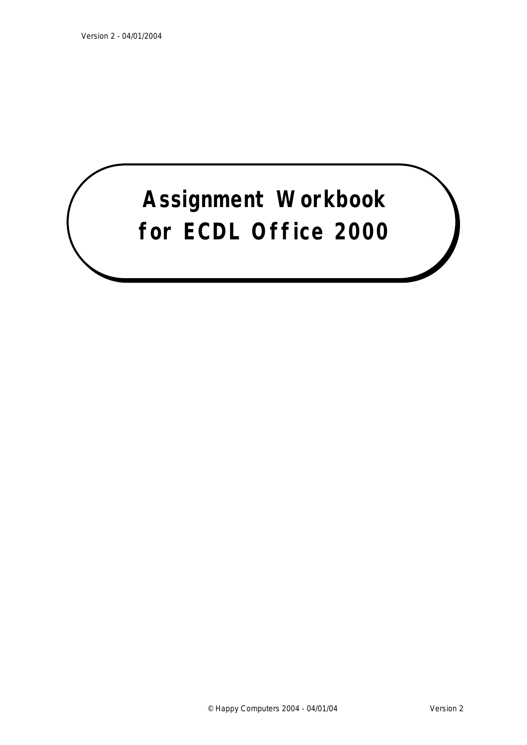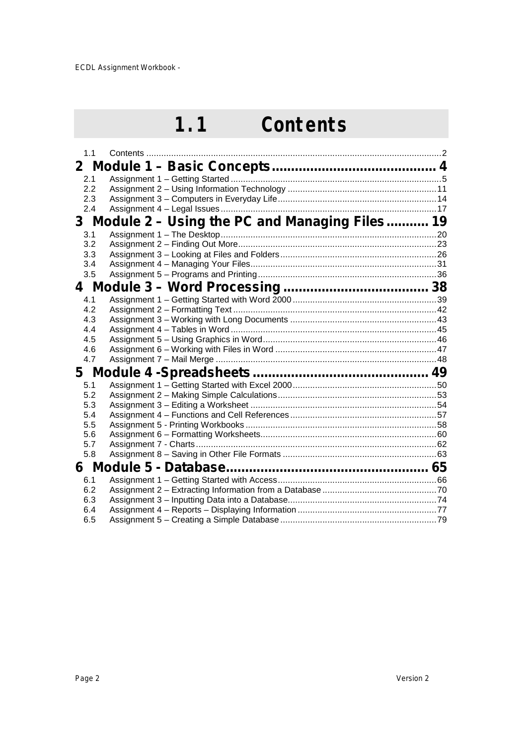### **1.1 Contents**

| 1.1 | Contents                                        |  |
|-----|-------------------------------------------------|--|
|     |                                                 |  |
| 2.1 |                                                 |  |
| 2.2 |                                                 |  |
| 2.3 |                                                 |  |
| 2.4 |                                                 |  |
|     | 3 Module 2 - Using the PC and Managing Files 19 |  |
| 3.1 |                                                 |  |
| 3.2 |                                                 |  |
| 3.3 |                                                 |  |
| 3.4 |                                                 |  |
| 3.5 |                                                 |  |
|     |                                                 |  |
| 4.1 |                                                 |  |
| 4.2 |                                                 |  |
| 4.3 |                                                 |  |
| 4.4 |                                                 |  |
| 4.5 |                                                 |  |
| 4.6 |                                                 |  |
| 4.7 |                                                 |  |
|     |                                                 |  |
| 5.1 |                                                 |  |
| 5.2 |                                                 |  |
| 5.3 |                                                 |  |
| 5.4 |                                                 |  |
| 5.5 |                                                 |  |
| 5.6 |                                                 |  |
| 5.7 |                                                 |  |
| 5.8 |                                                 |  |
|     |                                                 |  |
| 6.1 |                                                 |  |
| 6.2 |                                                 |  |
| 6.3 |                                                 |  |
| 6.4 |                                                 |  |
| 6.5 |                                                 |  |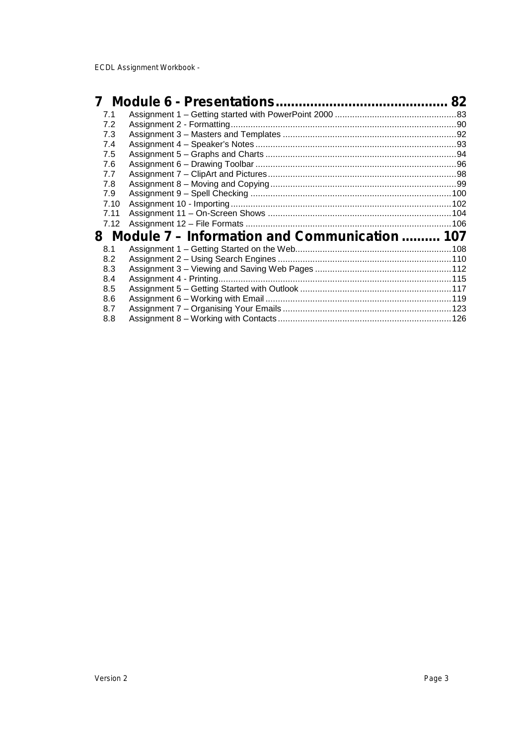| 7.1  |                                                 |  |
|------|-------------------------------------------------|--|
| 7.2  |                                                 |  |
| 7.3  |                                                 |  |
| 7.4  |                                                 |  |
| 7.5  |                                                 |  |
| 7.6  |                                                 |  |
| 7.7  |                                                 |  |
| 7.8  |                                                 |  |
| 7.9  |                                                 |  |
| 7.10 |                                                 |  |
| 7.11 |                                                 |  |
| 7.12 |                                                 |  |
|      | 8 Module 7 – Information and Communication  107 |  |
| 8.1  |                                                 |  |
| 8.2  |                                                 |  |
| 8.3  |                                                 |  |
| 8.4  |                                                 |  |
| 8.5  |                                                 |  |
| 8.6  |                                                 |  |
| 8.7  |                                                 |  |
| 8.8  |                                                 |  |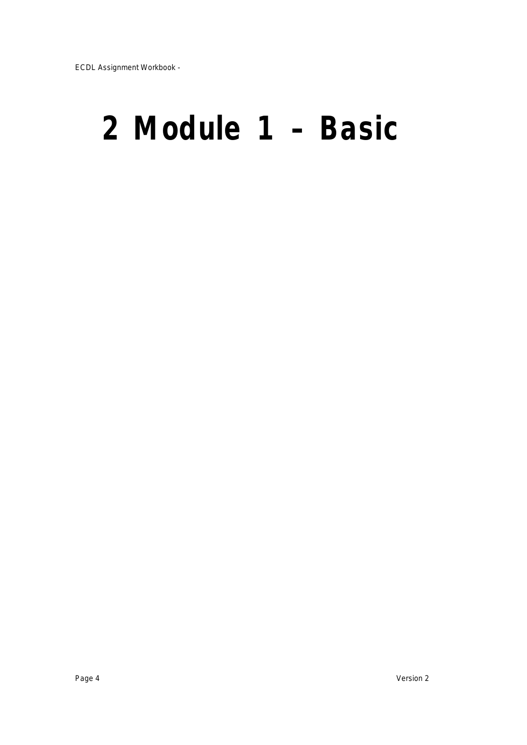# **2 Module 1 – Basic**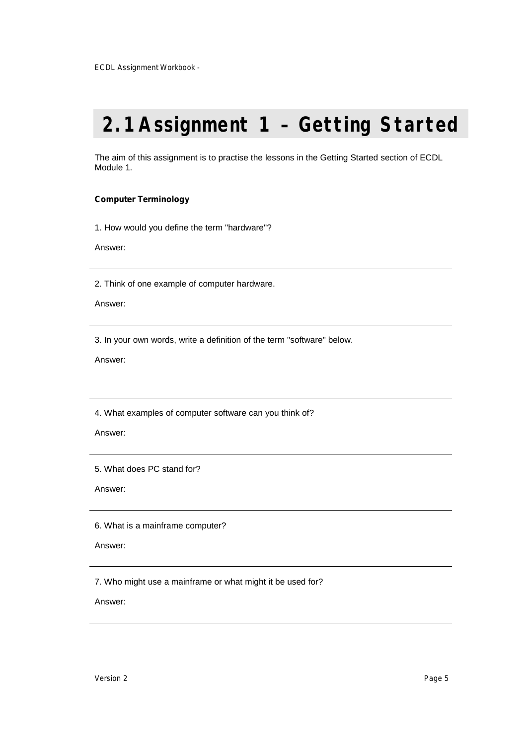## **2.1Assignment 1 – Getting Started**

The aim of this assignment is to practise the lessons in the Getting Started section of ECDL Module 1.

### **Computer Terminology**

1. How would you define the term "hardware"?

Answer:

2. Think of one example of computer hardware.

Answer:

3. In your own words, write a definition of the term "software" below.

Answer:

4. What examples of computer software can you think of?

Answer:

5. What does PC stand for?

Answer:

6. What is a mainframe computer?

Answer:

7. Who might use a mainframe or what might it be used for?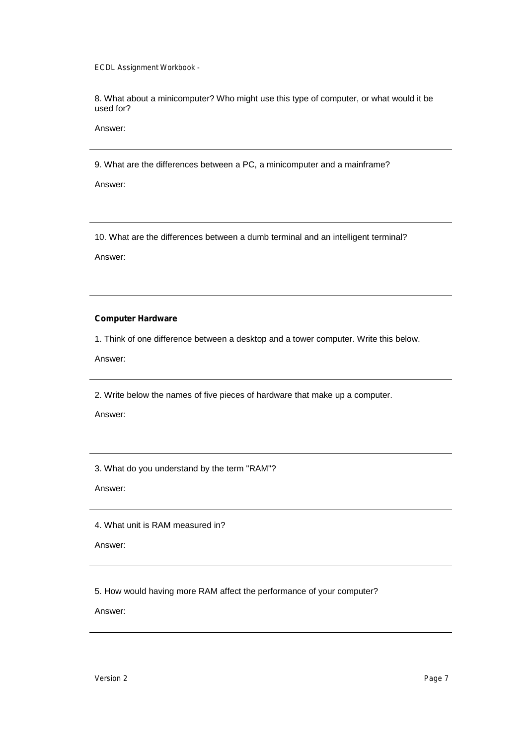8. What about a minicomputer? Who might use this type of computer, or what would it be used for?

Answer:

9. What are the differences between a PC, a minicomputer and a mainframe?

Answer:

10. What are the differences between a dumb terminal and an intelligent terminal?

Answer:

### **Computer Hardware**

1. Think of one difference between a desktop and a tower computer. Write this below.

Answer:

2. Write below the names of five pieces of hardware that make up a computer.

Answer:

3. What do you understand by the term "RAM"?

Answer:

4. What unit is RAM measured in?

Answer:

5. How would having more RAM affect the performance of your computer?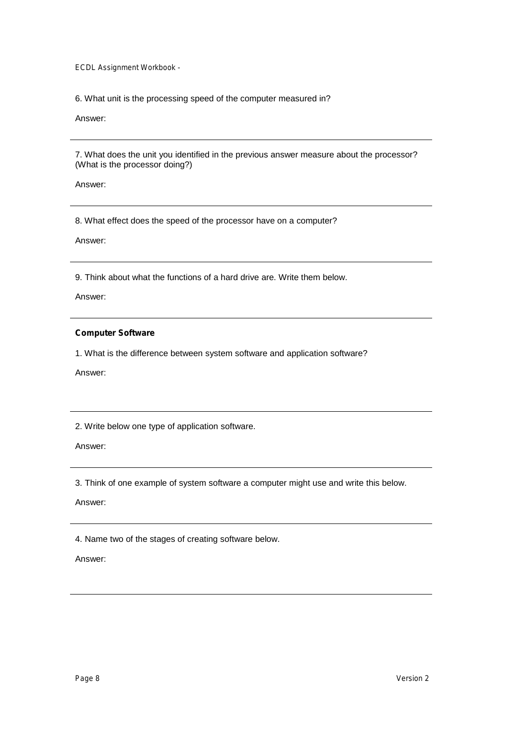6. What unit is the processing speed of the computer measured in?

Answer:

7. What does the unit you identified in the previous answer measure about the processor? (What is the processor doing?)

Answer:

8. What effect does the speed of the processor have on a computer?

Answer:

9. Think about what the functions of a hard drive are. Write them below.

Answer:

### **Computer Software**

1. What is the difference between system software and application software?

Answer:

2. Write below one type of application software.

Answer:

3. Think of one example of system software a computer might use and write this below.

Answer:

4. Name two of the stages of creating software below.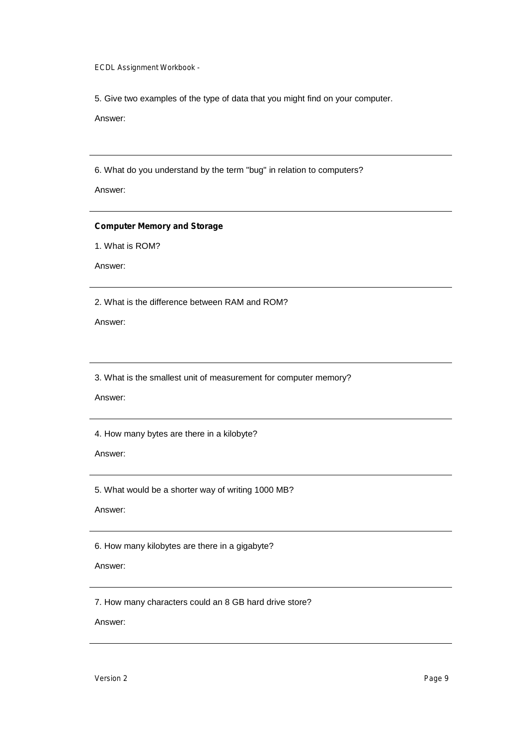5. Give two examples of the type of data that you might find on your computer.

Answer:

6. What do you understand by the term "bug" in relation to computers?

Answer:

#### **Computer Memory and Storage**

1. What is ROM?

Answer:

2. What is the difference between RAM and ROM?

Answer:

3. What is the smallest unit of measurement for computer memory?

Answer:

4. How many bytes are there in a kilobyte?

Answer:

5. What would be a shorter way of writing 1000 MB?

Answer:

6. How many kilobytes are there in a gigabyte?

### Answer:

7. How many characters could an 8 GB hard drive store?

Answer:

*Version 2 Page 9*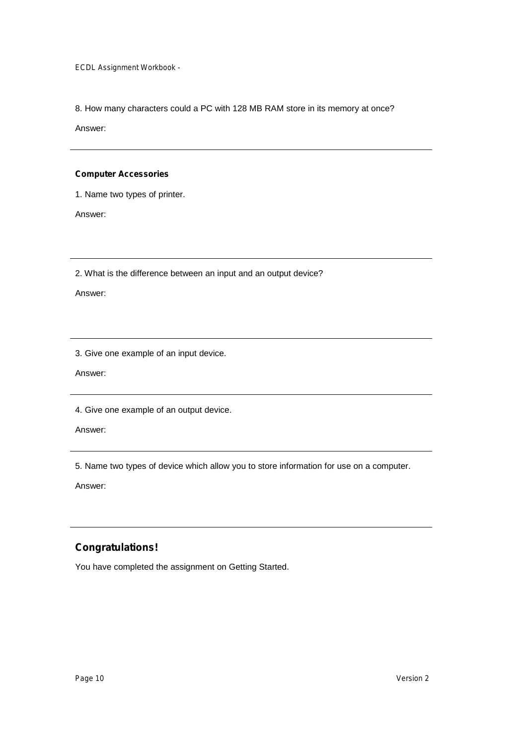8. How many characters could a PC with 128 MB RAM store in its memory at once?

Answer:

### **Computer Accessories**

1. Name two types of printer.

Answer:

2. What is the difference between an input and an output device?

Answer:

3. Give one example of an input device.

Answer:

4. Give one example of an output device.

Answer:

5. Name two types of device which allow you to store information for use on a computer.

Answer:

### **Congratulations!**

You have completed the assignment on Getting Started.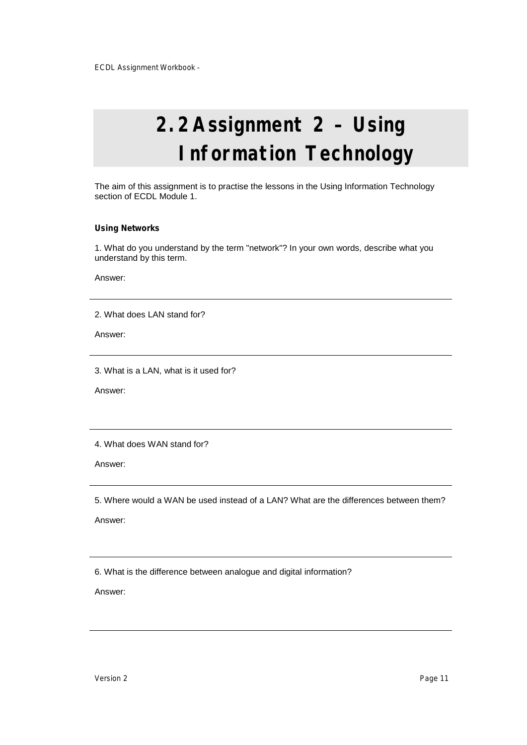# **2.2Assignment 2 – Using Information Technology**

The aim of this assignment is to practise the lessons in the Using Information Technology section of ECDL Module 1.

#### **Using Networks**

1. What do you understand by the term "network"? In your own words, describe what you understand by this term.

Answer:

2. What does LAN stand for?

Answer:

3. What is a LAN, what is it used for?

Answer:

4. What does WAN stand for?

Answer:

5. Where would a WAN be used instead of a LAN? What are the differences between them?

Answer:

6. What is the difference between analogue and digital information?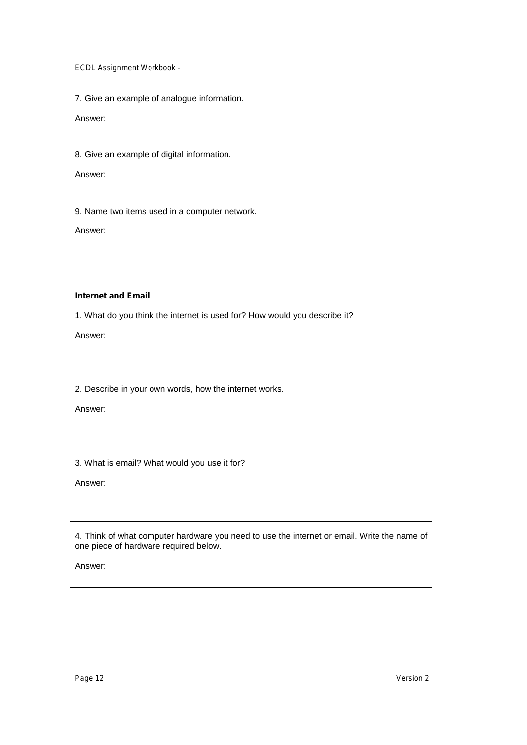7. Give an example of analogue information.

Answer:

8. Give an example of digital information.

Answer:

9. Name two items used in a computer network.

Answer:

### **Internet and Email**

1. What do you think the internet is used for? How would you describe it?

Answer:

2. Describe in your own words, how the internet works.

Answer:

3. What is email? What would you use it for?

Answer:

4. Think of what computer hardware you need to use the internet or email. Write the name of one piece of hardware required below.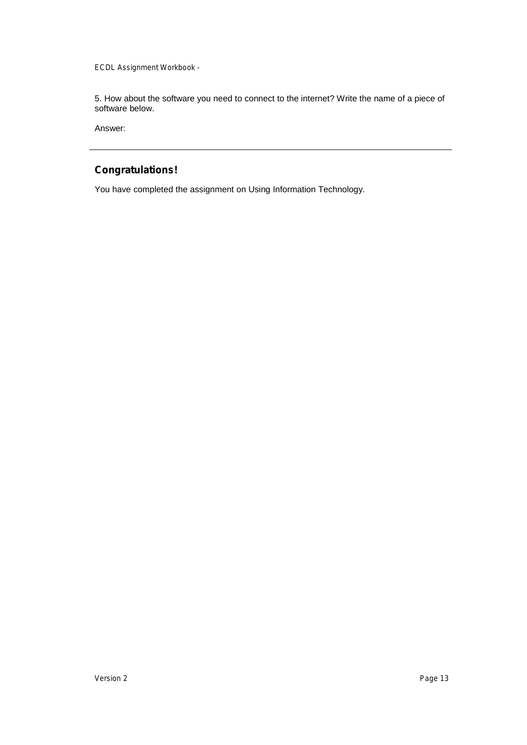5. How about the software you need to connect to the internet? Write the name of a piece of software below.

Answer:

### **Congratulations!**

You have completed the assignment on Using Information Technology.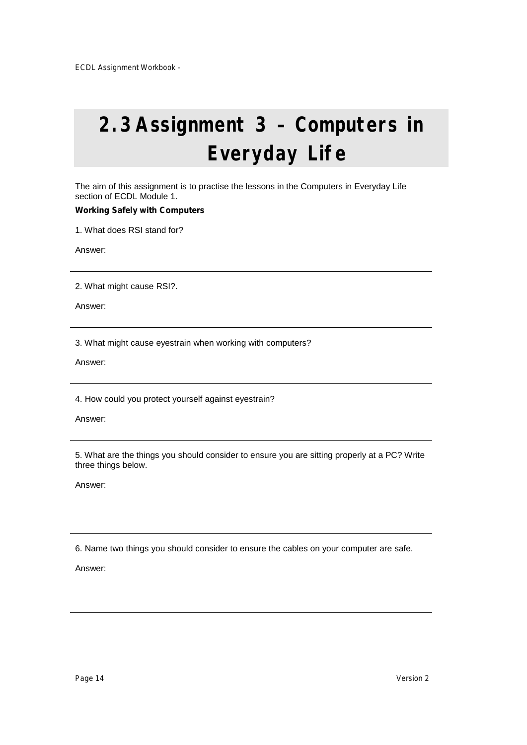# **2.3Assignment 3 – Computers in Everyday Life**

The aim of this assignment is to practise the lessons in the Computers in Everyday Life section of ECDL Module 1.

### **Working Safely with Computers**

1. What does RSI stand for?

Answer:

2. What might cause RSI?.

Answer:

3. What might cause eyestrain when working with computers?

Answer:

4. How could you protect yourself against eyestrain?

Answer:

5. What are the things you should consider to ensure you are sitting properly at a PC? Write three things below.

Answer:

6. Name two things you should consider to ensure the cables on your computer are safe.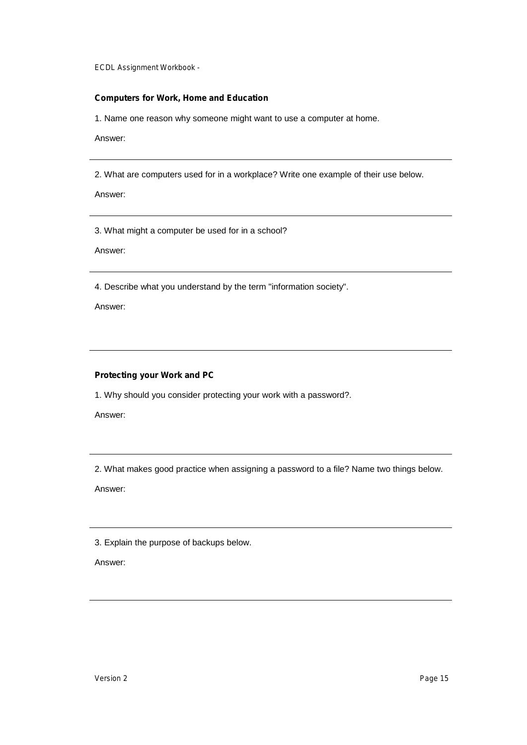### **Computers for Work, Home and Education**

1. Name one reason why someone might want to use a computer at home.

Answer:

2. What are computers used for in a workplace? Write one example of their use below.

Answer:

3. What might a computer be used for in a school?

Answer:

4. Describe what you understand by the term "information society".

Answer:

### **Protecting your Work and PC**

1. Why should you consider protecting your work with a password?.

Answer:

2. What makes good practice when assigning a password to a file? Name two things below.

Answer:

3. Explain the purpose of backups below.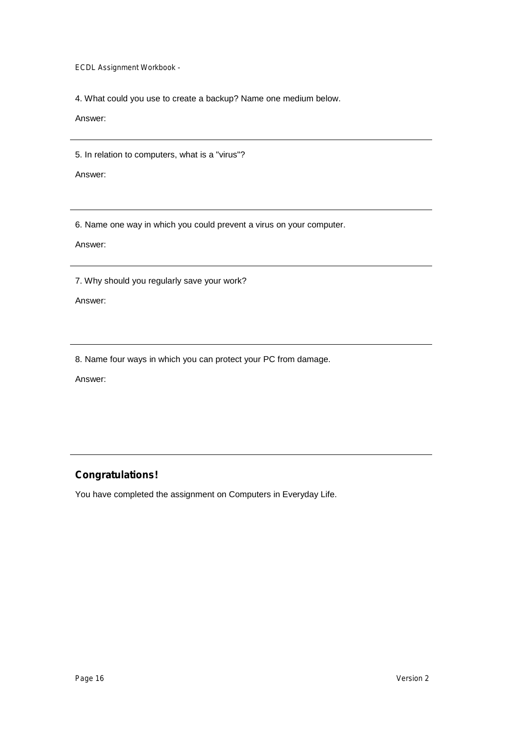4. What could you use to create a backup? Name one medium below.

Answer:

5. In relation to computers, what is a "virus"?

Answer:

6. Name one way in which you could prevent a virus on your computer.

Answer:

7. Why should you regularly save your work?

Answer:

8. Name four ways in which you can protect your PC from damage.

Answer:

### **Congratulations!**

You have completed the assignment on Computers in Everyday Life.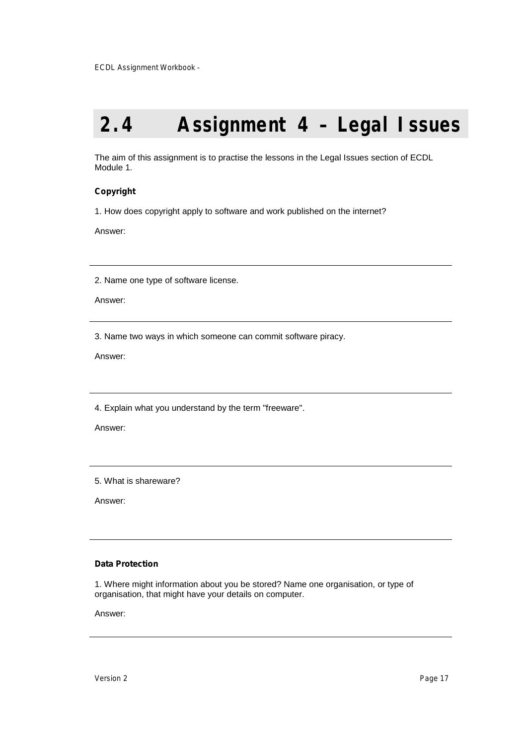### **2.4 Assignment 4 – Legal Issues**

The aim of this assignment is to practise the lessons in the Legal Issues section of ECDL Module 1.

### **Copyright**

1. How does copyright apply to software and work published on the internet?

Answer:

2. Name one type of software license.

Answer:

3. Name two ways in which someone can commit software piracy.

Answer:

4. Explain what you understand by the term "freeware".

Answer:

5. What is shareware?

Answer:

#### **Data Protection**

1. Where might information about you be stored? Name one organisation, or type of organisation, that might have your details on computer.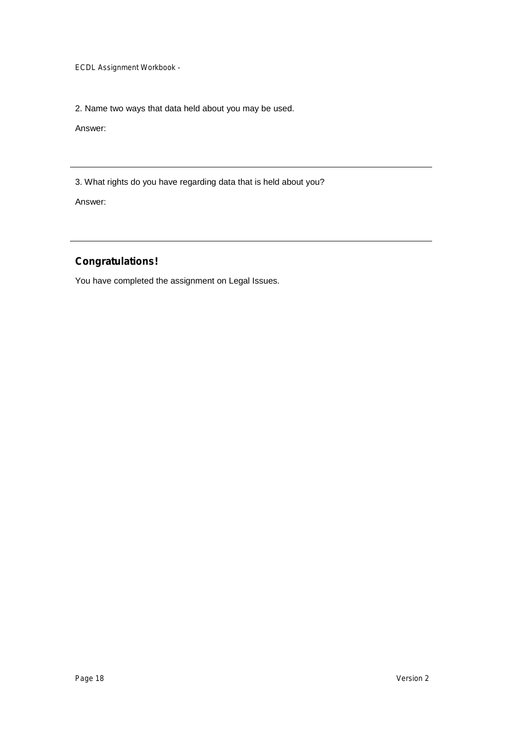2. Name two ways that data held about you may be used.

Answer:

3. What rights do you have regarding data that is held about you?

Answer:

### **Congratulations!**

You have completed the assignment on Legal Issues.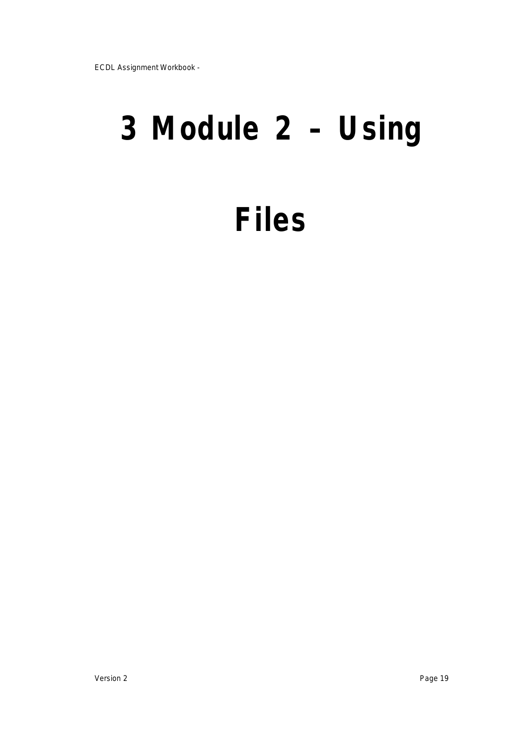# **3 Module 2 – Using**

# **Files**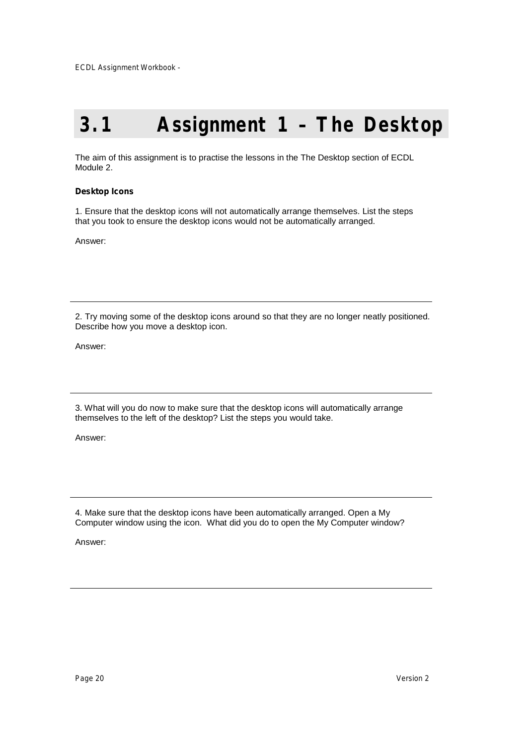### **3.1 Assignment 1 – The Desktop**

The aim of this assignment is to practise the lessons in the The Desktop section of ECDL Module 2.

#### **Desktop Icons**

1. Ensure that the desktop icons will not automatically arrange themselves. List the steps that you took to ensure the desktop icons would not be automatically arranged.

Answer:

2. Try moving some of the desktop icons around so that they are no longer neatly positioned. Describe how you move a desktop icon.

Answer:

3. What will you do now to make sure that the desktop icons will automatically arrange themselves to the left of the desktop? List the steps you would take.

Answer:

4. Make sure that the desktop icons have been automatically arranged. Open a My Computer window using the icon. What did you do to open the My Computer window?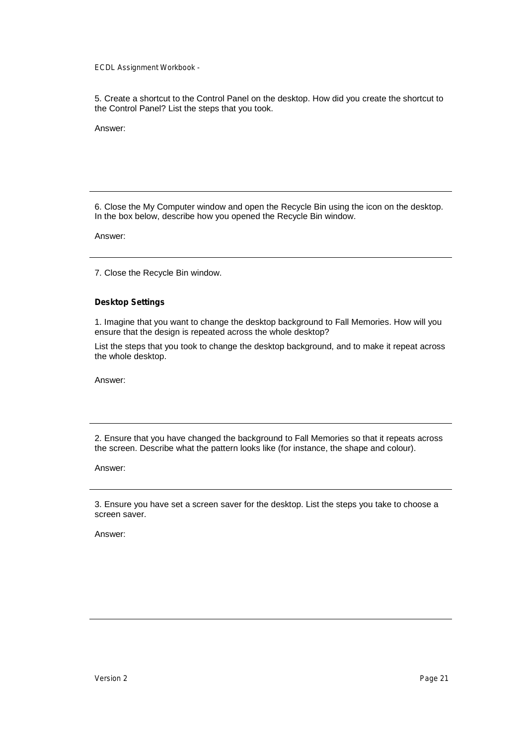5. Create a shortcut to the Control Panel on the desktop. How did you create the shortcut to the Control Panel? List the steps that you took.

Answer:

6. Close the My Computer window and open the Recycle Bin using the icon on the desktop. In the box below, describe how you opened the Recycle Bin window.

Answer:

7. Close the Recycle Bin window.

#### **Desktop Settings**

1. Imagine that you want to change the desktop background to Fall Memories. How will you ensure that the design is repeated across the whole desktop?

List the steps that you took to change the desktop background, and to make it repeat across the whole desktop.

Answer:

2. Ensure that you have changed the background to Fall Memories so that it repeats across the screen. Describe what the pattern looks like (for instance, the shape and colour).

Answer:

3. Ensure you have set a screen saver for the desktop. List the steps you take to choose a screen saver.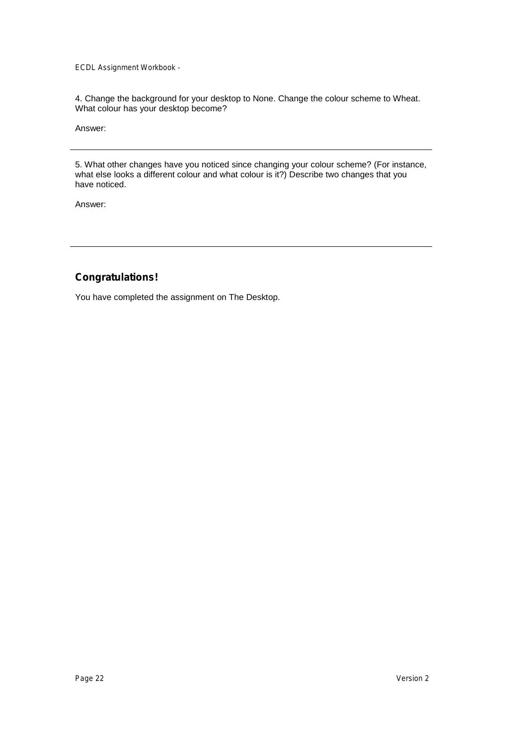4. Change the background for your desktop to None. Change the colour scheme to Wheat. What colour has your desktop become?

Answer:

5. What other changes have you noticed since changing your colour scheme? (For instance, what else looks a different colour and what colour is it?) Describe two changes that you have noticed.

Answer:

### **Congratulations!**

You have completed the assignment on The Desktop.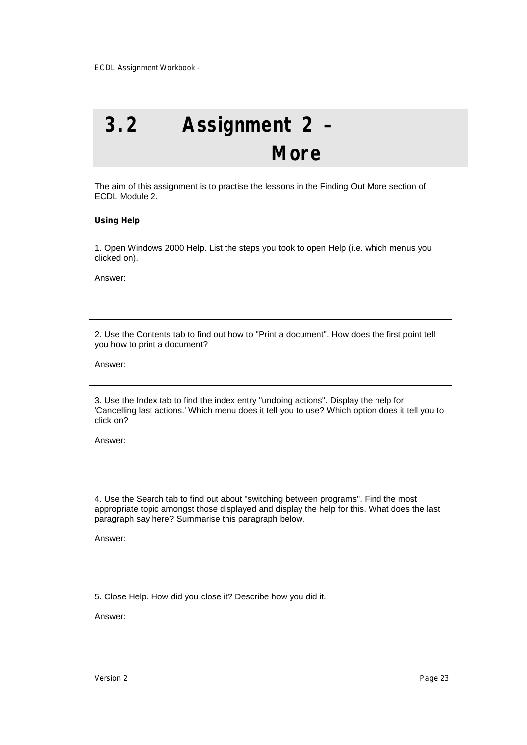## **3.2 Assignment 2 – More**

The aim of this assignment is to practise the lessons in the Finding Out More section of ECDL Module 2.

### **Using Help**

1. Open Windows 2000 Help. List the steps you took to open Help (i.e. which menus you clicked on).

Answer:

2. Use the Contents tab to find out how to "Print a document". How does the first point tell you how to print a document?

Answer:

3. Use the Index tab to find the index entry "undoing actions". Display the help for 'Cancelling last actions.' Which menu does it tell you to use? Which option does it tell you to click on?

Answer:

4. Use the Search tab to find out about "switching between programs". Find the most appropriate topic amongst those displayed and display the help for this. What does the last paragraph say here? Summarise this paragraph below.

Answer:

5. Close Help. How did you close it? Describe how you did it.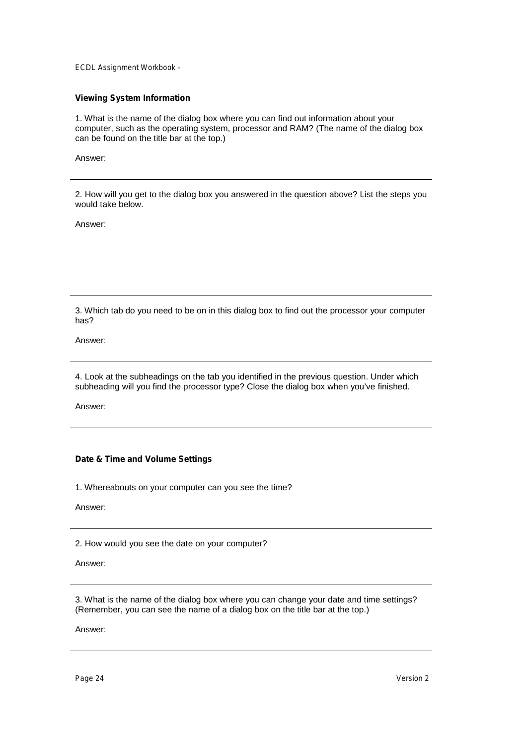### **Viewing System Information**

1. What is the name of the dialog box where you can find out information about your computer, such as the operating system, processor and RAM? (The name of the dialog box can be found on the title bar at the top.)

Answer:

2. How will you get to the dialog box you answered in the question above? List the steps you would take below.

Answer:

3. Which tab do you need to be on in this dialog box to find out the processor your computer has?

Answer:

4. Look at the subheadings on the tab you identified in the previous question. Under which subheading will you find the processor type? Close the dialog box when you've finished.

Answer:

### **Date & Time and Volume Settings**

1. Whereabouts on your computer can you see the time?

Answer:

2. How would you see the date on your computer?

Answer:

3. What is the name of the dialog box where you can change your date and time settings? (Remember, you can see the name of a dialog box on the title bar at the top.)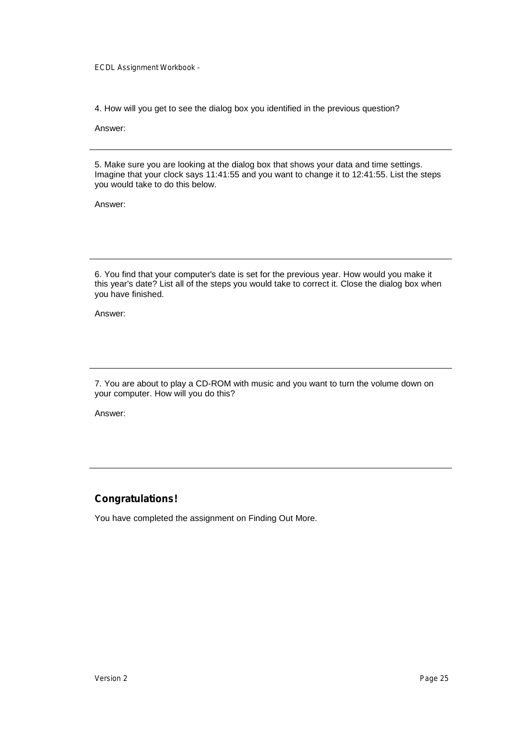4. How will you get to see the dialog box you identified in the previous question?

Answer:

5. Make sure you are looking at the dialog box that shows your data and time settings. Imagine that your clock says 11:41:55 and you want to change it to 12:41:55. List the steps you would take to do this below.

Answer:

6. You find that your computer's date is set for the previous year. How would you make it this year's date? List all of the steps you would take to correct it. Close the dialog box when you have finished.

Answer:

7. You are about to play a CD-ROM with music and you want to turn the volume down on your computer. How will you do this?

Answer:

### **Congratulations!**

You have completed the assignment on Finding Out More.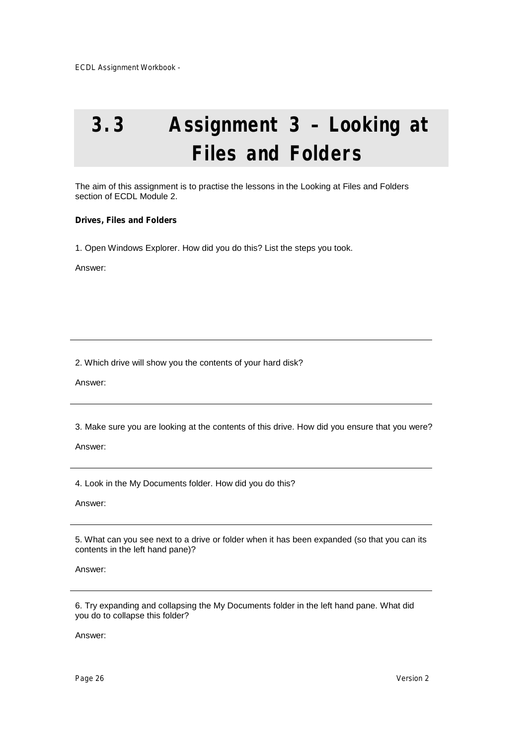# **3.3 Assignment 3 – Looking at Files and Folders**

The aim of this assignment is to practise the lessons in the Looking at Files and Folders section of ECDL Module 2.

#### **Drives, Files and Folders**

1. Open Windows Explorer. How did you do this? List the steps you took.

Answer:

2. Which drive will show you the contents of your hard disk?

Answer:

3. Make sure you are looking at the contents of this drive. How did you ensure that you were?

Answer:

4. Look in the My Documents folder. How did you do this?

Answer:

5. What can you see next to a drive or folder when it has been expanded (so that you can its contents in the left hand pane)?

Answer:

6. Try expanding and collapsing the My Documents folder in the left hand pane. What did you do to collapse this folder?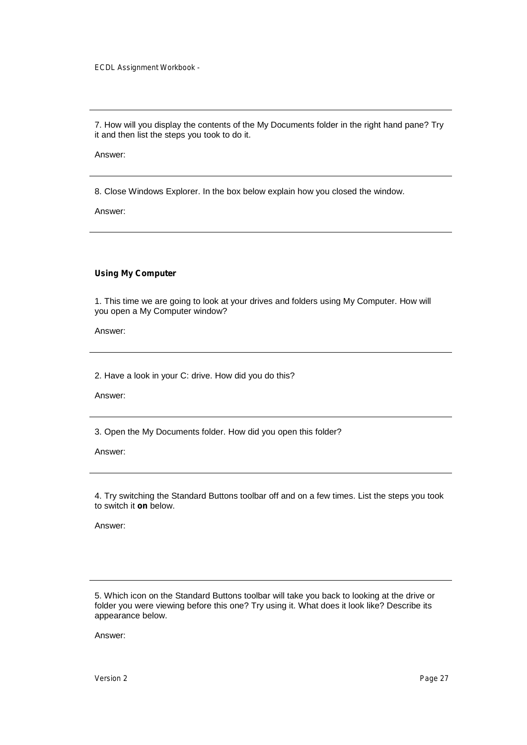7. How will you display the contents of the My Documents folder in the right hand pane? Try it and then list the steps you took to do it.

Answer:

8. Close Windows Explorer. In the box below explain how you closed the window.

Answer:

#### **Using My Computer**

1. This time we are going to look at your drives and folders using My Computer. How will you open a My Computer window?

Answer:

2. Have a look in your C: drive. How did you do this?

Answer:

3. Open the My Documents folder. How did you open this folder?

Answer:

4. Try switching the Standard Buttons toolbar off and on a few times. List the steps you took to switch it **on** below.

Answer:

5. Which icon on the Standard Buttons toolbar will take you back to looking at the drive or folder you were viewing before this one? Try using it. What does it look like? Describe its appearance below.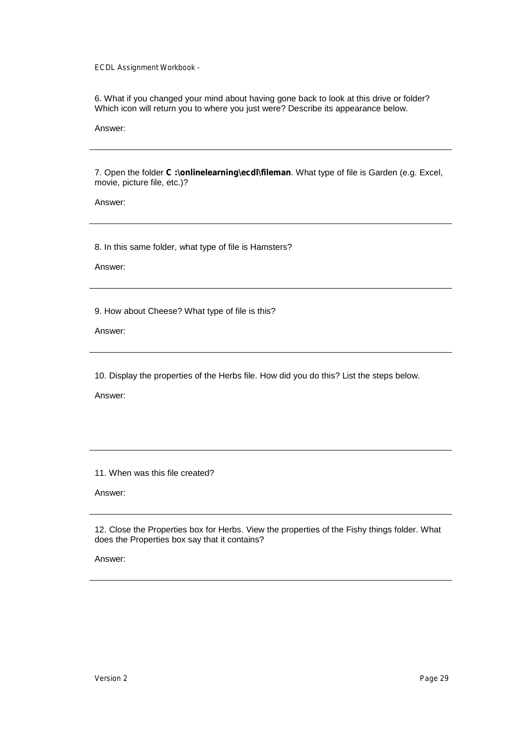6. What if you changed your mind about having gone back to look at this drive or folder? Which icon will return you to where you just were? Describe its appearance below.

Answer:

7. Open the folder **C :\onlinelearning\ecdl\fileman**. What type of file is Garden (e.g. Excel, movie, picture file, etc.)?

Answer:

8. In this same folder, what type of file is Hamsters?

Answer:

9. How about Cheese? What type of file is this?

Answer:

10. Display the properties of the Herbs file. How did you do this? List the steps below.

Answer:

11. When was this file created?

Answer:

12. Close the Properties box for Herbs. View the properties of the Fishy things folder. What does the Properties box say that it contains?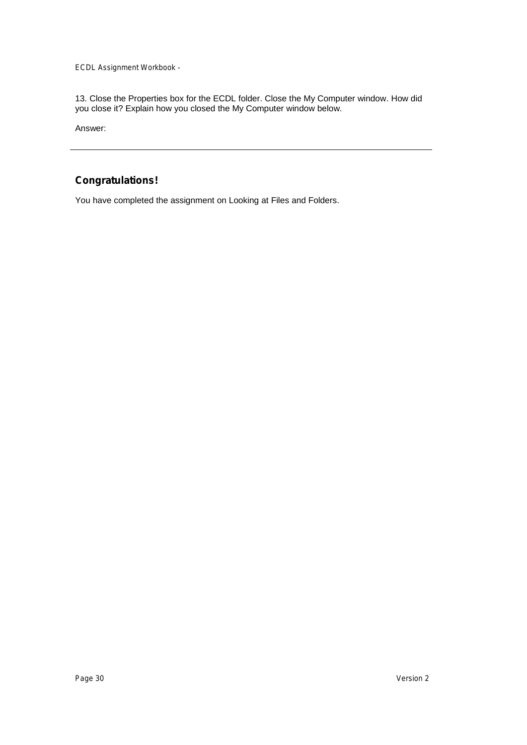13. Close the Properties box for the ECDL folder. Close the My Computer window. How did you close it? Explain how you closed the My Computer window below.

Answer:

### **Congratulations!**

You have completed the assignment on Looking at Files and Folders.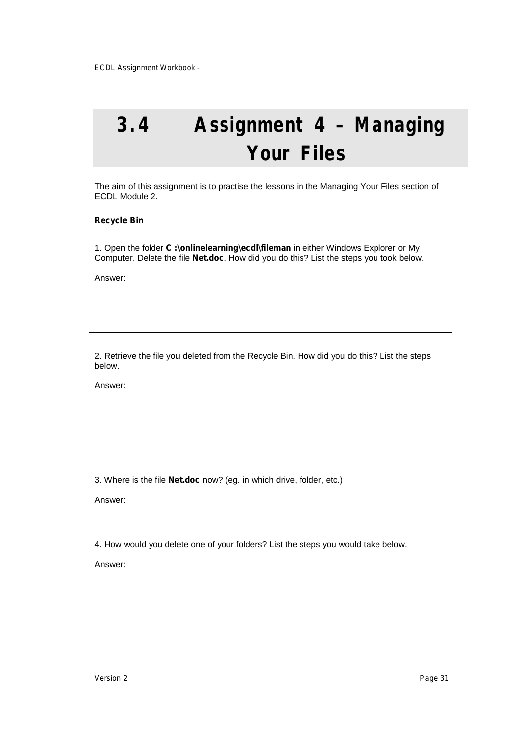## **3.4 Assignment 4 – Managing Your Files**

The aim of this assignment is to practise the lessons in the Managing Your Files section of ECDL Module 2.

#### **Recycle Bin**

1. Open the folder **C :\onlinelearning\ecdl\fileman** in either Windows Explorer or My Computer. Delete the file **Net.doc**. How did you do this? List the steps you took below.

Answer:

2. Retrieve the file you deleted from the Recycle Bin. How did you do this? List the steps below.

Answer:

3. Where is the file **Net.doc** now? (eg. in which drive, folder, etc.)

Answer:

4. How would you delete one of your folders? List the steps you would take below.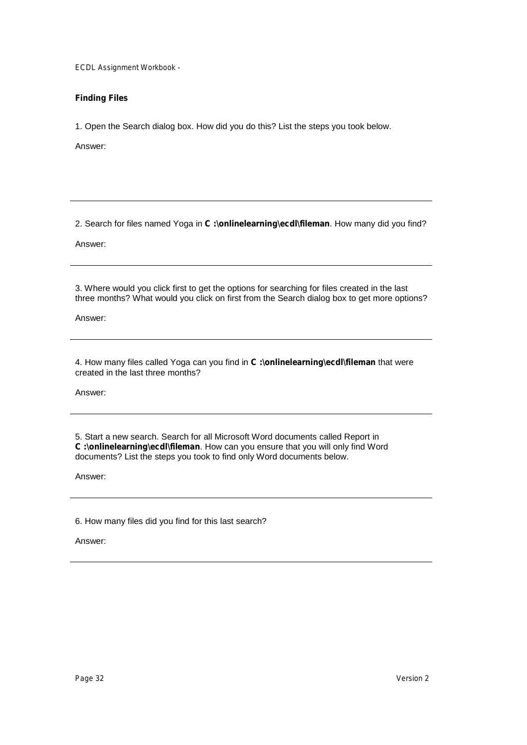### **Finding Files**

1. Open the Search dialog box. How did you do this? List the steps you took below.

Answer:

2. Search for files named Yoga in **C :\onlinelearning\ecdl\fileman**. How many did you find?

Answer:

3. Where would you click first to get the options for searching for files created in the last three months? What would you click on first from the Search dialog box to get more options?

Answer:

4. How many files called Yoga can you find in **C :\onlinelearning\ecdl\fileman** that were created in the last three months?

Answer:

5. Start a new search. Search for all Microsoft Word documents called Report in **C :\onlinelearning\ecdl\fileman**. How can you ensure that you will only find Word documents? List the steps you took to find only Word documents below.

Answer:

6. How many files did you find for this last search?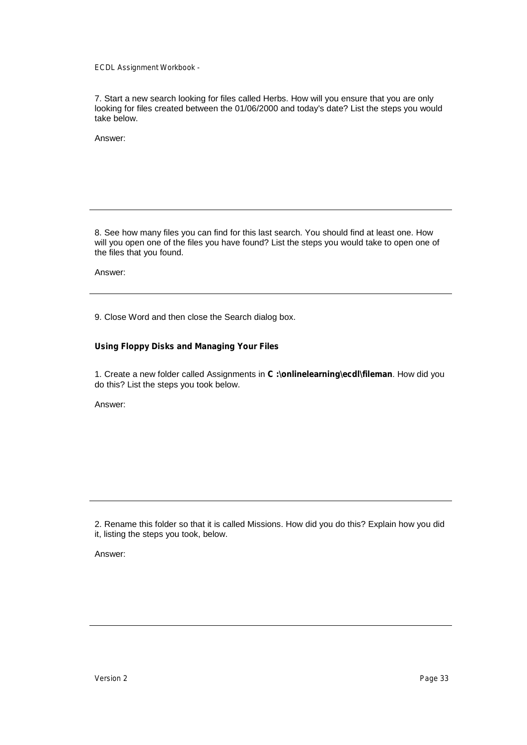7. Start a new search looking for files called Herbs. How will you ensure that you are only looking for files created between the 01/06/2000 and today's date? List the steps you would take below.

Answer:

8. See how many files you can find for this last search. You should find at least one. How will you open one of the files you have found? List the steps you would take to open one of the files that you found.

Answer:

9. Close Word and then close the Search dialog box.

#### **Using Floppy Disks and Managing Your Files**

1. Create a new folder called Assignments in **C :\onlinelearning\ecdl\fileman**. How did you do this? List the steps you took below.

Answer:

2. Rename this folder so that it is called Missions. How did you do this? Explain how you did it, listing the steps you took, below.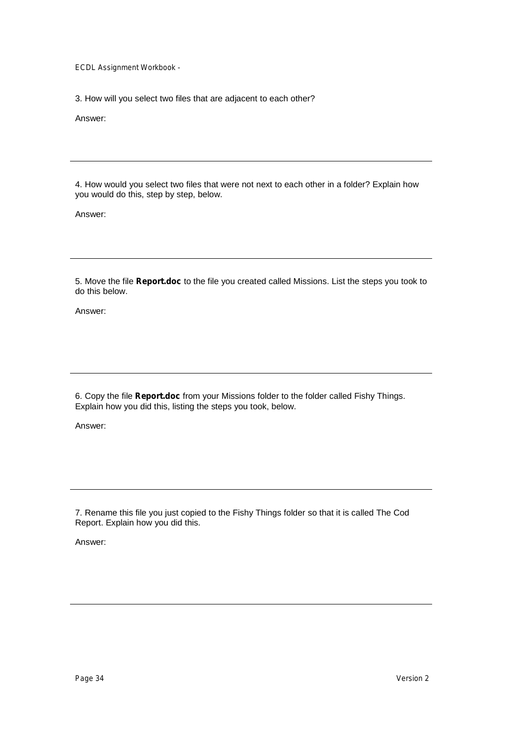3. How will you select two files that are adjacent to each other?

Answer:

4. How would you select two files that were not next to each other in a folder? Explain how you would do this, step by step, below.

Answer:

5. Move the file **Report.doc** to the file you created called Missions. List the steps you took to do this below.

Answer:

6. Copy the file **Report.doc** from your Missions folder to the folder called Fishy Things. Explain how you did this, listing the steps you took, below.

Answer:

7. Rename this file you just copied to the Fishy Things folder so that it is called The Cod Report. Explain how you did this.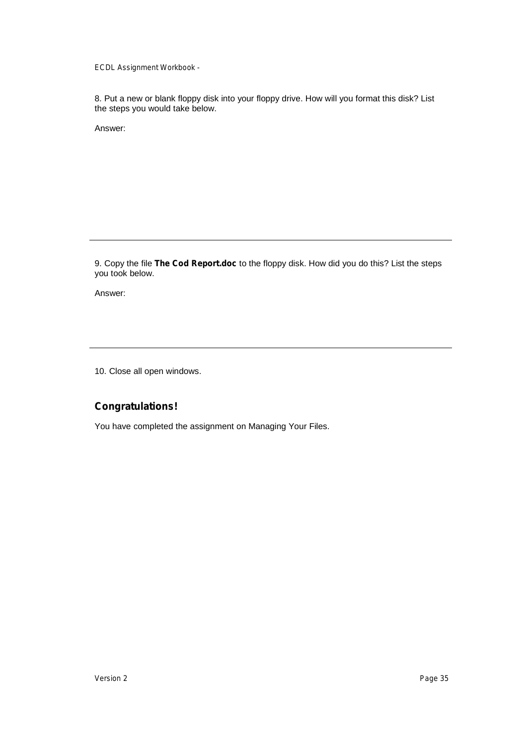8. Put a new or blank floppy disk into your floppy drive. How will you format this disk? List the steps you would take below.

Answer:

9. Copy the file **The Cod Report.doc** to the floppy disk. How did you do this? List the steps you took below.

Answer:

10. Close all open windows.

### **Congratulations!**

You have completed the assignment on Managing Your Files.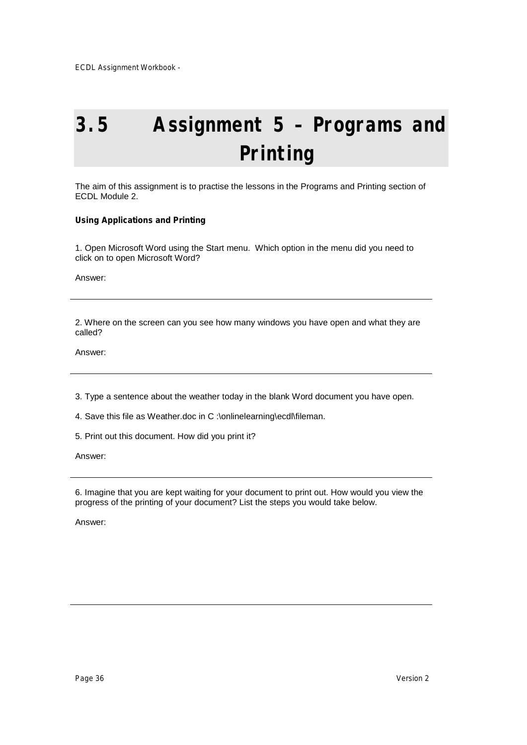# **3.5 Assignment 5 – Programs and Printing**

The aim of this assignment is to practise the lessons in the Programs and Printing section of ECDL Module 2.

### **Using Applications and Printing**

1. Open Microsoft Word using the Start menu. Which option in the menu did you need to click on to open Microsoft Word?

Answer:

2. Where on the screen can you see how many windows you have open and what they are called?

Answer:

3. Type a sentence about the weather today in the blank Word document you have open.

4. Save this file as Weather.doc in C :\onlinelearning\ecdl\fileman.

5. Print out this document. How did you print it?

Answer:

6. Imagine that you are kept waiting for your document to print out. How would you view the progress of the printing of your document? List the steps you would take below.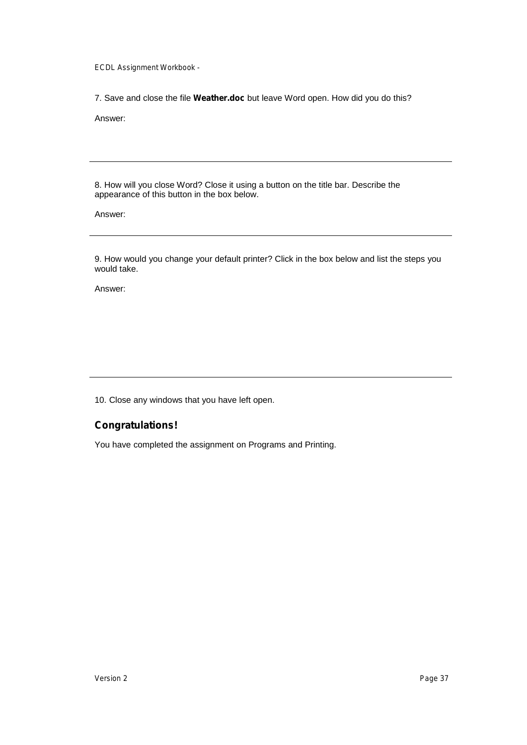7. Save and close the file **Weather.doc** but leave Word open. How did you do this?

Answer:

8. How will you close Word? Close it using a button on the title bar. Describe the appearance of this button in the box below.

Answer:

9. How would you change your default printer? Click in the box below and list the steps you would take.

Answer:

10. Close any windows that you have left open.

### **Congratulations!**

You have completed the assignment on Programs and Printing.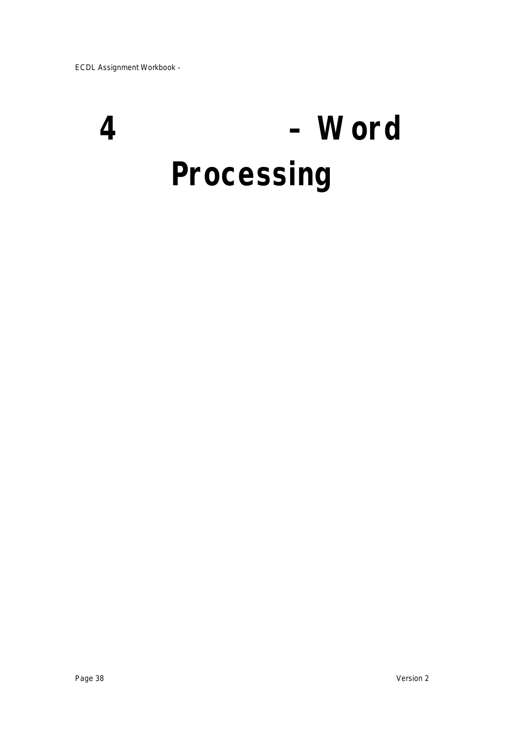# **4 – Word Processing**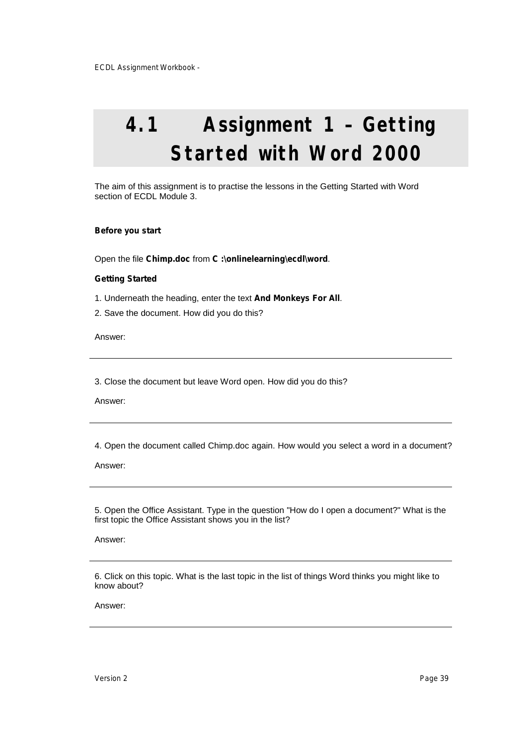# **4.1 Assignment 1 – Getting Started with Word 2000**

The aim of this assignment is to practise the lessons in the Getting Started with Word section of ECDL Module 3.

#### **Before you start**

Open the file **Chimp.doc** from **C :\onlinelearning\ecdl\word**.

#### **Getting Started**

- 1. Underneath the heading, enter the text **And Monkeys For All**.
- 2. Save the document. How did you do this?

Answer:

3. Close the document but leave Word open. How did you do this?

Answer:

4. Open the document called Chimp.doc again. How would you select a word in a document?

Answer:

5. Open the Office Assistant. Type in the question "How do I open a document?" What is the first topic the Office Assistant shows you in the list?

Answer:

6. Click on this topic. What is the last topic in the list of things Word thinks you might like to know about?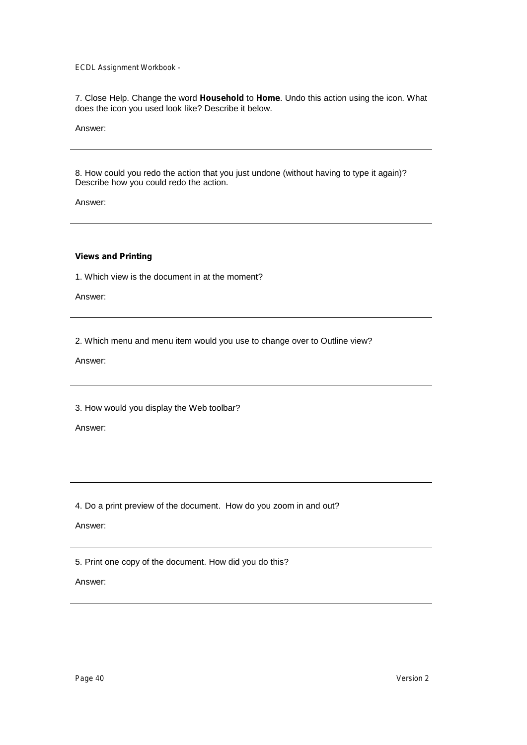7. Close Help. Change the word **Household** to **Home**. Undo this action using the icon. What does the icon you used look like? Describe it below.

Answer:

8. How could you redo the action that you just undone (without having to type it again)? Describe how you could redo the action.

Answer:

#### **Views and Printing**

1. Which view is the document in at the moment?

Answer:

2. Which menu and menu item would you use to change over to Outline view?

Answer:

3. How would you display the Web toolbar?

Answer:

4. Do a print preview of the document. How do you zoom in and out?

Answer:

5. Print one copy of the document. How did you do this?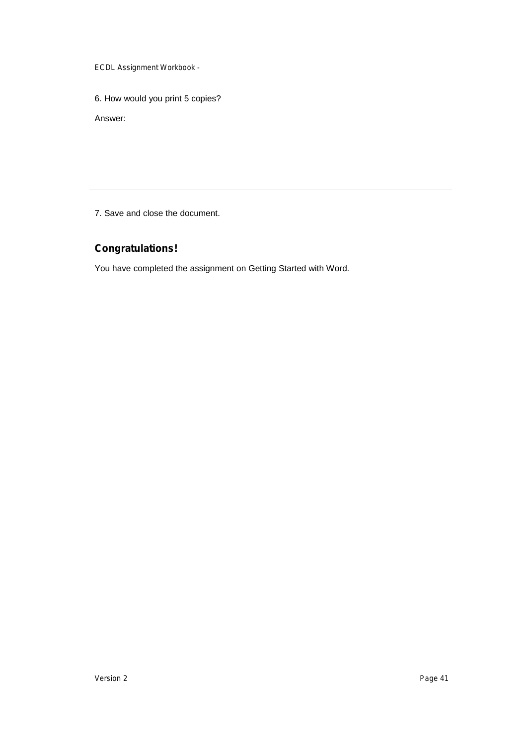6. How would you print 5 copies?

Answer:

7. Save and close the document.

## **Congratulations!**

You have completed the assignment on Getting Started with Word.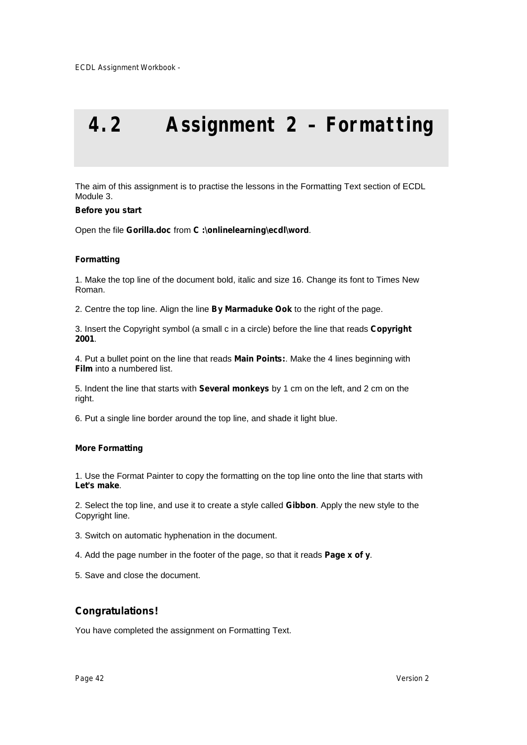# **4.2 Assignment 2 – Formatting**

The aim of this assignment is to practise the lessons in the Formatting Text section of ECDL Module 3.

#### **Before you start**

Open the file **Gorilla.doc** from **C :\onlinelearning\ecdl\word**.

#### **Formatting**

1. Make the top line of the document bold, italic and size 16. Change its font to Times New Roman.

2. Centre the top line. Align the line **By Marmaduke Ook** to the right of the page.

3. Insert the Copyright symbol (a small c in a circle) before the line that reads **Copyright 2001**.

4. Put a bullet point on the line that reads **Main Points:**. Make the 4 lines beginning with **Film** into a numbered list.

5. Indent the line that starts with **Several monkeys** by 1 cm on the left, and 2 cm on the right.

6. Put a single line border around the top line, and shade it light blue.

#### **More Formatting**

1. Use the Format Painter to copy the formatting on the top line onto the line that starts with **Let's make**.

2. Select the top line, and use it to create a style called **Gibbon**. Apply the new style to the Copyright line.

- 3. Switch on automatic hyphenation in the document.
- 4. Add the page number in the footer of the page, so that it reads **Page x of y**.
- 5. Save and close the document.

### **Congratulations!**

You have completed the assignment on Formatting Text.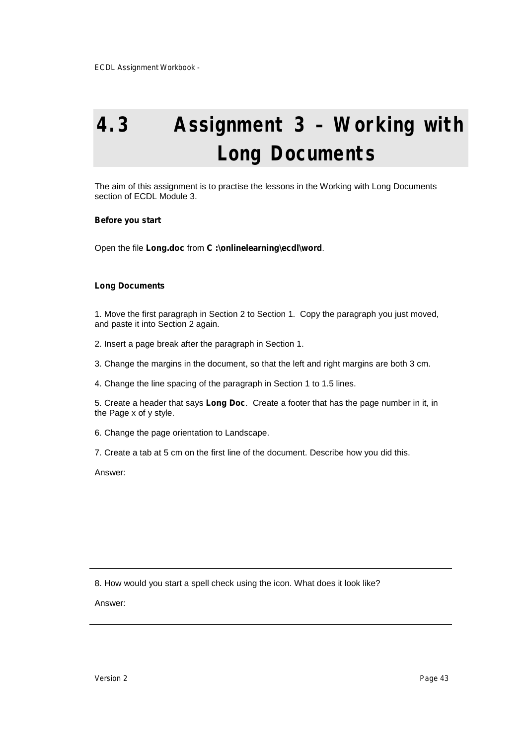# **4.3 Assignment 3 – Working with Long Documents**

The aim of this assignment is to practise the lessons in the Working with Long Documents section of ECDL Module 3.

#### **Before you start**

Open the file **Long.doc** from **C :\onlinelearning\ecdl\word**.

#### **Long Documents**

1. Move the first paragraph in Section 2 to Section 1. Copy the paragraph you just moved, and paste it into Section 2 again.

- 2. Insert a page break after the paragraph in Section 1.
- 3. Change the margins in the document, so that the left and right margins are both 3 cm.
- 4. Change the line spacing of the paragraph in Section 1 to 1.5 lines.

5. Create a header that says **Long Doc**. Create a footer that has the page number in it, in the Page x of y style.

6. Change the page orientation to Landscape.

7. Create a tab at 5 cm on the first line of the document. Describe how you did this.

Answer:

8. How would you start a spell check using the icon. What does it look like?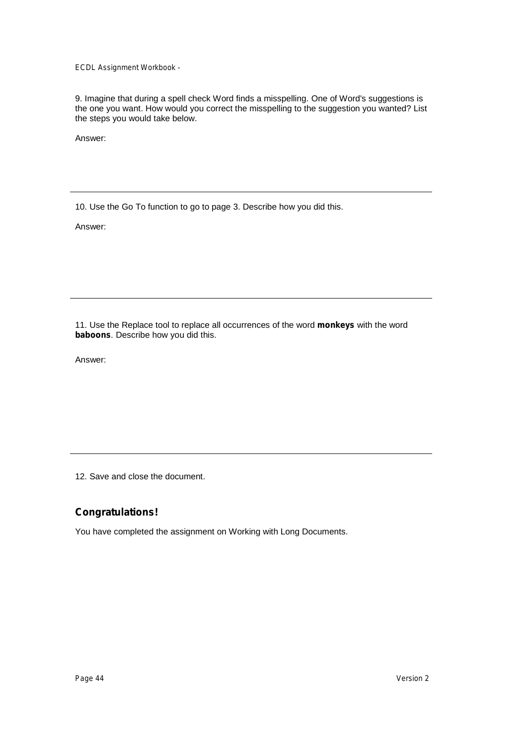9. Imagine that during a spell check Word finds a misspelling. One of Word's suggestions is the one you want. How would you correct the misspelling to the suggestion you wanted? List the steps you would take below.

Answer:

10. Use the Go To function to go to page 3. Describe how you did this.

Answer:

11. Use the Replace tool to replace all occurrences of the word **monkeys** with the word **baboons**. Describe how you did this.

Answer:

12. Save and close the document.

### **Congratulations!**

You have completed the assignment on Working with Long Documents.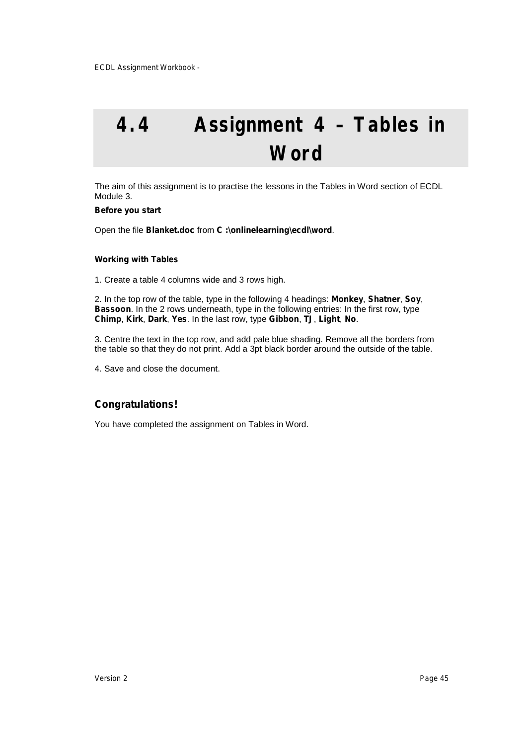# **4.4 Assignment 4 – Tables in Word**

The aim of this assignment is to practise the lessons in the Tables in Word section of ECDL Module 3.

#### **Before you start**

Open the file **Blanket.doc** from **C :\onlinelearning\ecdl\word**.

#### **Working with Tables**

1. Create a table 4 columns wide and 3 rows high.

2. In the top row of the table, type in the following 4 headings: **Monkey**, **Shatner**, **Soy**, **Bassoon**. In the 2 rows underneath, type in the following entries: In the first row, type **Chimp**, **Kirk**, **Dark**, **Yes**. In the last row, type **Gibbon**, **TJ**, **Light**, **No**.

3. Centre the text in the top row, and add pale blue shading. Remove all the borders from the table so that they do not print. Add a 3pt black border around the outside of the table.

4. Save and close the document.

### **Congratulations!**

You have completed the assignment on Tables in Word.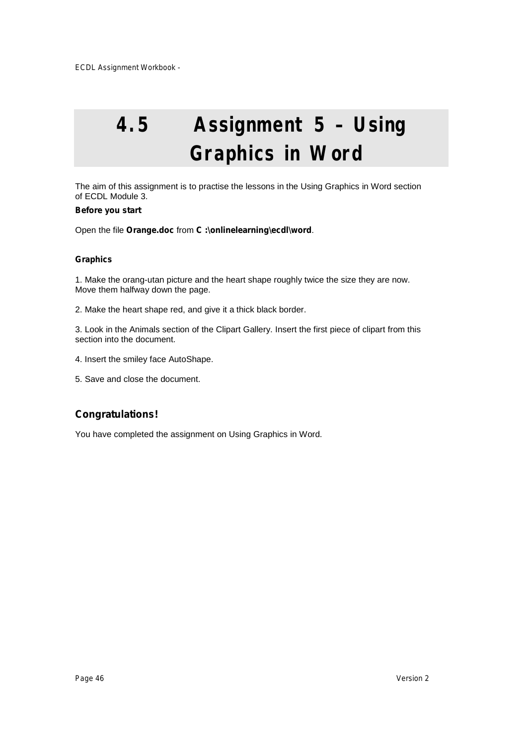# **4.5 Assignment 5 – Using Graphics in Word**

The aim of this assignment is to practise the lessons in the Using Graphics in Word section of ECDL Module 3.

#### **Before you start**

Open the file **Orange.doc** from **C :\onlinelearning\ecdl\word**.

#### **Graphics**

1. Make the orang-utan picture and the heart shape roughly twice the size they are now. Move them halfway down the page.

2. Make the heart shape red, and give it a thick black border.

3. Look in the Animals section of the Clipart Gallery. Insert the first piece of clipart from this section into the document.

- 4. Insert the smiley face AutoShape.
- 5. Save and close the document.

### **Congratulations!**

You have completed the assignment on Using Graphics in Word.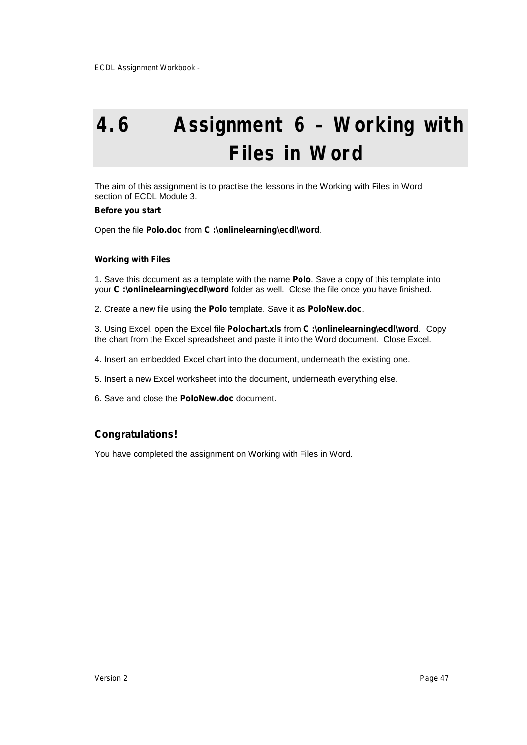# **4.6 Assignment 6 – Working with Files in Word**

The aim of this assignment is to practise the lessons in the Working with Files in Word section of ECDL Module 3.

#### **Before you start**

Open the file **Polo.doc** from **C :\onlinelearning\ecdl\word**.

#### **Working with Files**

1. Save this document as a template with the name **Polo**. Save a copy of this template into your **C :\onlinelearning\ecdl\word** folder as well. Close the file once you have finished.

2. Create a new file using the **Polo** template. Save it as **PoloNew.doc**.

3. Using Excel, open the Excel file **Polochart.xls** from **C :\onlinelearning\ecdl\word**. Copy the chart from the Excel spreadsheet and paste it into the Word document. Close Excel.

4. Insert an embedded Excel chart into the document, underneath the existing one.

5. Insert a new Excel worksheet into the document, underneath everything else.

6. Save and close the **PoloNew.doc** document.

### **Congratulations!**

You have completed the assignment on Working with Files in Word.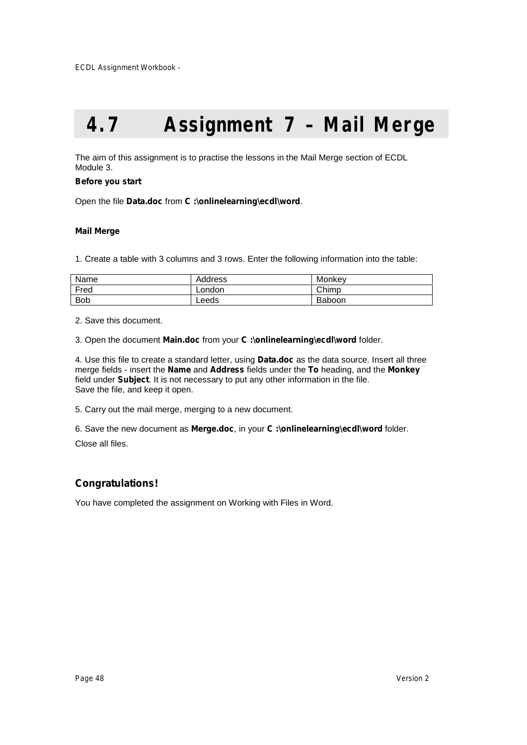# **4.7 Assignment 7 – Mail Merge**

The aim of this assignment is to practise the lessons in the Mail Merge section of ECDL Module 3.

#### **Before you start**

Open the file **Data.doc** from **C :\onlinelearning\ecdl\word**.

#### **Mail Merge**

1. Create a table with 3 columns and 3 rows. Enter the following information into the table:

| Name       | Address | Monkey |
|------------|---------|--------|
| Fred       | London  | Chimp  |
| <b>Bob</b> | Leeds   | Baboon |

2. Save this document.

3. Open the document **Main.doc** from your **C :\onlinelearning\ecdl\word** folder.

4. Use this file to create a standard letter, using **Data.doc** as the data source. Insert all three merge fields - insert the **Name** and **Address** fields under the **To** heading, and the **Monkey** field under **Subject**. It is not necessary to put any other information in the file. Save the file, and keep it open.

5. Carry out the mail merge, merging to a new document.

6. Save the new document as **Merge.doc**, in your **C :\onlinelearning\ecdl\word** folder.

Close all files.

### **Congratulations!**

You have completed the assignment on Working with Files in Word.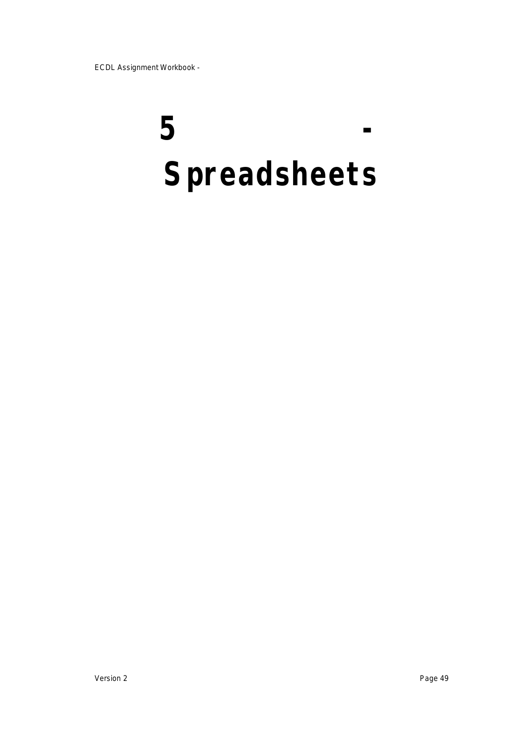# **5 - Spreadsheets**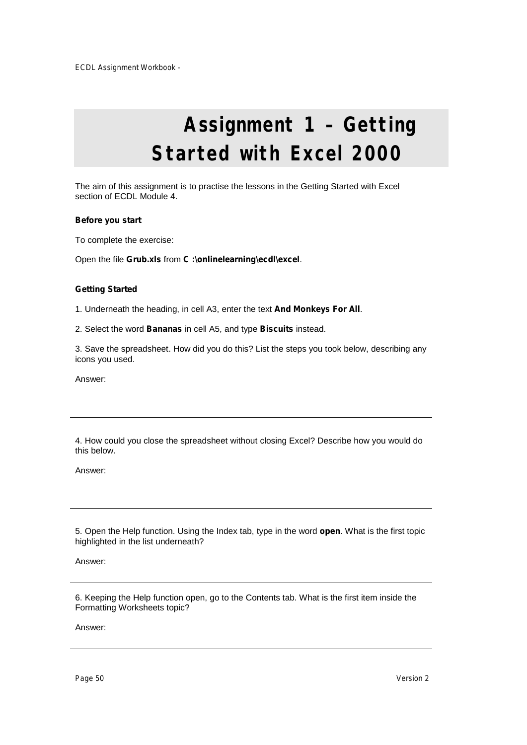# **Assignment 1 – Getting Started with Excel 2000**

The aim of this assignment is to practise the lessons in the Getting Started with Excel section of ECDL Module 4.

#### **Before you start**

To complete the exercise:

Open the file **Grub.xls** from **C :\onlinelearning\ecdl\excel**.

#### **Getting Started**

1. Underneath the heading, in cell A3, enter the text **And Monkeys For All**.

2. Select the word **Bananas** in cell A5, and type **Biscuits** instead.

3. Save the spreadsheet. How did you do this? List the steps you took below, describing any icons you used.

Answer:

4. How could you close the spreadsheet without closing Excel? Describe how you would do this below.

Answer:

5. Open the Help function. Using the Index tab, type in the word **open**. What is the first topic highlighted in the list underneath?

Answer:

6. Keeping the Help function open, go to the Contents tab. What is the first item inside the Formatting Worksheets topic?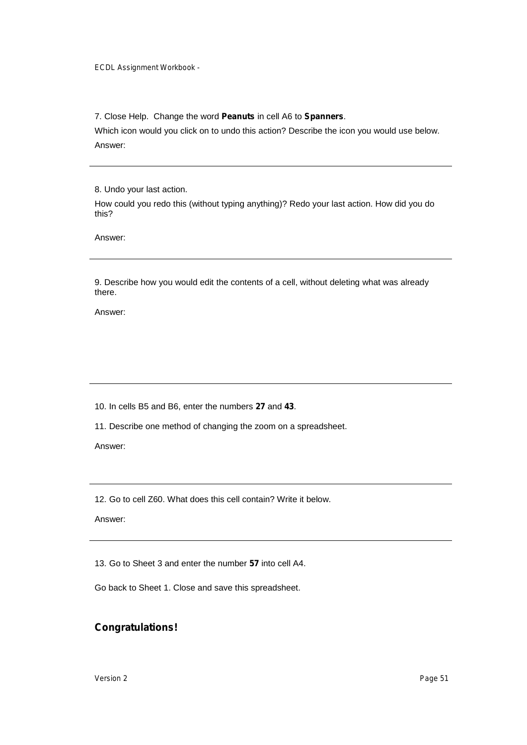7. Close Help. Change the word **Peanuts** in cell A6 to **Spanners**.

Which icon would you click on to undo this action? Describe the icon you would use below. Answer:

8. Undo your last action.

How could you redo this (without typing anything)? Redo your last action. How did you do this?

Answer:

9. Describe how you would edit the contents of a cell, without deleting what was already there.

Answer:

10. In cells B5 and B6, enter the numbers **27** and **43**.

11. Describe one method of changing the zoom on a spreadsheet.

Answer:

12. Go to cell Z60. What does this cell contain? Write it below.

Answer:

13. Go to Sheet 3 and enter the number **57** into cell A4.

Go back to Sheet 1. Close and save this spreadsheet.

### **Congratulations!**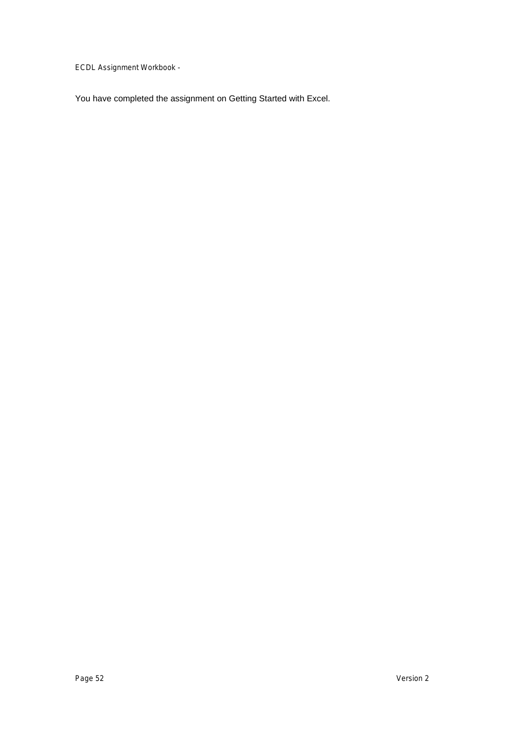You have completed the assignment on Getting Started with Excel.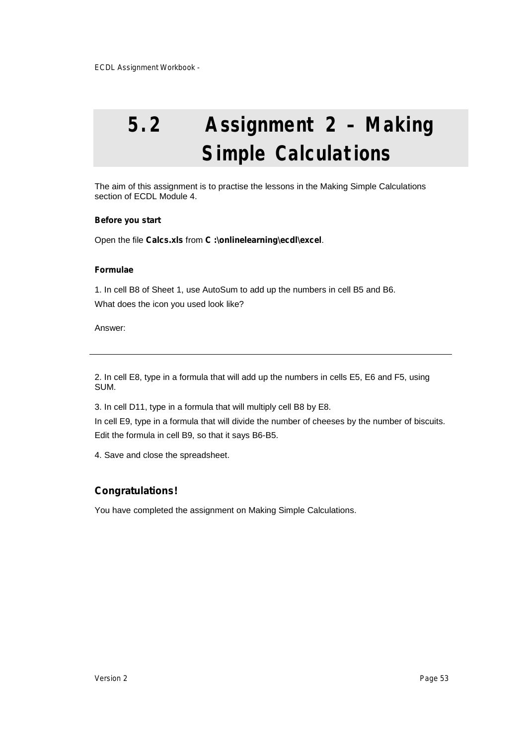# **5.2 Assignment 2 – Making Simple Calculations**

The aim of this assignment is to practise the lessons in the Making Simple Calculations section of ECDL Module 4.

#### **Before you start**

Open the file **Calcs.xls** from **C :\onlinelearning\ecdl\excel**.

#### **Formulae**

1. In cell B8 of Sheet 1, use AutoSum to add up the numbers in cell B5 and B6. What does the icon you used look like?

Answer:

2. In cell E8, type in a formula that will add up the numbers in cells E5, E6 and F5, using SUM.

3. In cell D11, type in a formula that will multiply cell B8 by E8.

In cell E9, type in a formula that will divide the number of cheeses by the number of biscuits. Edit the formula in cell B9, so that it says B6-B5.

4. Save and close the spreadsheet.

### **Congratulations!**

You have completed the assignment on Making Simple Calculations.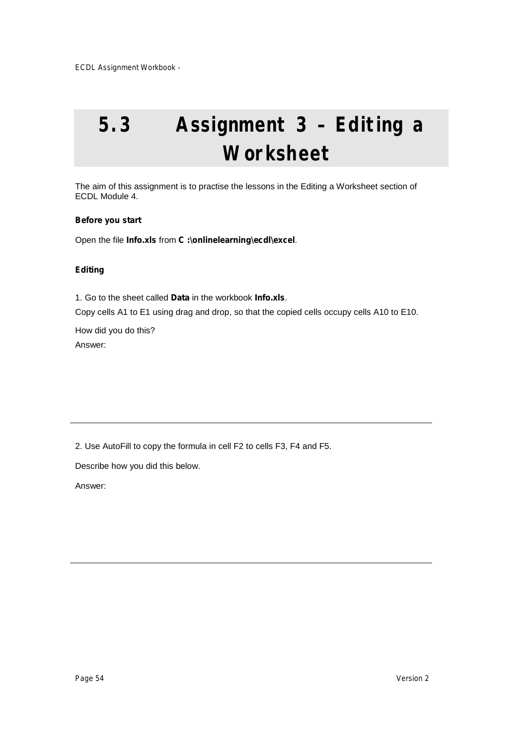# **5.3 Assignment 3 – Editing a Worksheet**

The aim of this assignment is to practise the lessons in the Editing a Worksheet section of ECDL Module 4.

#### **Before you start**

Open the file **Info.xls** from **C :\onlinelearning\ecdl\excel**.

#### **Editing**

1. Go to the sheet called **Data** in the workbook **Info.xls**.

Copy cells A1 to E1 using drag and drop, so that the copied cells occupy cells A10 to E10.

How did you do this? Answer:

2. Use AutoFill to copy the formula in cell F2 to cells F3, F4 and F5.

Describe how you did this below.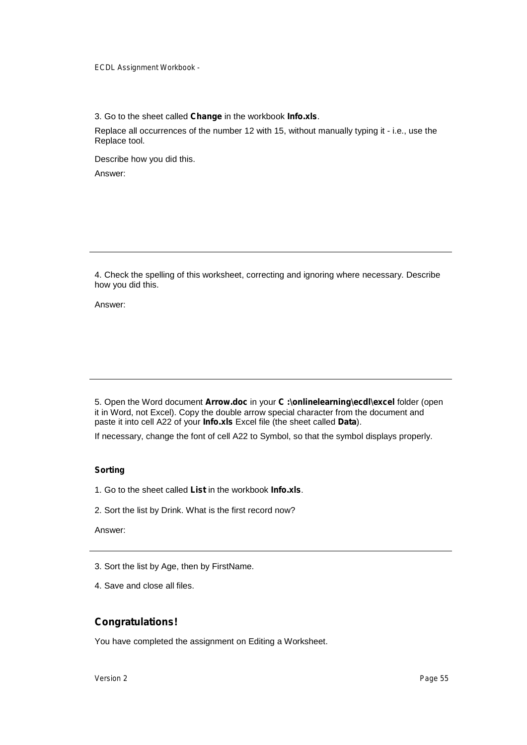3. Go to the sheet called **Change** in the workbook **Info.xls**.

Replace all occurrences of the number 12 with 15, without manually typing it - i.e., use the Replace tool.

Describe how you did this. Answer:

4. Check the spelling of this worksheet, correcting and ignoring where necessary. Describe how you did this.

Answer:

5. Open the Word document **Arrow.doc** in your **C :\onlinelearning\ecdl\excel** folder (open it in Word, not Excel). Copy the double arrow special character from the document and paste it into cell A22 of your **Info.xls** Excel file (the sheet called **Data**).

If necessary, change the font of cell A22 to Symbol, so that the symbol displays properly.

#### **Sorting**

- 1. Go to the sheet called **List** in the workbook **Info.xls**.
- 2. Sort the list by Drink. What is the first record now?

Answer:

- 3. Sort the list by Age, then by FirstName.
- 4. Save and close all files.

### **Congratulations!**

You have completed the assignment on Editing a Worksheet.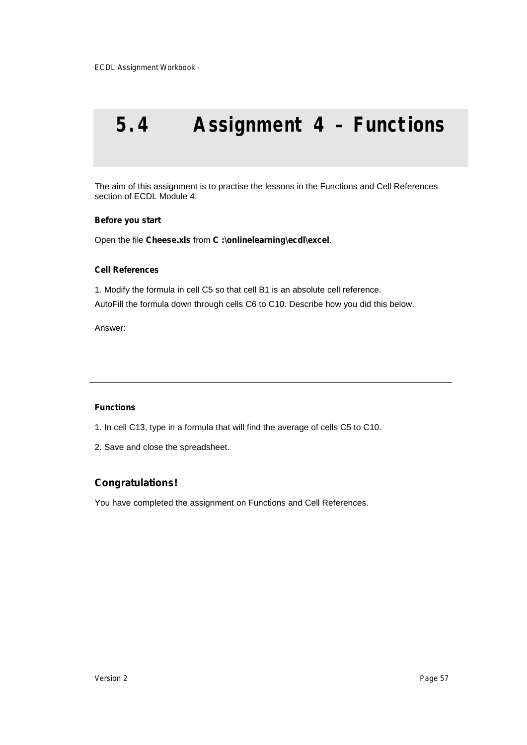## **5.4 Assignment 4 – Functions**

The aim of this assignment is to practise the lessons in the Functions and Cell References section of ECDL Module 4.

#### **Before you start**

Open the file **Cheese.xls** from **C :\onlinelearning\ecdl\excel**.

#### **Cell References**

1. Modify the formula in cell C5 so that cell B1 is an absolute cell reference. AutoFill the formula down through cells C6 to C10. Describe how you did this below.

Answer:

#### **Functions**

- 1. In cell C13, type in a formula that will find the average of cells C5 to C10.
- 2. Save and close the spreadsheet.

### **Congratulations!**

You have completed the assignment on Functions and Cell References.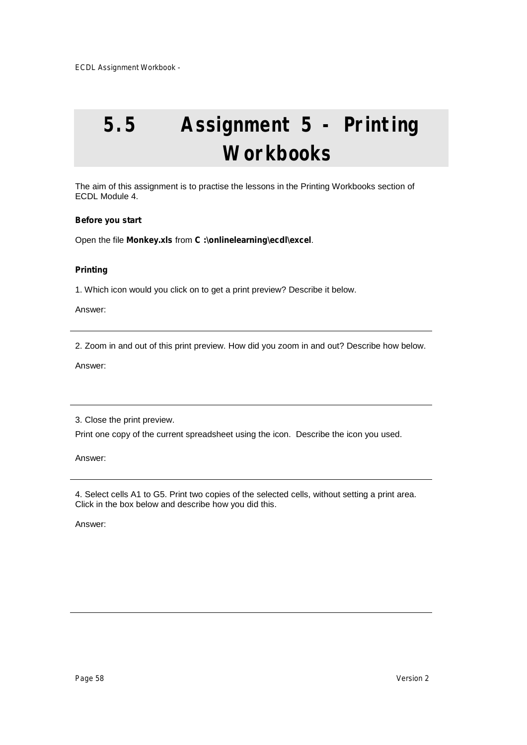# **5.5 Assignment 5 - Printing Workbooks**

The aim of this assignment is to practise the lessons in the Printing Workbooks section of ECDL Module 4.

#### **Before you start**

Open the file **Monkey.xls** from **C :\onlinelearning\ecdl\excel**.

#### **Printing**

1. Which icon would you click on to get a print preview? Describe it below.

Answer:

2. Zoom in and out of this print preview. How did you zoom in and out? Describe how below.

Answer:

3. Close the print preview.

Print one copy of the current spreadsheet using the icon. Describe the icon you used.

Answer:

4. Select cells A1 to G5. Print two copies of the selected cells, without setting a print area. Click in the box below and describe how you did this.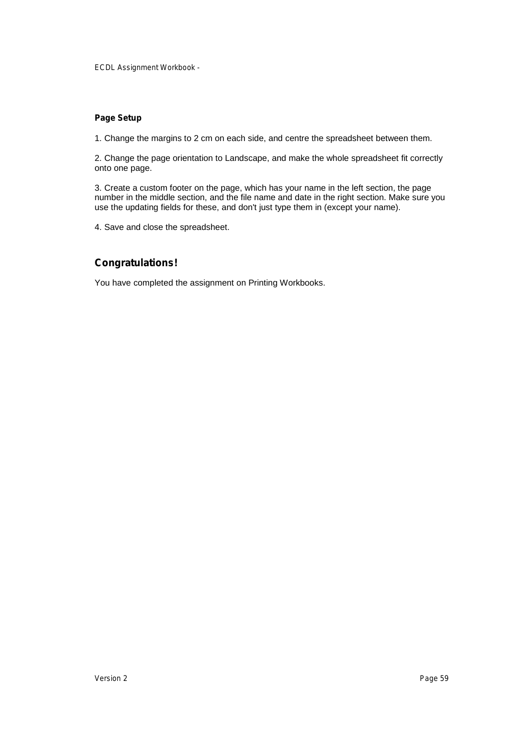#### **Page Setup**

1. Change the margins to 2 cm on each side, and centre the spreadsheet between them.

2. Change the page orientation to Landscape, and make the whole spreadsheet fit correctly onto one page.

3. Create a custom footer on the page, which has your name in the left section, the page number in the middle section, and the file name and date in the right section. Make sure you use the updating fields for these, and don't just type them in (except your name).

4. Save and close the spreadsheet.

### **Congratulations!**

You have completed the assignment on Printing Workbooks.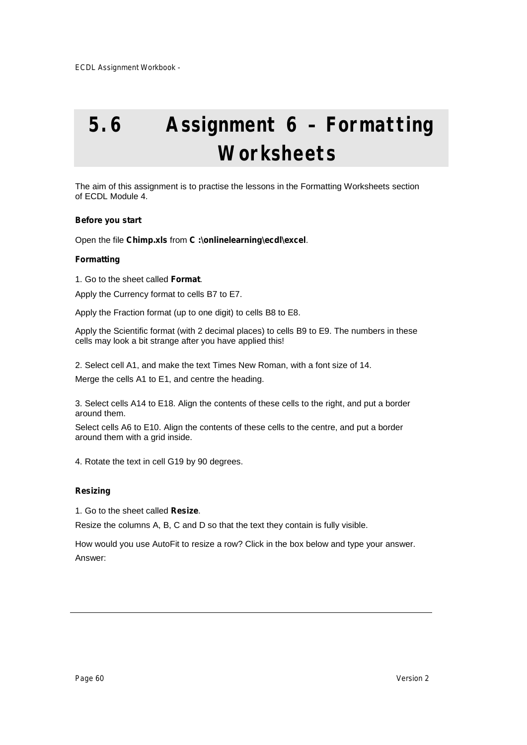# **5.6 Assignment 6 – Formatting Worksheets**

The aim of this assignment is to practise the lessons in the Formatting Worksheets section of ECDL Module 4.

#### **Before you start**

Open the file **Chimp.xls** from **C :\onlinelearning\ecdl\excel**.

#### **Formatting**

1. Go to the sheet called **Format**.

Apply the Currency format to cells B7 to E7.

Apply the Fraction format (up to one digit) to cells B8 to E8.

Apply the Scientific format (with 2 decimal places) to cells B9 to E9. The numbers in these cells may look a bit strange after you have applied this!

2. Select cell A1, and make the text Times New Roman, with a font size of 14.

Merge the cells A1 to E1, and centre the heading.

3. Select cells A14 to E18. Align the contents of these cells to the right, and put a border around them.

Select cells A6 to E10. Align the contents of these cells to the centre, and put a border around them with a grid inside.

4. Rotate the text in cell G19 by 90 degrees.

#### **Resizing**

1. Go to the sheet called **Resize**.

Resize the columns A, B, C and D so that the text they contain is fully visible.

How would you use AutoFit to resize a row? Click in the box below and type your answer. Answer: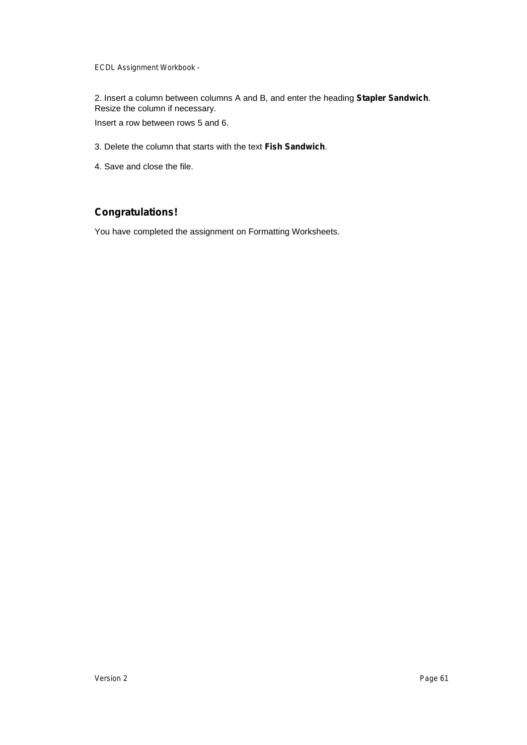2. Insert a column between columns A and B, and enter the heading **Stapler Sandwich**. Resize the column if necessary.

Insert a row between rows 5 and 6.

- 3. Delete the column that starts with the text **Fish Sandwich**.
- 4. Save and close the file.

### **Congratulations!**

You have completed the assignment on Formatting Worksheets.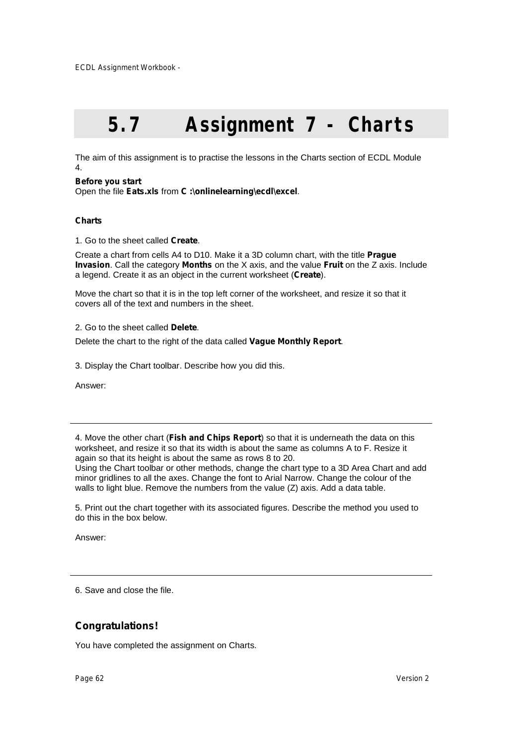# **5.7 Assignment 7 - Charts**

The aim of this assignment is to practise the lessons in the Charts section of ECDL Module 4.

#### **Before you start**

Open the file **Eats.xls** from **C :\onlinelearning\ecdl\excel**.

#### **Charts**

1. Go to the sheet called **Create**.

Create a chart from cells A4 to D10. Make it a 3D column chart, with the title **Prague Invasion**. Call the category **Months** on the X axis, and the value **Fruit** on the Z axis. Include a legend. Create it as an object in the current worksheet (**Create**).

Move the chart so that it is in the top left corner of the worksheet, and resize it so that it covers all of the text and numbers in the sheet.

#### 2. Go to the sheet called **Delete**.

Delete the chart to the right of the data called **Vague Monthly Report**.

3. Display the Chart toolbar. Describe how you did this.

Answer:

4. Move the other chart (**Fish and Chips Report**) so that it is underneath the data on this worksheet, and resize it so that its width is about the same as columns A to F. Resize it again so that its height is about the same as rows 8 to 20.

Using the Chart toolbar or other methods, change the chart type to a 3D Area Chart and add minor gridlines to all the axes. Change the font to Arial Narrow. Change the colour of the walls to light blue. Remove the numbers from the value (Z) axis. Add a data table.

5. Print out the chart together with its associated figures. Describe the method you used to do this in the box below.

Answer:

6. Save and close the file.

### **Congratulations!**

You have completed the assignment on Charts.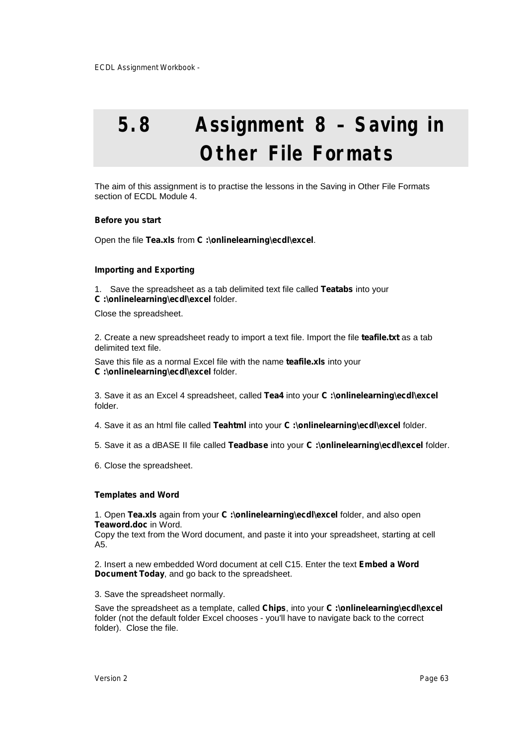# **5.8 Assignment 8 – Saving in Other File Formats**

The aim of this assignment is to practise the lessons in the Saving in Other File Formats section of ECDL Module 4.

#### **Before you start**

Open the file **Tea.xls** from **C :\onlinelearning\ecdl\excel**.

#### **Importing and Exporting**

1. Save the spreadsheet as a tab delimited text file called **Teatabs** into your **C :\onlinelearning\ecdl\excel** folder.

Close the spreadsheet.

2. Create a new spreadsheet ready to import a text file. Import the file **teafile.txt** as a tab delimited text file.

Save this file as a normal Excel file with the name **teafile.xls** into your **C :\onlinelearning\ecdl\excel** folder.

3. Save it as an Excel 4 spreadsheet, called **Tea4** into your **C :\onlinelearning\ecdl\excel** folder.

4. Save it as an html file called **Teahtml** into your **C :\onlinelearning\ecdl\excel** folder.

5. Save it as a dBASE II file called **Teadbase** into your **C :\onlinelearning\ecdl\excel** folder.

6. Close the spreadsheet.

#### **Templates and Word**

1. Open **Tea.xls** again from your **C :\onlinelearning\ecdl\excel** folder, and also open **Teaword.doc** in Word.

Copy the text from the Word document, and paste it into your spreadsheet, starting at cell A5.

2. Insert a new embedded Word document at cell C15. Enter the text **Embed a Word Document Today**, and go back to the spreadsheet.

3. Save the spreadsheet normally.

Save the spreadsheet as a template, called **Chips**, into your **C :\onlinelearning\ecdl\excel** folder (not the default folder Excel chooses - you'll have to navigate back to the correct folder). Close the file.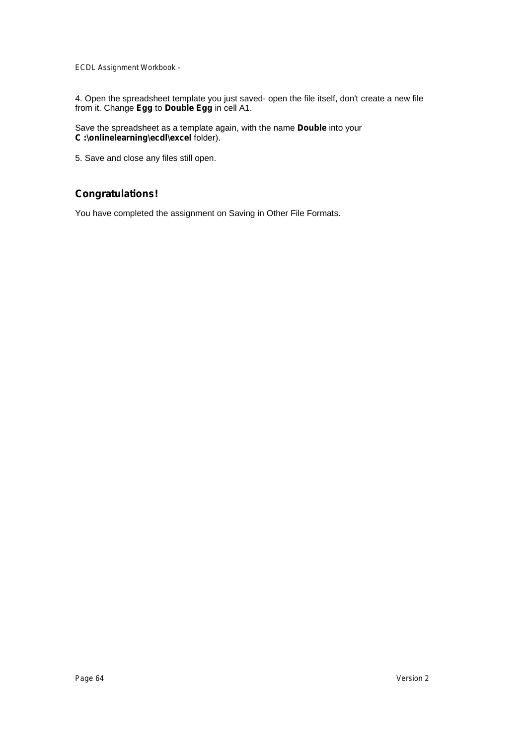4. Open the spreadsheet template you just saved- open the file itself, don't create a new file from it. Change **Egg** to **Double Egg** in cell A1.

Save the spreadsheet as a template again, with the name **Double** into your **C :\onlinelearning\ecdl\excel** folder).

5. Save and close any files still open.

### **Congratulations!**

You have completed the assignment on Saving in Other File Formats.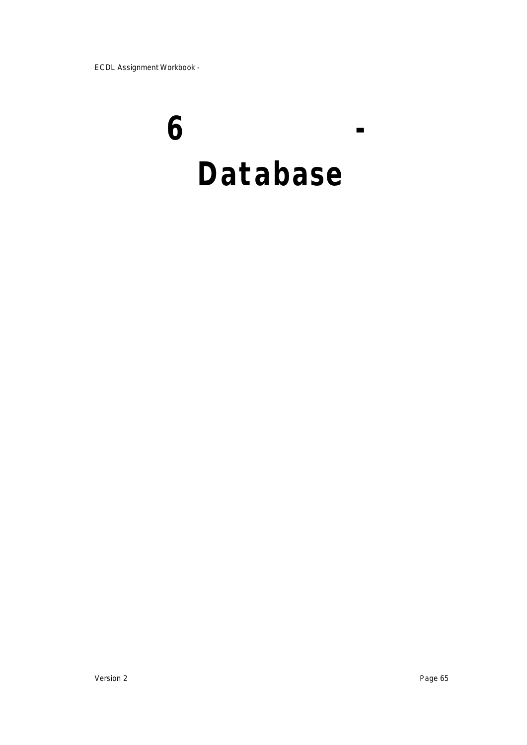# **6 - Database**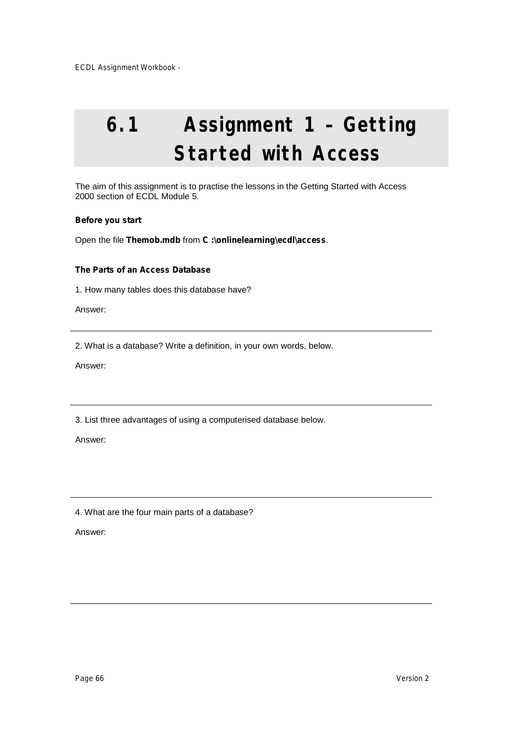# **6.1 Assignment 1 – Getting Started with Access**

The aim of this assignment is to practise the lessons in the Getting Started with Access 2000 section of ECDL Module 5.

#### **Before you start**

Open the file **Themob.mdb** from **C :\onlinelearning\ecdl\access**.

#### **The Parts of an Access Database**

1. How many tables does this database have?

Answer:

2. What is a database? Write a definition, in your own words, below.

Answer:

3. List three advantages of using a computerised database below.

Answer:

4. What are the four main parts of a database?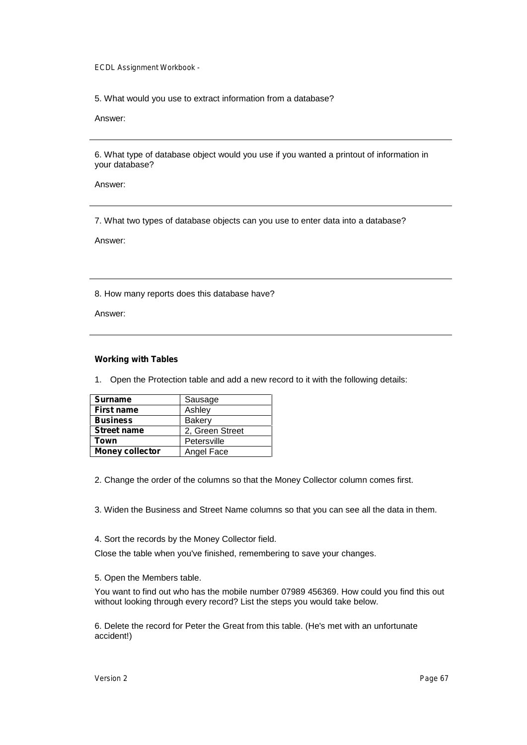5. What would you use to extract information from a database?

Answer:

6. What type of database object would you use if you wanted a printout of information in your database?

Answer:

7. What two types of database objects can you use to enter data into a database?

Answer:

8. How many reports does this database have?

Answer:

#### **Working with Tables**

1. Open the Protection table and add a new record to it with the following details:

| <b>Surname</b>         | Sausage         |  |
|------------------------|-----------------|--|
| <b>First name</b>      | Ashley          |  |
| <b>Business</b>        | Bakery          |  |
| <b>Street name</b>     | 2, Green Street |  |
| Town                   | Petersville     |  |
| <b>Money collector</b> | Angel Face      |  |

2. Change the order of the columns so that the Money Collector column comes first.

3. Widen the Business and Street Name columns so that you can see all the data in them.

4. Sort the records by the Money Collector field.

Close the table when you've finished, remembering to save your changes.

5. Open the Members table.

You want to find out who has the mobile number 07989 456369. How could you find this out without looking through every record? List the steps you would take below.

6. Delete the record for Peter the Great from this table. (He's met with an unfortunate accident!)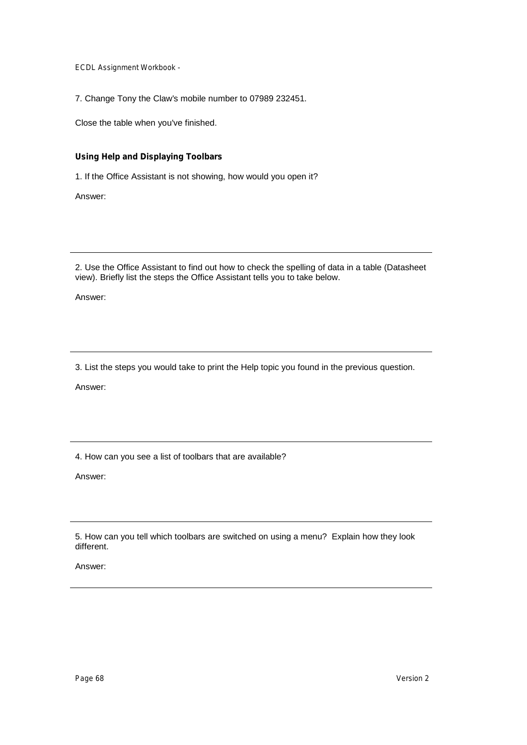7. Change Tony the Claw's mobile number to 07989 232451.

Close the table when you've finished.

#### **Using Help and Displaying Toolbars**

1. If the Office Assistant is not showing, how would you open it?

Answer:

2. Use the Office Assistant to find out how to check the spelling of data in a table (Datasheet view). Briefly list the steps the Office Assistant tells you to take below.

Answer:

3. List the steps you would take to print the Help topic you found in the previous question.

Answer:

4. How can you see a list of toolbars that are available?

Answer:

5. How can you tell which toolbars are switched on using a menu? Explain how they look different.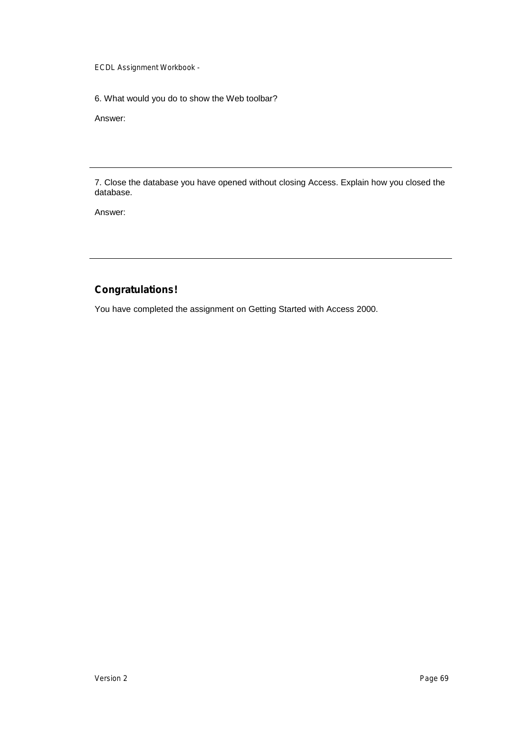6. What would you do to show the Web toolbar?

Answer:

7. Close the database you have opened without closing Access. Explain how you closed the database.

Answer:

### **Congratulations!**

You have completed the assignment on Getting Started with Access 2000.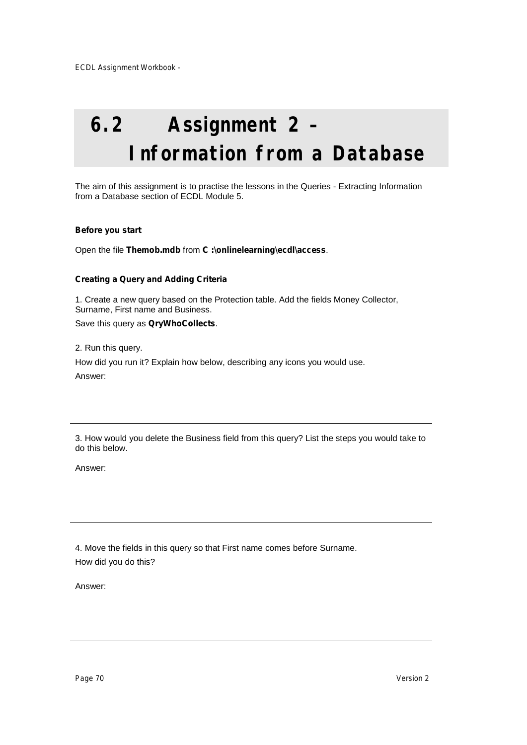# **6.2 Assignment 2 – Information from a Database**

The aim of this assignment is to practise the lessons in the Queries - Extracting Information from a Database section of ECDL Module 5.

#### **Before you start**

Open the file **Themob.mdb** from **C :\onlinelearning\ecdl\access**.

#### **Creating a Query and Adding Criteria**

1. Create a new query based on the Protection table. Add the fields Money Collector, Surname, First name and Business.

Save this query as **QryWhoCollects**.

2. Run this query.

How did you run it? Explain how below, describing any icons you would use. Answer:

3. How would you delete the Business field from this query? List the steps you would take to do this below.

Answer:

4. Move the fields in this query so that First name comes before Surname. How did you do this?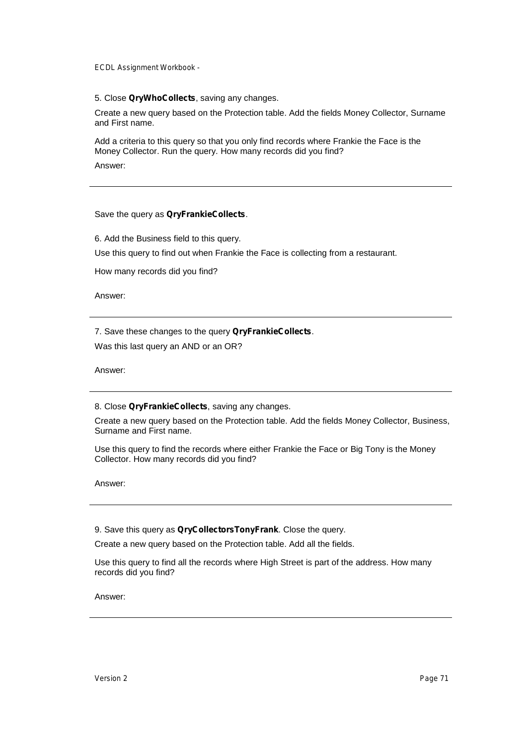5. Close **QryWhoCollects**, saving any changes.

Create a new query based on the Protection table. Add the fields Money Collector, Surname and First name.

Add a criteria to this query so that you only find records where Frankie the Face is the Money Collector. Run the query. How many records did you find?

Answer:

Save the query as **QryFrankieCollects**.

6. Add the Business field to this query.

Use this query to find out when Frankie the Face is collecting from a restaurant.

How many records did you find?

Answer:

7. Save these changes to the query **QryFrankieCollects**. Was this last query an AND or an OR?

Answer:

8. Close **QryFrankieCollects**, saving any changes.

Create a new query based on the Protection table. Add the fields Money Collector, Business, Surname and First name.

Use this query to find the records where either Frankie the Face or Big Tony is the Money Collector. How many records did you find?

Answer:

9. Save this query as **QryCollectorsTonyFrank**. Close the query.

Create a new query based on the Protection table. Add all the fields.

Use this query to find all the records where High Street is part of the address. How many records did you find?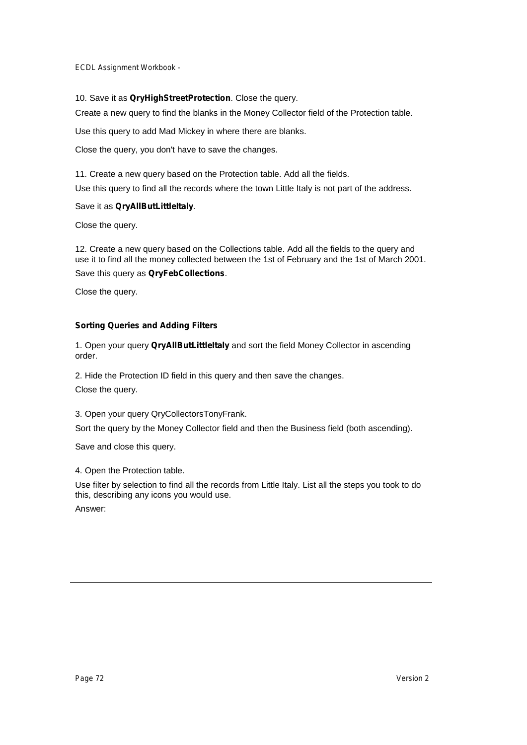#### 10. Save it as **QryHighStreetProtection**. Close the query.

Create a new query to find the blanks in the Money Collector field of the Protection table.

Use this query to add Mad Mickey in where there are blanks.

Close the query, you don't have to save the changes.

11. Create a new query based on the Protection table. Add all the fields.

Use this query to find all the records where the town Little Italy is not part of the address.

#### Save it as **QryAllButLittleItaly**.

Close the query.

12. Create a new query based on the Collections table. Add all the fields to the query and use it to find all the money collected between the 1st of February and the 1st of March 2001. Save this query as **QryFebCollections**.

Close the query.

### **Sorting Queries and Adding Filters**

1. Open your query **QryAllButLittleItaly** and sort the field Money Collector in ascending order.

2. Hide the Protection ID field in this query and then save the changes. Close the query.

3. Open your query QryCollectorsTonyFrank.

Sort the query by the Money Collector field and then the Business field (both ascending).

Save and close this query.

4. Open the Protection table.

Use filter by selection to find all the records from Little Italy. List all the steps you took to do this, describing any icons you would use.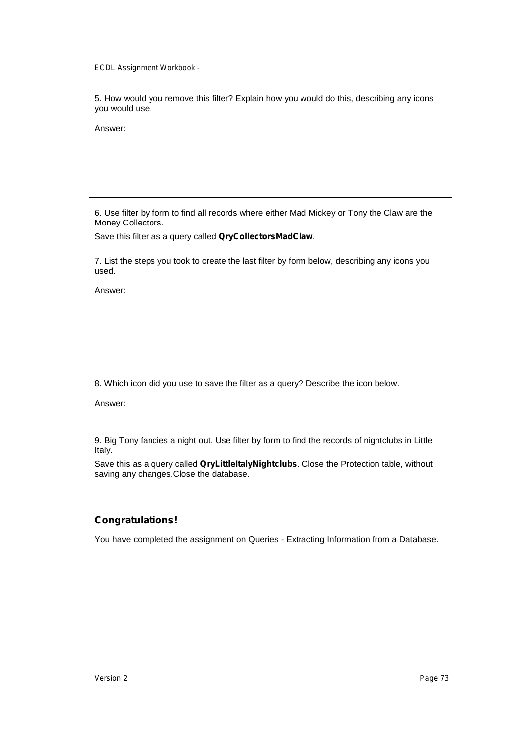5. How would you remove this filter? Explain how you would do this, describing any icons you would use.

Answer:

6. Use filter by form to find all records where either Mad Mickey or Tony the Claw are the Money Collectors.

Save this filter as a query called **QryCollectorsMadClaw**.

7. List the steps you took to create the last filter by form below, describing any icons you used.

Answer:

8. Which icon did you use to save the filter as a query? Describe the icon below.

Answer:

9. Big Tony fancies a night out. Use filter by form to find the records of nightclubs in Little Italy.

Save this as a query called **QryLittleItalyNightclubs**. Close the Protection table, without saving any changes.Close the database.

# **Congratulations!**

You have completed the assignment on Queries - Extracting Information from a Database.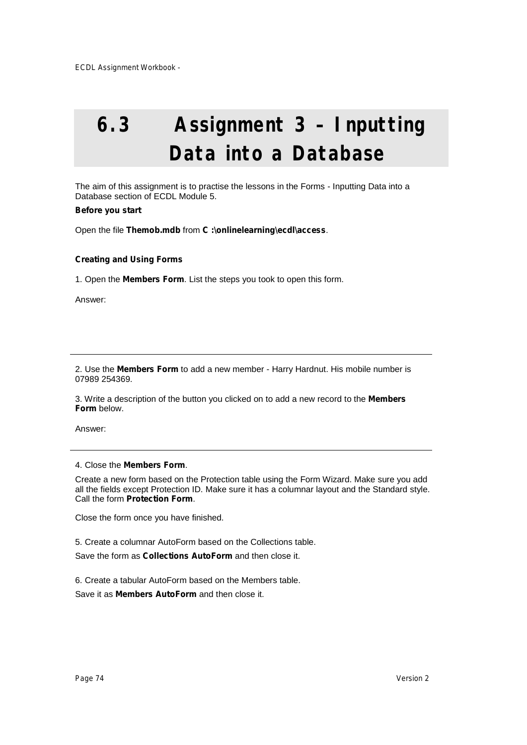# **6.3 Assignment 3 – Inputting Data into a Database**

The aim of this assignment is to practise the lessons in the Forms - Inputting Data into a Database section of ECDL Module 5.

### **Before you start**

Open the file **Themob.mdb** from **C :\onlinelearning\ecdl\access**.

# **Creating and Using Forms**

1. Open the **Members Form**. List the steps you took to open this form.

Answer:

2. Use the **Members Form** to add a new member - Harry Hardnut. His mobile number is 07989 254369.

3. Write a description of the button you clicked on to add a new record to the **Members Form** below.

Answer:

### 4. Close the **Members Form**.

Create a new form based on the Protection table using the Form Wizard. Make sure you add all the fields except Protection ID. Make sure it has a columnar layout and the Standard style. Call the form **Protection Form**.

Close the form once you have finished.

5. Create a columnar AutoForm based on the Collections table.

Save the form as **Collections AutoForm** and then close it.

6. Create a tabular AutoForm based on the Members table.

Save it as **Members AutoForm** and then close it.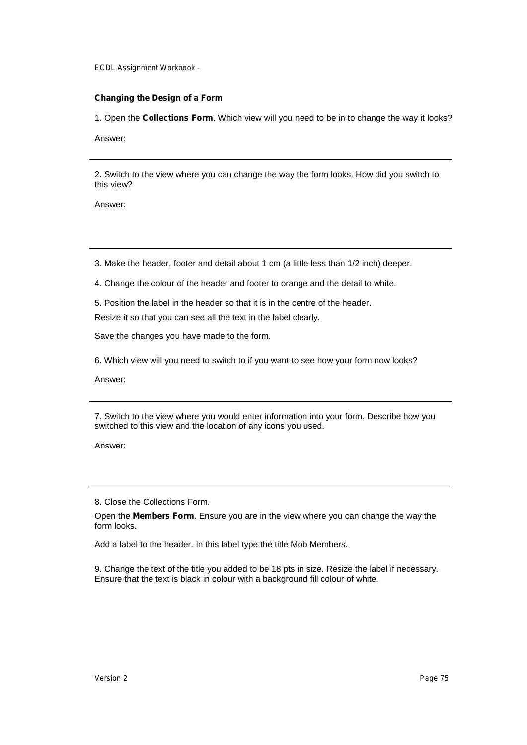# **Changing the Design of a Form**

1. Open the **Collections Form**. Which view will you need to be in to change the way it looks?

Answer:

2. Switch to the view where you can change the way the form looks. How did you switch to this view?

Answer:

3. Make the header, footer and detail about 1 cm (a little less than 1/2 inch) deeper.

4. Change the colour of the header and footer to orange and the detail to white.

5. Position the label in the header so that it is in the centre of the header.

Resize it so that you can see all the text in the label clearly.

Save the changes you have made to the form.

6. Which view will you need to switch to if you want to see how your form now looks?

Answer:

7. Switch to the view where you would enter information into your form. Describe how you switched to this view and the location of any icons you used.

Answer:

8. Close the Collections Form.

Open the **Members Form**. Ensure you are in the view where you can change the way the form looks.

Add a label to the header. In this label type the title Mob Members.

9. Change the text of the title you added to be 18 pts in size. Resize the label if necessary. Ensure that the text is black in colour with a background fill colour of white.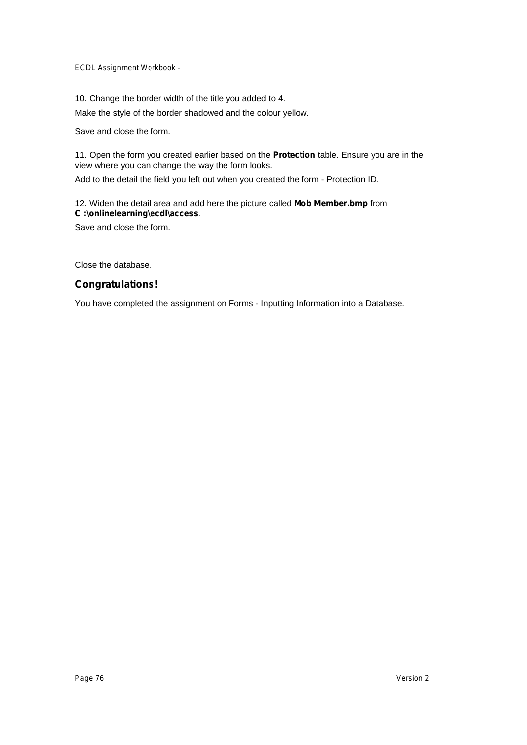10. Change the border width of the title you added to 4.

Make the style of the border shadowed and the colour yellow.

Save and close the form.

11. Open the form you created earlier based on the **Protection** table. Ensure you are in the view where you can change the way the form looks.

Add to the detail the field you left out when you created the form - Protection ID.

# 12. Widen the detail area and add here the picture called **Mob Member.bmp** from **C :\onlinelearning\ecdl\access**.

Save and close the form.

Close the database.

# **Congratulations!**

You have completed the assignment on Forms - Inputting Information into a Database.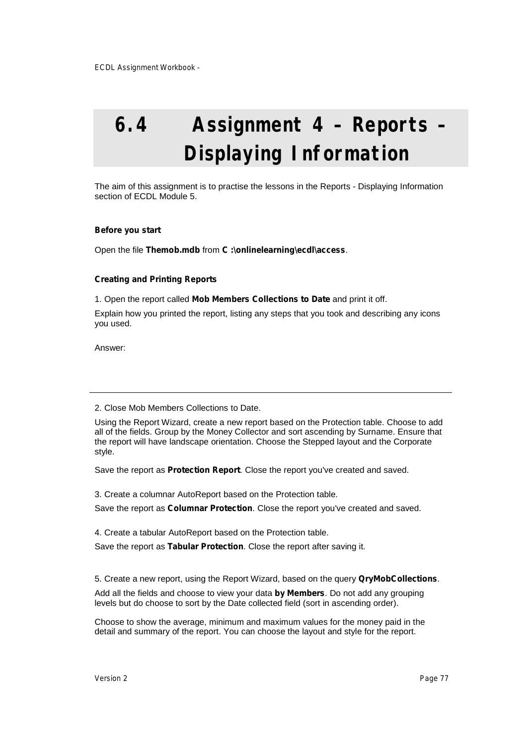# **6.4 Assignment 4 – Reports – Displaying Information**

The aim of this assignment is to practise the lessons in the Reports - Displaying Information section of ECDL Module 5.

#### **Before you start**

Open the file **Themob.mdb** from **C :\onlinelearning\ecdl\access**.

### **Creating and Printing Reports**

1. Open the report called **Mob Members Collections to Date** and print it off.

Explain how you printed the report, listing any steps that you took and describing any icons you used.

Answer:

Using the Report Wizard, create a new report based on the Protection table. Choose to add all of the fields. Group by the Money Collector and sort ascending by Surname. Ensure that the report will have landscape orientation. Choose the Stepped layout and the Corporate style.

Save the report as **Protection Report**. Close the report you've created and saved.

3. Create a columnar AutoReport based on the Protection table. Save the report as **Columnar Protection**. Close the report you've created and saved.

4. Create a tabular AutoReport based on the Protection table. Save the report as **Tabular Protection**. Close the report after saving it.

5. Create a new report, using the Report Wizard, based on the query **QryMobCollections**.

Add all the fields and choose to view your data **by Members**. Do not add any grouping levels but do choose to sort by the Date collected field (sort in ascending order).

Choose to show the average, minimum and maximum values for the money paid in the detail and summary of the report. You can choose the layout and style for the report.

<sup>2.</sup> Close Mob Members Collections to Date.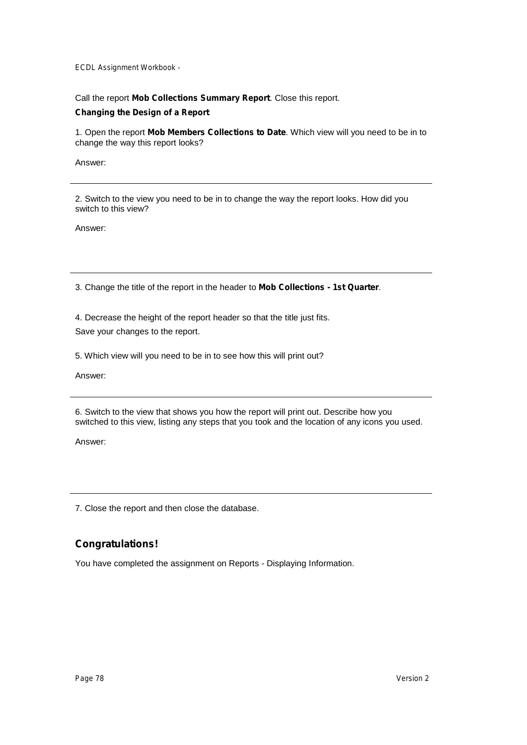Call the report **Mob Collections Summary Report**. Close this report.

# **Changing the Design of a Report**

1. Open the report **Mob Members Collections to Date**. Which view will you need to be in to change the way this report looks?

Answer:

2. Switch to the view you need to be in to change the way the report looks. How did you switch to this view?

Answer:

3. Change the title of the report in the header to **Mob Collections - 1st Quarter**.

4. Decrease the height of the report header so that the title just fits. Save your changes to the report.

5. Which view will you need to be in to see how this will print out?

Answer:

6. Switch to the view that shows you how the report will print out. Describe how you switched to this view, listing any steps that you took and the location of any icons you used.

Answer:

7. Close the report and then close the database.

# **Congratulations!**

You have completed the assignment on Reports - Displaying Information.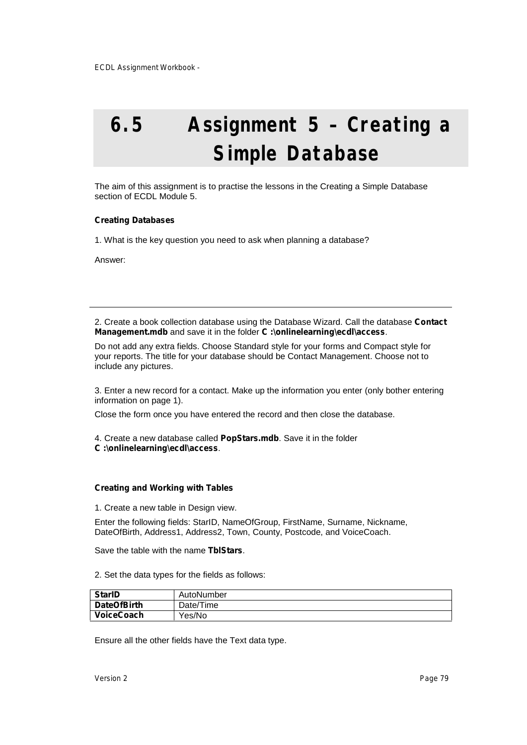# **6.5 Assignment 5 – Creating a Simple Database**

The aim of this assignment is to practise the lessons in the Creating a Simple Database section of ECDL Module 5.

### **Creating Databases**

1. What is the key question you need to ask when planning a database?

Answer:

2. Create a book collection database using the Database Wizard. Call the database **Contact Management.mdb** and save it in the folder **C :\onlinelearning\ecdl\access**.

Do not add any extra fields. Choose Standard style for your forms and Compact style for your reports. The title for your database should be Contact Management. Choose not to include any pictures.

3. Enter a new record for a contact. Make up the information you enter (only bother entering information on page 1).

Close the form once you have entered the record and then close the database.

4. Create a new database called **PopStars.mdb**. Save it in the folder **C :\onlinelearning\ecdl\access**.

### **Creating and Working with Tables**

1. Create a new table in Design view.

Enter the following fields: StarID, NameOfGroup, FirstName, Surname, Nickname, DateOfBirth, Address1, Address2, Town, County, Postcode, and VoiceCoach.

Save the table with the name **TblStars**.

2. Set the data types for the fields as follows:

| <b>StarID</b>      | AutoNumber |
|--------------------|------------|
| <b>DateOfBirth</b> | Date/Time  |
| <b>VoiceCoach</b>  | Yes/No     |

Ensure all the other fields have the Text data type.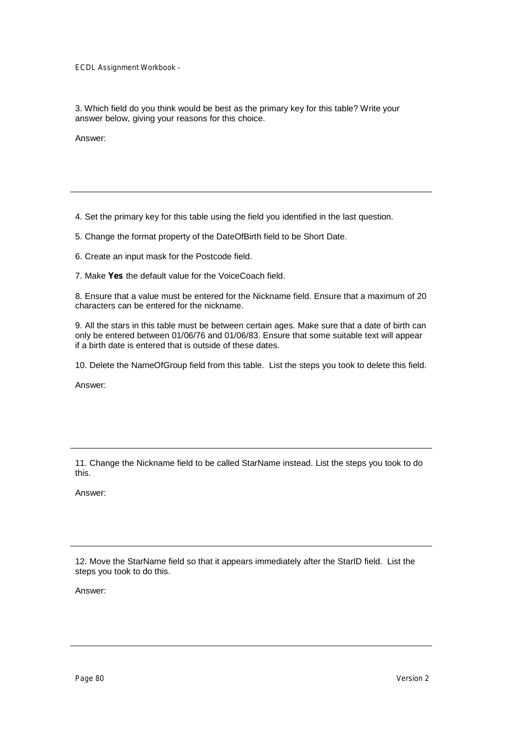3. Which field do you think would be best as the primary key for this table? Write your answer below, giving your reasons for this choice.

Answer:

4. Set the primary key for this table using the field you identified in the last question.

5. Change the format property of the DateOfBirth field to be Short Date.

6. Create an input mask for the Postcode field.

7. Make **Yes** the default value for the VoiceCoach field.

8. Ensure that a value must be entered for the Nickname field. Ensure that a maximum of 20 characters can be entered for the nickname.

9. All the stars in this table must be between certain ages. Make sure that a date of birth can only be entered between 01/06/76 and 01/06/83. Ensure that some suitable text will appear if a birth date is entered that is outside of these dates.

10. Delete the NameOfGroup field from this table. List the steps you took to delete this field.

Answer:

11. Change the Nickname field to be called StarName instead. List the steps you took to do this.

Answer:

12. Move the StarName field so that it appears immediately after the StarID field. List the steps you took to do this.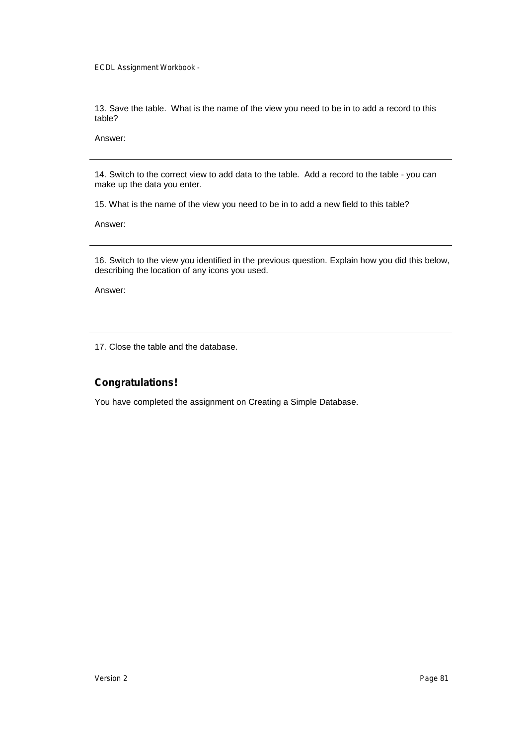13. Save the table. What is the name of the view you need to be in to add a record to this table?

Answer:

14. Switch to the correct view to add data to the table. Add a record to the table - you can make up the data you enter.

15. What is the name of the view you need to be in to add a new field to this table?

Answer:

16. Switch to the view you identified in the previous question. Explain how you did this below, describing the location of any icons you used.

Answer:

17. Close the table and the database.

# **Congratulations!**

You have completed the assignment on Creating a Simple Database.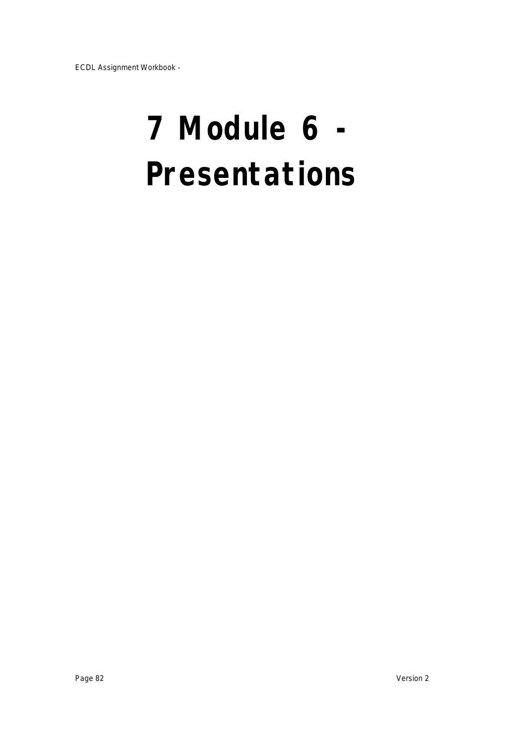# **7 Module 6 - Presentations**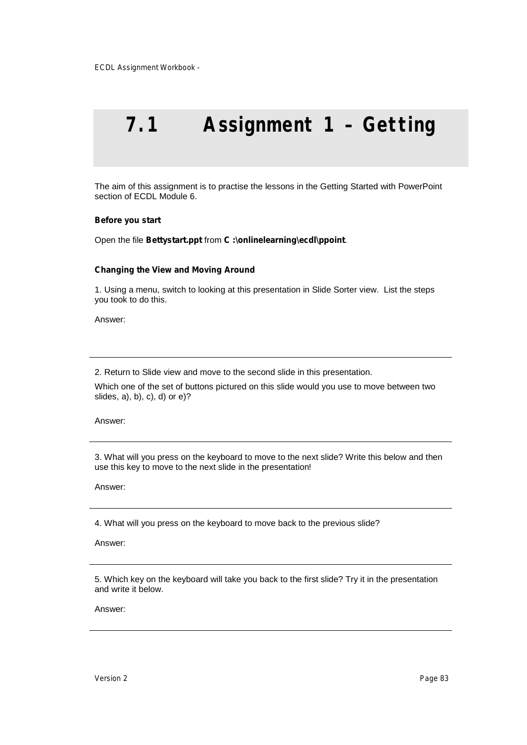# **7.1 Assignment 1 – Getting**

The aim of this assignment is to practise the lessons in the Getting Started with PowerPoint section of ECDL Module 6.

#### **Before you start**

Open the file **Bettystart.ppt** from **C :\onlinelearning\ecdl\ppoint**.

#### **Changing the View and Moving Around**

1. Using a menu, switch to looking at this presentation in Slide Sorter view. List the steps you took to do this.

Answer:

2. Return to Slide view and move to the second slide in this presentation.

Which one of the set of buttons pictured on this slide would you use to move between two slides, a), b), c), d) or e)?

Answer:

3. What will you press on the keyboard to move to the next slide? Write this below and then use this key to move to the next slide in the presentation!

Answer:

4. What will you press on the keyboard to move back to the previous slide?

Answer:

5. Which key on the keyboard will take you back to the first slide? Try it in the presentation and write it below.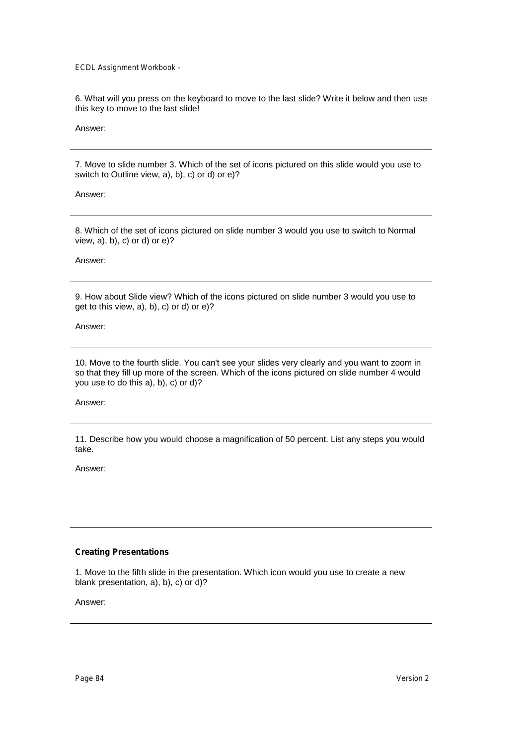6. What will you press on the keyboard to move to the last slide? Write it below and then use this key to move to the last slide!

Answer:

7. Move to slide number 3. Which of the set of icons pictured on this slide would you use to switch to Outline view, a), b), c) or d) or e)?

Answer:

8. Which of the set of icons pictured on slide number 3 would you use to switch to Normal view, a), b), c) or d) or e)?

Answer:

9. How about Slide view? Which of the icons pictured on slide number 3 would you use to get to this view, a), b), c) or d) or e)?

Answer:

10. Move to the fourth slide. You can't see your slides very clearly and you want to zoom in so that they fill up more of the screen. Which of the icons pictured on slide number 4 would you use to do this a), b), c) or d)?

Answer:

11. Describe how you would choose a magnification of 50 percent. List any steps you would take.

Answer:

# **Creating Presentations**

1. Move to the fifth slide in the presentation. Which icon would you use to create a new blank presentation, a), b), c) or d)?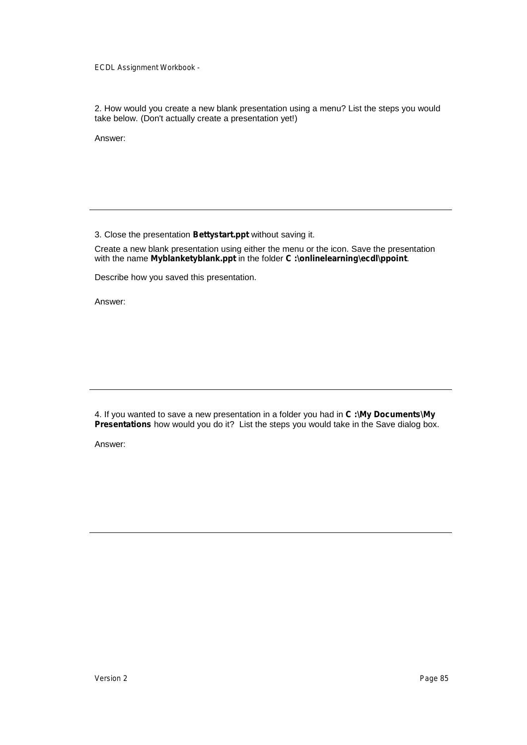2. How would you create a new blank presentation using a menu? List the steps you would take below. (Don't actually create a presentation yet!)

Answer:

3. Close the presentation **Bettystart.ppt** without saving it.

Create a new blank presentation using either the menu or the icon. Save the presentation with the name **Myblanketyblank.ppt** in the folder **C :\onlinelearning\ecdl\ppoint**.

Describe how you saved this presentation.

Answer:

4. If you wanted to save a new presentation in a folder you had in **C :\My Documents\My Presentations** how would you do it? List the steps you would take in the Save dialog box.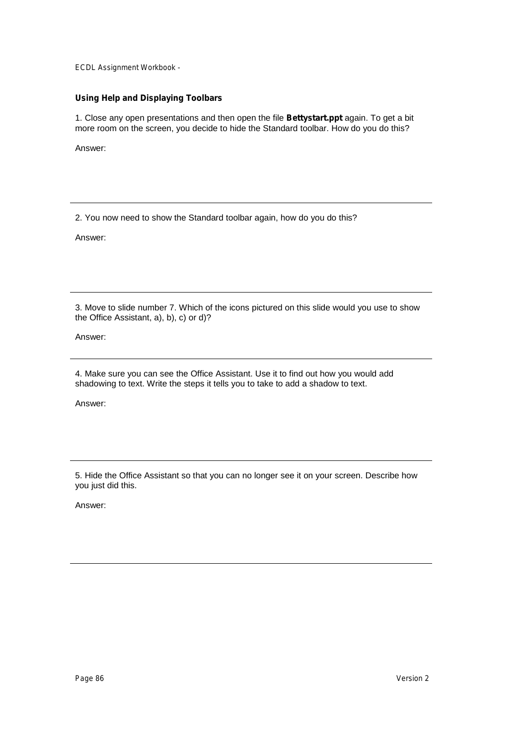# **Using Help and Displaying Toolbars**

1. Close any open presentations and then open the file **Bettystart.ppt** again. To get a bit more room on the screen, you decide to hide the Standard toolbar. How do you do this?

Answer:

2. You now need to show the Standard toolbar again, how do you do this?

Answer:

3. Move to slide number 7. Which of the icons pictured on this slide would you use to show the Office Assistant, a), b), c) or d)?

Answer:

4. Make sure you can see the Office Assistant. Use it to find out how you would add shadowing to text. Write the steps it tells you to take to add a shadow to text.

Answer:

5. Hide the Office Assistant so that you can no longer see it on your screen. Describe how you just did this.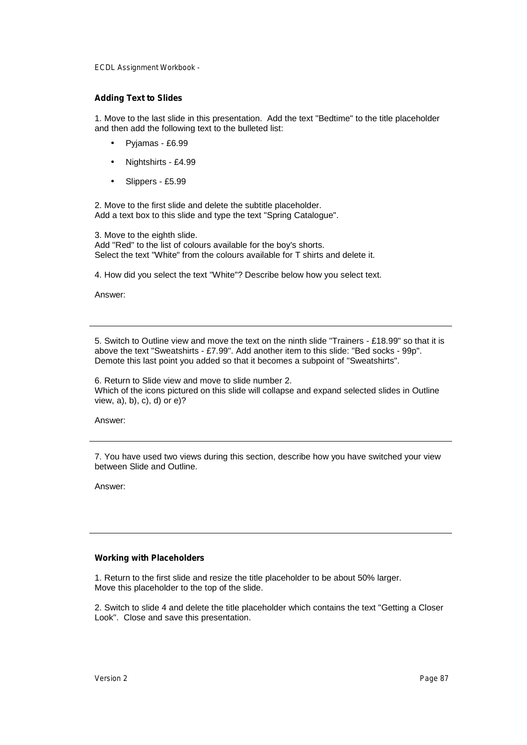#### **Adding Text to Slides**

1. Move to the last slide in this presentation. Add the text "Bedtime" to the title placeholder and then add the following text to the bulleted list:

- Pyjamas £6.99
- Nightshirts £4.99
- Slippers £5.99

2. Move to the first slide and delete the subtitle placeholder. Add a text box to this slide and type the text "Spring Catalogue".

3. Move to the eighth slide. Add "Red" to the list of colours available for the boy's shorts. Select the text "White" from the colours available for T shirts and delete it.

4. How did you select the text "White"? Describe below how you select text.

Answer:

5. Switch to Outline view and move the text on the ninth slide "Trainers - £18.99" so that it is above the text "Sweatshirts - £7.99". Add another item to this slide: "Bed socks - 99p". Demote this last point you added so that it becomes a subpoint of "Sweatshirts".

6. Return to Slide view and move to slide number 2. Which of the icons pictured on this slide will collapse and expand selected slides in Outline view, a), b), c), d) or e)?

Answer:

7. You have used two views during this section, describe how you have switched your view between Slide and Outline.

Answer:

### **Working with Placeholders**

1. Return to the first slide and resize the title placeholder to be about 50% larger. Move this placeholder to the top of the slide.

2. Switch to slide 4 and delete the title placeholder which contains the text "Getting a Closer Look". Close and save this presentation.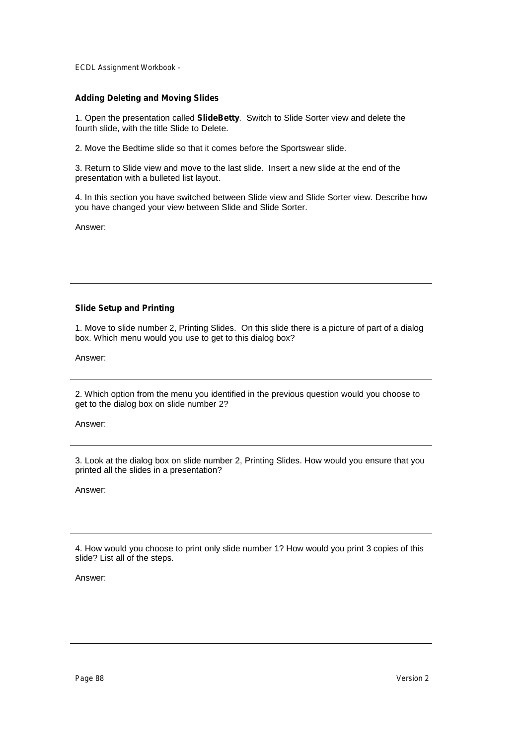# **Adding Deleting and Moving Slides**

1. Open the presentation called **SlideBetty**. Switch to Slide Sorter view and delete the fourth slide, with the title Slide to Delete.

2. Move the Bedtime slide so that it comes before the Sportswear slide.

3. Return to Slide view and move to the last slide. Insert a new slide at the end of the presentation with a bulleted list layout.

4. In this section you have switched between Slide view and Slide Sorter view. Describe how you have changed your view between Slide and Slide Sorter.

Answer:

# **Slide Setup and Printing**

1. Move to slide number 2, Printing Slides. On this slide there is a picture of part of a dialog box. Which menu would you use to get to this dialog box?

Answer:

2. Which option from the menu you identified in the previous question would you choose to get to the dialog box on slide number 2?

Answer:

3. Look at the dialog box on slide number 2, Printing Slides. How would you ensure that you printed all the slides in a presentation?

Answer:

4. How would you choose to print only slide number 1? How would you print 3 copies of this slide? List all of the steps.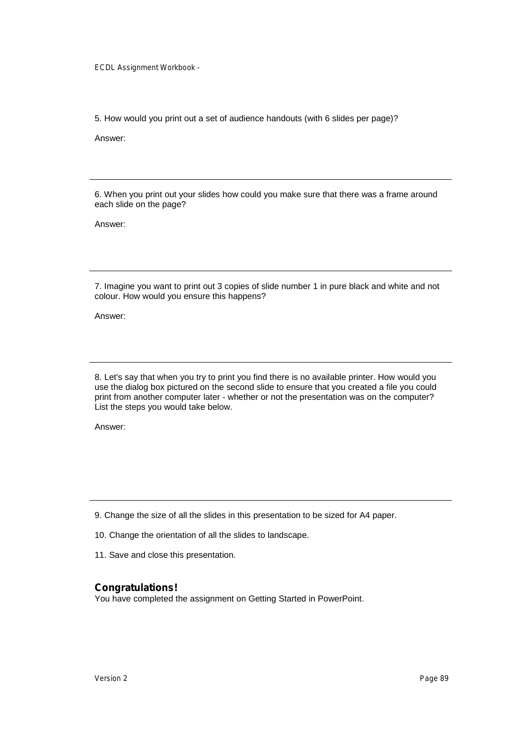5. How would you print out a set of audience handouts (with 6 slides per page)?

Answer:

6. When you print out your slides how could you make sure that there was a frame around each slide on the page?

Answer:

7. Imagine you want to print out 3 copies of slide number 1 in pure black and white and not colour. How would you ensure this happens?

Answer:

8. Let's say that when you try to print you find there is no available printer. How would you use the dialog box pictured on the second slide to ensure that you created a file you could print from another computer later - whether or not the presentation was on the computer? List the steps you would take below.

Answer:

9. Change the size of all the slides in this presentation to be sized for A4 paper.

10. Change the orientation of all the slides to landscape.

11. Save and close this presentation.

# **Congratulations!**

You have completed the assignment on Getting Started in PowerPoint.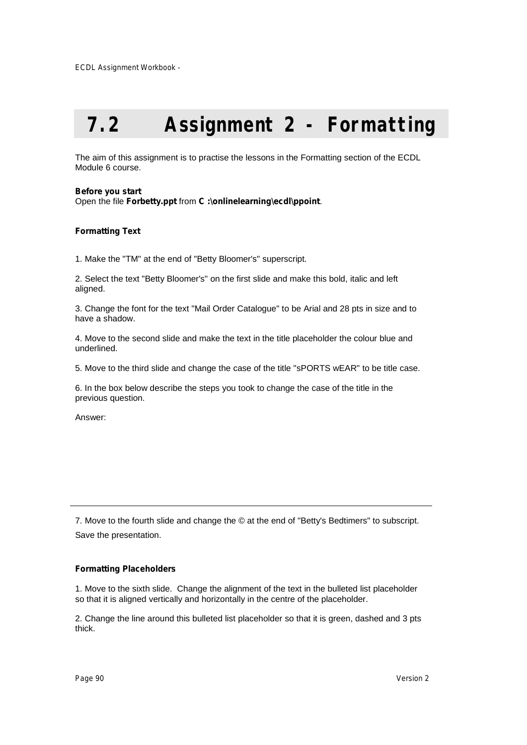# **7.2 Assignment 2 - Formatting**

The aim of this assignment is to practise the lessons in the Formatting section of the ECDL Module 6 course.

#### **Before you start**

Open the file **Forbetty.ppt** from **C :\onlinelearning\ecdl\ppoint**.

### **Formatting Text**

1. Make the "TM" at the end of "Betty Bloomer's" superscript.

2. Select the text "Betty Bloomer's" on the first slide and make this bold, italic and left aligned.

3. Change the font for the text "Mail Order Catalogue" to be Arial and 28 pts in size and to have a shadow.

4. Move to the second slide and make the text in the title placeholder the colour blue and underlined.

5. Move to the third slide and change the case of the title "sPORTS wEAR" to be title case.

6. In the box below describe the steps you took to change the case of the title in the previous question.

Answer:

7. Move to the fourth slide and change the © at the end of "Betty's Bedtimers" to subscript. Save the presentation.

### **Formatting Placeholders**

1. Move to the sixth slide. Change the alignment of the text in the bulleted list placeholder so that it is aligned vertically and horizontally in the centre of the placeholder.

2. Change the line around this bulleted list placeholder so that it is green, dashed and 3 pts thick.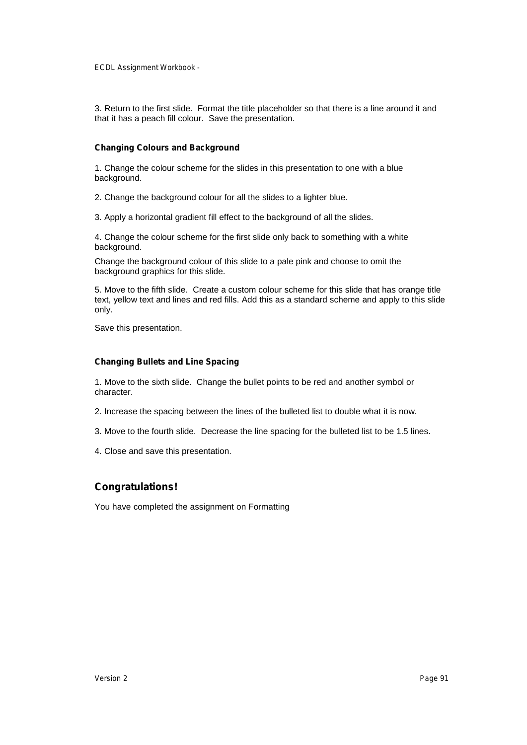3. Return to the first slide. Format the title placeholder so that there is a line around it and that it has a peach fill colour. Save the presentation.

#### **Changing Colours and Background**

1. Change the colour scheme for the slides in this presentation to one with a blue background.

2. Change the background colour for all the slides to a lighter blue.

3. Apply a horizontal gradient fill effect to the background of all the slides.

4. Change the colour scheme for the first slide only back to something with a white background.

Change the background colour of this slide to a pale pink and choose to omit the background graphics for this slide.

5. Move to the fifth slide. Create a custom colour scheme for this slide that has orange title text, yellow text and lines and red fills. Add this as a standard scheme and apply to this slide only.

Save this presentation.

### **Changing Bullets and Line Spacing**

1. Move to the sixth slide. Change the bullet points to be red and another symbol or character.

- 2. Increase the spacing between the lines of the bulleted list to double what it is now.
- 3. Move to the fourth slide. Decrease the line spacing for the bulleted list to be 1.5 lines.
- 4. Close and save this presentation.

# **Congratulations!**

You have completed the assignment on Formatting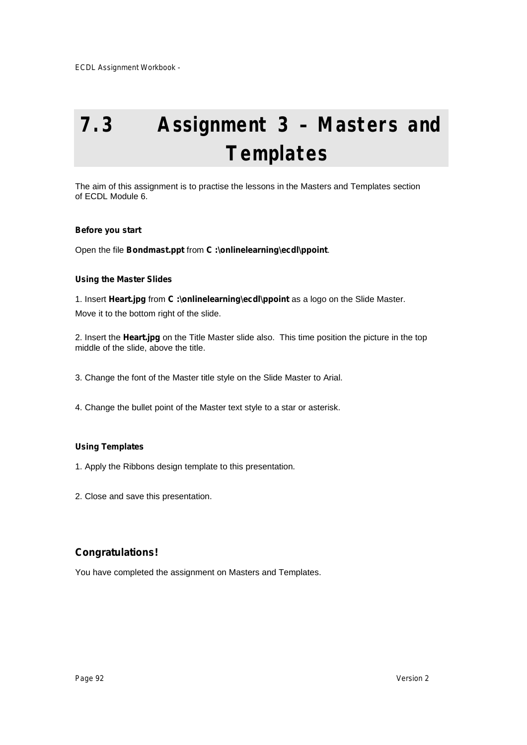# **7.3 Assignment 3 – Masters and Templates**

The aim of this assignment is to practise the lessons in the Masters and Templates section of ECDL Module 6.

# **Before you start**

Open the file **Bondmast.ppt** from **C :\onlinelearning\ecdl\ppoint**.

# **Using the Master Slides**

1. Insert **Heart.jpg** from **C :\onlinelearning\ecdl\ppoint** as a logo on the Slide Master. Move it to the bottom right of the slide.

2. Insert the **Heart.jpg** on the Title Master slide also. This time position the picture in the top middle of the slide, above the title.

3. Change the font of the Master title style on the Slide Master to Arial.

4. Change the bullet point of the Master text style to a star or asterisk.

# **Using Templates**

1. Apply the Ribbons design template to this presentation.

2. Close and save this presentation.

# **Congratulations!**

You have completed the assignment on Masters and Templates.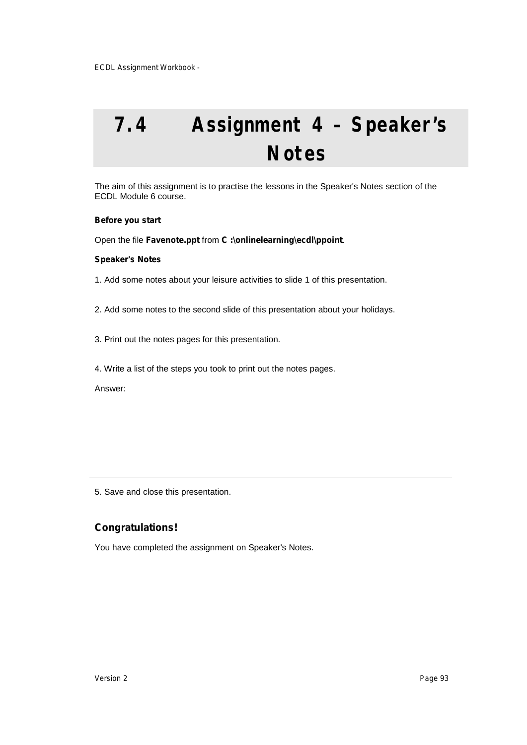# **7.4 Assignment 4 – Speaker's Notes**

The aim of this assignment is to practise the lessons in the Speaker's Notes section of the ECDL Module 6 course.

#### **Before you start**

Open the file **Favenote.ppt** from **C :\onlinelearning\ecdl\ppoint**.

#### **Speaker's Notes**

1. Add some notes about your leisure activities to slide 1 of this presentation.

2. Add some notes to the second slide of this presentation about your holidays.

- 3. Print out the notes pages for this presentation.
- 4. Write a list of the steps you took to print out the notes pages.

Answer:

5. Save and close this presentation.

# **Congratulations!**

You have completed the assignment on Speaker's Notes.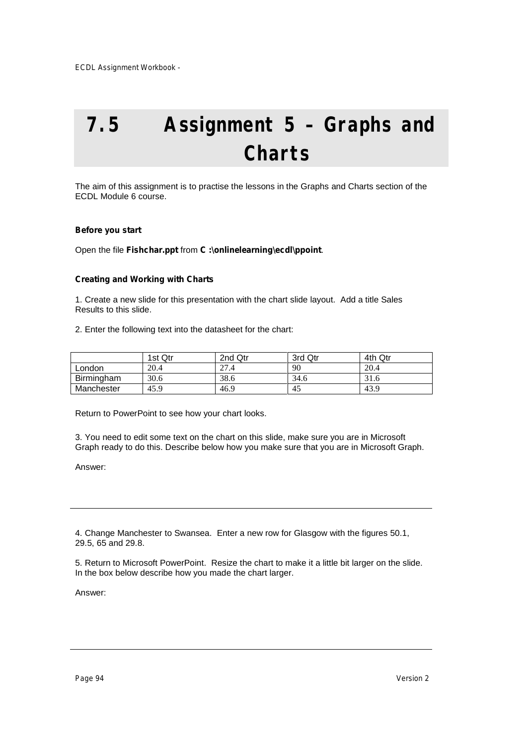# **7.5 Assignment 5 – Graphs and Charts**

The aim of this assignment is to practise the lessons in the Graphs and Charts section of the ECDL Module 6 course.

### **Before you start**

Open the file **Fishchar.ppt** from **C :\onlinelearning\ecdl\ppoint**.

### **Creating and Working with Charts**

1. Create a new slide for this presentation with the chart slide layout. Add a title Sales Results to this slide.

2. Enter the following text into the datasheet for the chart:

|            | 1st Qtr | 2nd Qtr | 3rd Qtr | 4th Qtr |
|------------|---------|---------|---------|---------|
| London     | 20.4    | 27.4    | 90      | 20.4    |
| Birmingham | 30.6    | 38.6    | 34.6    | 31.6    |
| Manchester | 45.9    | 46.9    | 45      | 43.9    |

Return to PowerPoint to see how your chart looks.

3. You need to edit some text on the chart on this slide, make sure you are in Microsoft Graph ready to do this. Describe below how you make sure that you are in Microsoft Graph.

Answer:

4. Change Manchester to Swansea. Enter a new row for Glasgow with the figures 50.1, 29.5, 65 and 29.8.

5. Return to Microsoft PowerPoint. Resize the chart to make it a little bit larger on the slide. In the box below describe how you made the chart larger.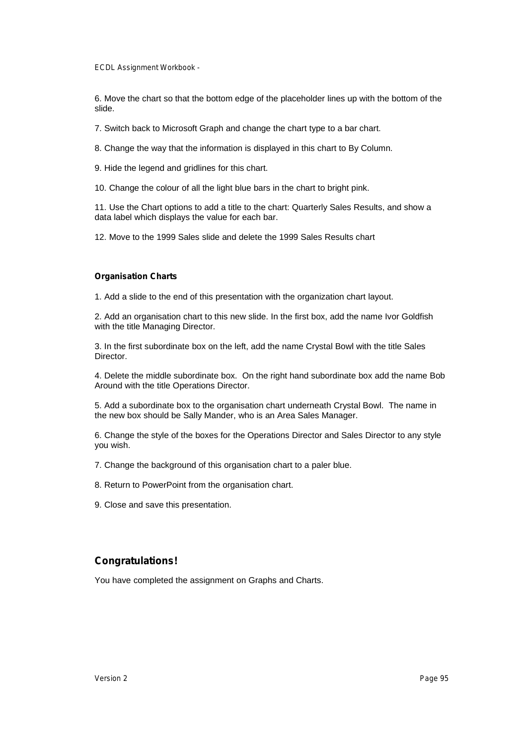6. Move the chart so that the bottom edge of the placeholder lines up with the bottom of the slide.

7. Switch back to Microsoft Graph and change the chart type to a bar chart.

8. Change the way that the information is displayed in this chart to By Column.

9. Hide the legend and gridlines for this chart.

10. Change the colour of all the light blue bars in the chart to bright pink.

11. Use the Chart options to add a title to the chart: Quarterly Sales Results, and show a data label which displays the value for each bar.

12. Move to the 1999 Sales slide and delete the 1999 Sales Results chart

### **Organisation Charts**

1. Add a slide to the end of this presentation with the organization chart layout.

2. Add an organisation chart to this new slide. In the first box, add the name Ivor Goldfish with the title Managing Director.

3. In the first subordinate box on the left, add the name Crystal Bowl with the title Sales Director.

4. Delete the middle subordinate box. On the right hand subordinate box add the name Bob Around with the title Operations Director.

5. Add a subordinate box to the organisation chart underneath Crystal Bowl. The name in the new box should be Sally Mander, who is an Area Sales Manager.

6. Change the style of the boxes for the Operations Director and Sales Director to any style you wish.

7. Change the background of this organisation chart to a paler blue.

8. Return to PowerPoint from the organisation chart.

9. Close and save this presentation.

# **Congratulations!**

You have completed the assignment on Graphs and Charts.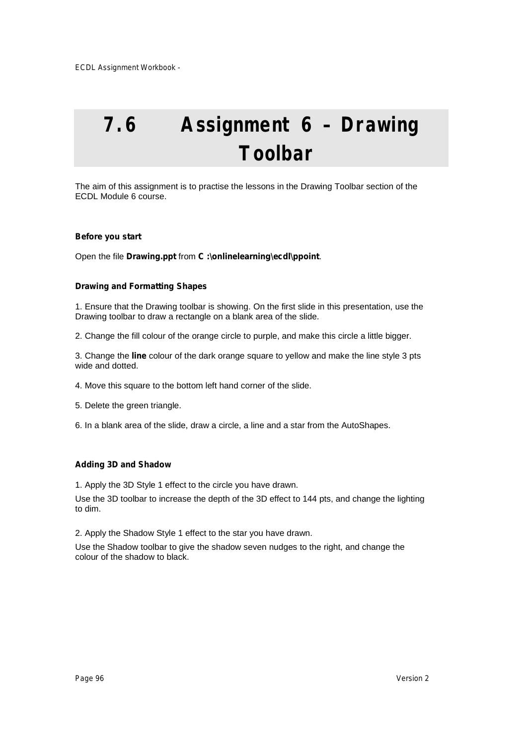# **7.6 Assignment 6 – Drawing Toolbar**

The aim of this assignment is to practise the lessons in the Drawing Toolbar section of the ECDL Module 6 course.

# **Before you start**

Open the file **Drawing.ppt** from **C :\onlinelearning\ecdl\ppoint**.

# **Drawing and Formatting Shapes**

1. Ensure that the Drawing toolbar is showing. On the first slide in this presentation, use the Drawing toolbar to draw a rectangle on a blank area of the slide.

2. Change the fill colour of the orange circle to purple, and make this circle a little bigger.

3. Change the **line** colour of the dark orange square to yellow and make the line style 3 pts wide and dotted.

4. Move this square to the bottom left hand corner of the slide.

5. Delete the green triangle.

6. In a blank area of the slide, draw a circle, a line and a star from the AutoShapes.

# **Adding 3D and Shadow**

1. Apply the 3D Style 1 effect to the circle you have drawn.

Use the 3D toolbar to increase the depth of the 3D effect to 144 pts, and change the lighting to dim.

2. Apply the Shadow Style 1 effect to the star you have drawn.

Use the Shadow toolbar to give the shadow seven nudges to the right, and change the colour of the shadow to black.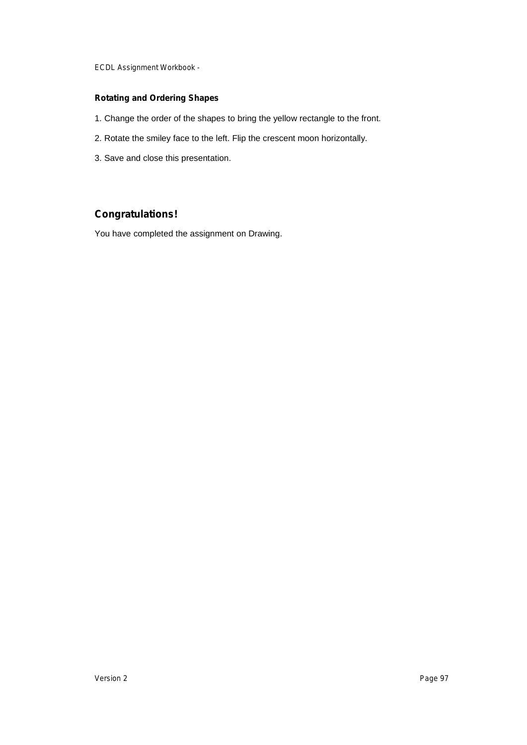# **Rotating and Ordering Shapes**

- 1. Change the order of the shapes to bring the yellow rectangle to the front.
- 2. Rotate the smiley face to the left. Flip the crescent moon horizontally.
- 3. Save and close this presentation.

# **Congratulations!**

You have completed the assignment on Drawing.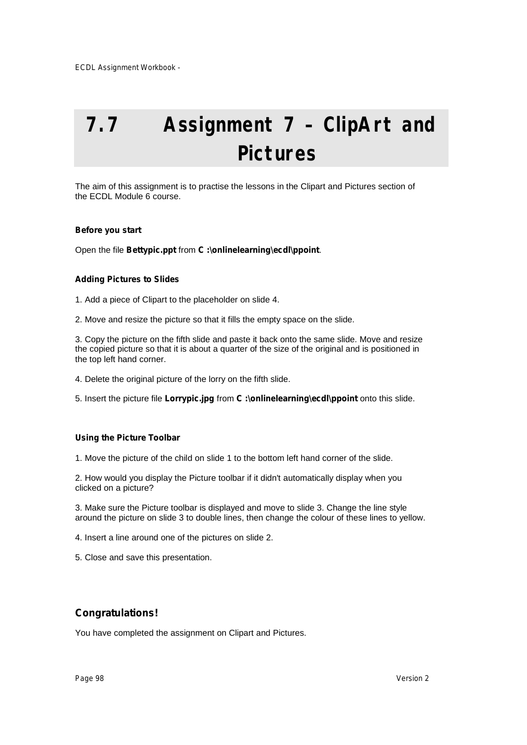# **7.7 Assignment 7 – ClipArt and Pictures**

The aim of this assignment is to practise the lessons in the Clipart and Pictures section of the ECDL Module 6 course.

# **Before you start**

Open the file **Bettypic.ppt** from **C :\onlinelearning\ecdl\ppoint**.

### **Adding Pictures to Slides**

1. Add a piece of Clipart to the placeholder on slide 4.

2. Move and resize the picture so that it fills the empty space on the slide.

3. Copy the picture on the fifth slide and paste it back onto the same slide. Move and resize the copied picture so that it is about a quarter of the size of the original and is positioned in the top left hand corner.

4. Delete the original picture of the lorry on the fifth slide.

5. Insert the picture file **Lorrypic.jpg** from **C :\onlinelearning\ecdl\ppoint** onto this slide.

# **Using the Picture Toolbar**

1. Move the picture of the child on slide 1 to the bottom left hand corner of the slide.

2. How would you display the Picture toolbar if it didn't automatically display when you clicked on a picture?

3. Make sure the Picture toolbar is displayed and move to slide 3. Change the line style around the picture on slide 3 to double lines, then change the colour of these lines to yellow.

4. Insert a line around one of the pictures on slide 2.

5. Close and save this presentation.

# **Congratulations!**

You have completed the assignment on Clipart and Pictures.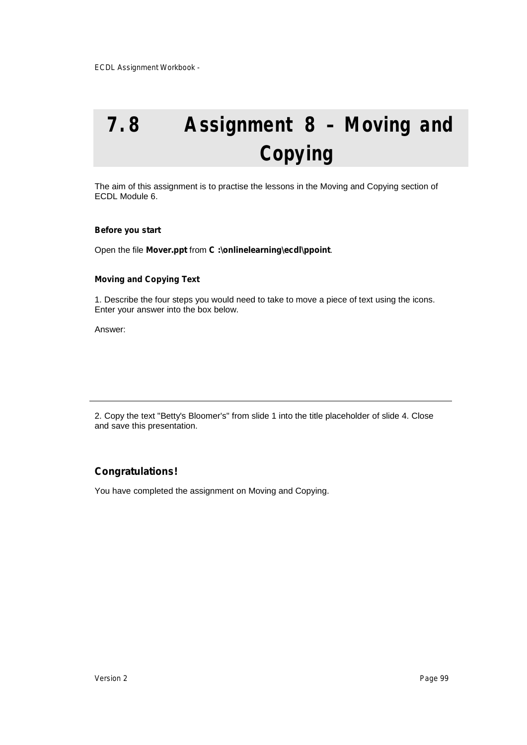# **7.8 Assignment 8 – Moving and Copying**

The aim of this assignment is to practise the lessons in the Moving and Copying section of ECDL Module 6.

#### **Before you start**

Open the file **Mover.ppt** from **C :\onlinelearning\ecdl\ppoint**.

### **Moving and Copying Text**

1. Describe the four steps you would need to take to move a piece of text using the icons. Enter your answer into the box below.

Answer:

2. Copy the text "Betty's Bloomer's" from slide 1 into the title placeholder of slide 4. Close and save this presentation.

# **Congratulations!**

You have completed the assignment on Moving and Copying.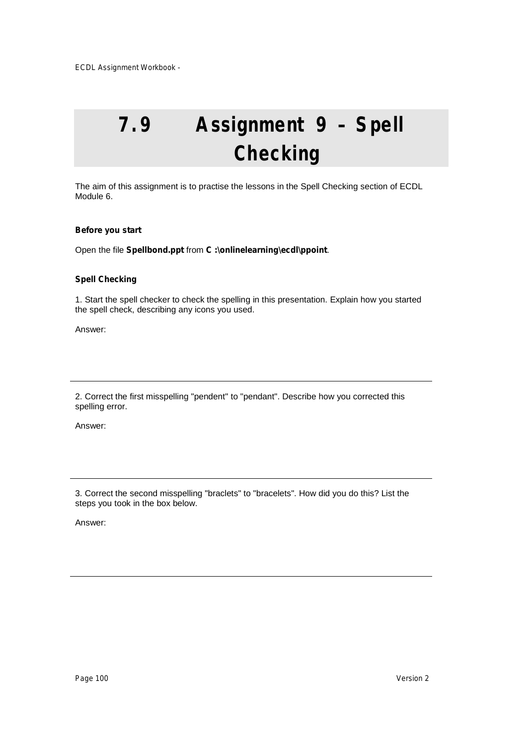# **7.9 Assignment 9 – Spell Checking**

The aim of this assignment is to practise the lessons in the Spell Checking section of ECDL Module 6.

# **Before you start**

Open the file **Spellbond.ppt** from **C :\onlinelearning\ecdl\ppoint**.

# **Spell Checking**

1. Start the spell checker to check the spelling in this presentation. Explain how you started the spell check, describing any icons you used.

Answer:

2. Correct the first misspelling "pendent" to "pendant". Describe how you corrected this spelling error.

Answer:

3. Correct the second misspelling "braclets" to "bracelets". How did you do this? List the steps you took in the box below.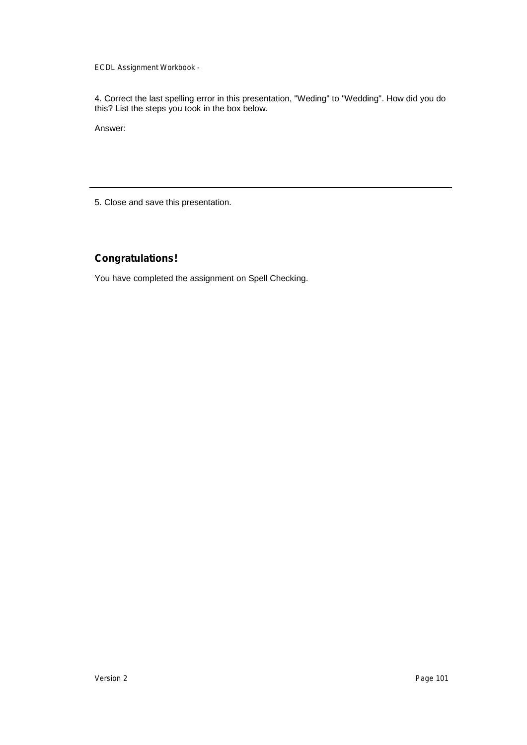4. Correct the last spelling error in this presentation, "Weding" to "Wedding". How did you do this? List the steps you took in the box below.

Answer:

5. Close and save this presentation.

# **Congratulations!**

You have completed the assignment on Spell Checking.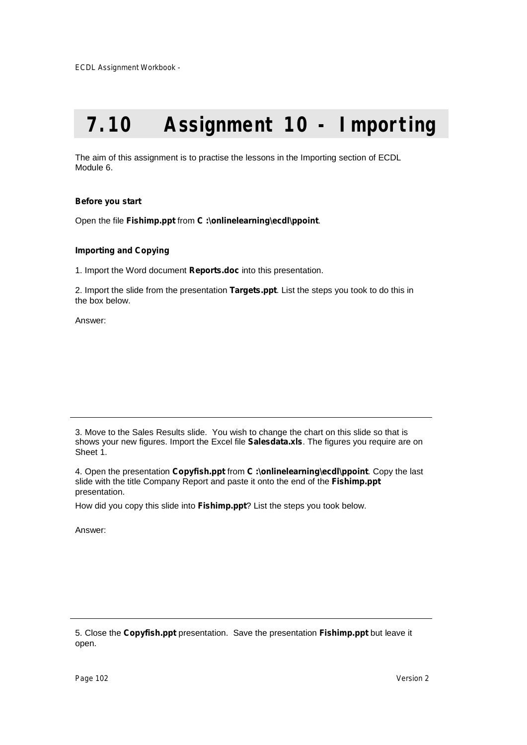# **7.10 Assignment 10 - Importing**

The aim of this assignment is to practise the lessons in the Importing section of ECDL Module 6.

# **Before you start**

Open the file **Fishimp.ppt** from **C :\onlinelearning\ecdl\ppoint**.

# **Importing and Copying**

1. Import the Word document **Reports.doc** into this presentation.

2. Import the slide from the presentation **Targets.ppt**. List the steps you took to do this in the box below.

Answer:

3. Move to the Sales Results slide. You wish to change the chart on this slide so that is shows your new figures. Import the Excel file **Salesdata.xls**. The figures you require are on Sheet 1.

4. Open the presentation **Copyfish.ppt** from **C :\onlinelearning\ecdl\ppoint**. Copy the last slide with the title Company Report and paste it onto the end of the **Fishimp.ppt** presentation.

How did you copy this slide into **Fishimp.ppt**? List the steps you took below.

Answer:

5. Close the **Copyfish.ppt** presentation. Save the presentation **Fishimp.ppt** but leave it open.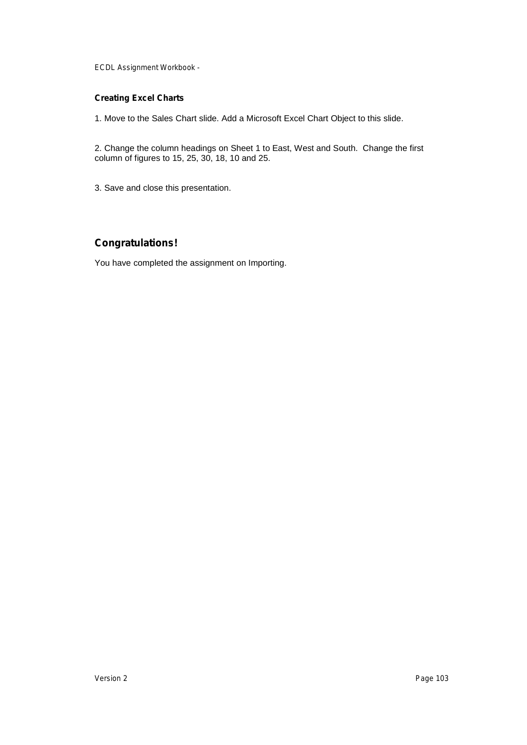# **Creating Excel Charts**

1. Move to the Sales Chart slide. Add a Microsoft Excel Chart Object to this slide.

2. Change the column headings on Sheet 1 to East, West and South. Change the first column of figures to 15, 25, 30, 18, 10 and 25.

3. Save and close this presentation.

# **Congratulations!**

You have completed the assignment on Importing.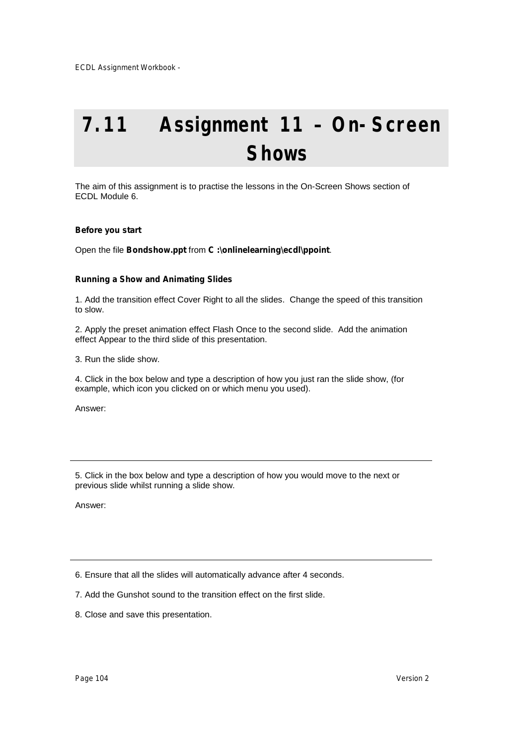# **7.11 Assignment 11 – On-Screen Shows**

The aim of this assignment is to practise the lessons in the On-Screen Shows section of ECDL Module 6.

# **Before you start**

Open the file **Bondshow.ppt** from **C :\onlinelearning\ecdl\ppoint**.

### **Running a Show and Animating Slides**

1. Add the transition effect Cover Right to all the slides. Change the speed of this transition to slow.

2. Apply the preset animation effect Flash Once to the second slide. Add the animation effect Appear to the third slide of this presentation.

3. Run the slide show.

4. Click in the box below and type a description of how you just ran the slide show, (for example, which icon you clicked on or which menu you used).

Answer:

5. Click in the box below and type a description of how you would move to the next or previous slide whilst running a slide show.

Answer:

6. Ensure that all the slides will automatically advance after 4 seconds.

- 7. Add the Gunshot sound to the transition effect on the first slide.
- 8. Close and save this presentation.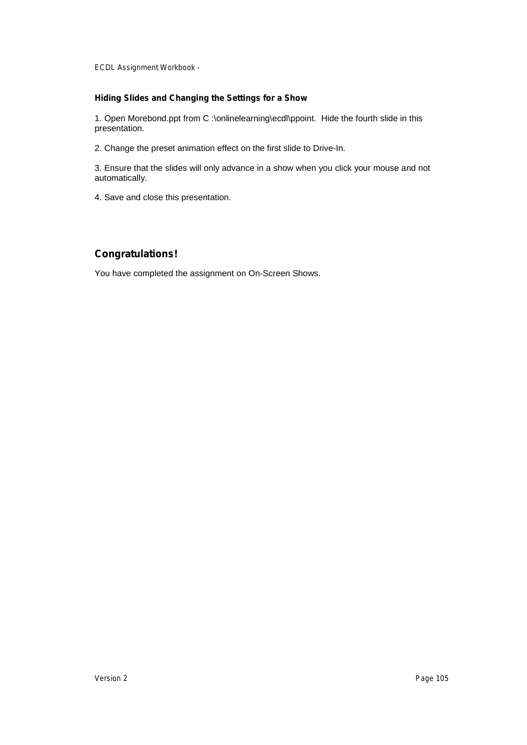# **Hiding Slides and Changing the Settings for a Show**

1. Open Morebond.ppt from C :\onlinelearning\ecdl\ppoint. Hide the fourth slide in this presentation.

2. Change the preset animation effect on the first slide to Drive-In.

3. Ensure that the slides will only advance in a show when you click your mouse and not automatically.

4. Save and close this presentation.

# **Congratulations!**

You have completed the assignment on On-Screen Shows.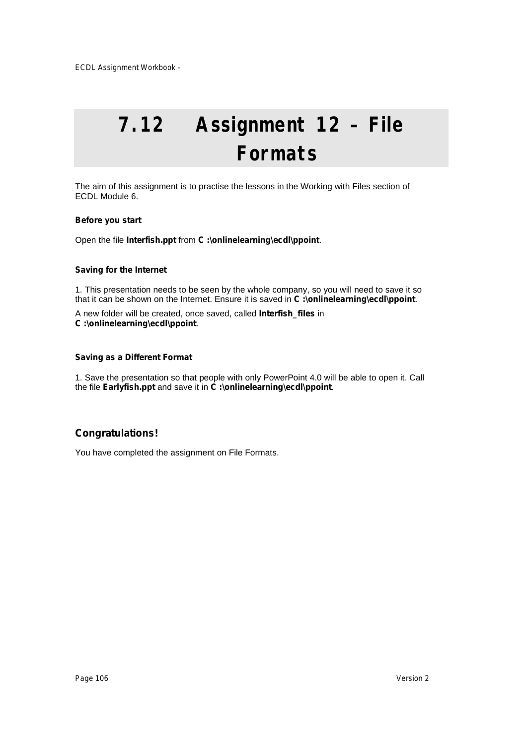# **7.12 Assignment 12 – File Formats**

The aim of this assignment is to practise the lessons in the Working with Files section of ECDL Module 6.

# **Before you start**

Open the file **Interfish.ppt** from **C :\onlinelearning\ecdl\ppoint**.

# **Saving for the Internet**

1. This presentation needs to be seen by the whole company, so you will need to save it so that it can be shown on the Internet. Ensure it is saved in **C :\onlinelearning\ecdl\ppoint**.

A new folder will be created, once saved, called **Interfish\_files** in **C :\onlinelearning\ecdl\ppoint**.

# **Saving as a Different Format**

1. Save the presentation so that people with only PowerPoint 4.0 will be able to open it. Call the file **Earlyfish.ppt** and save it in **C :\onlinelearning\ecdl\ppoint**.

# **Congratulations!**

You have completed the assignment on File Formats.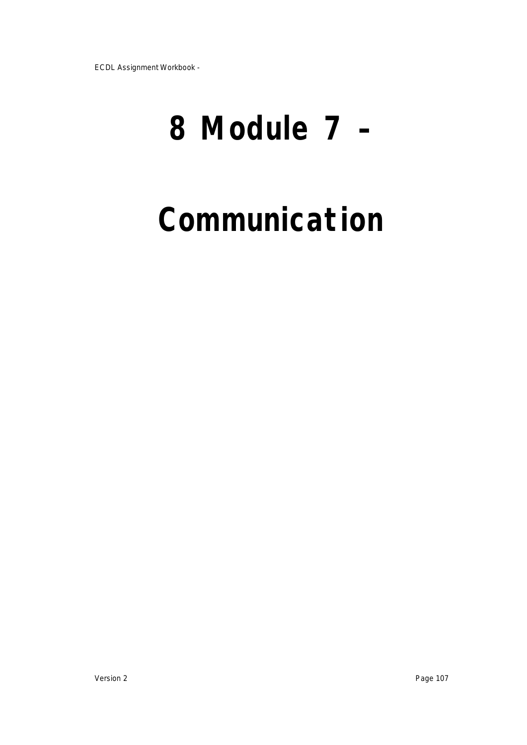# **8 Module 7 –**

# **Communication**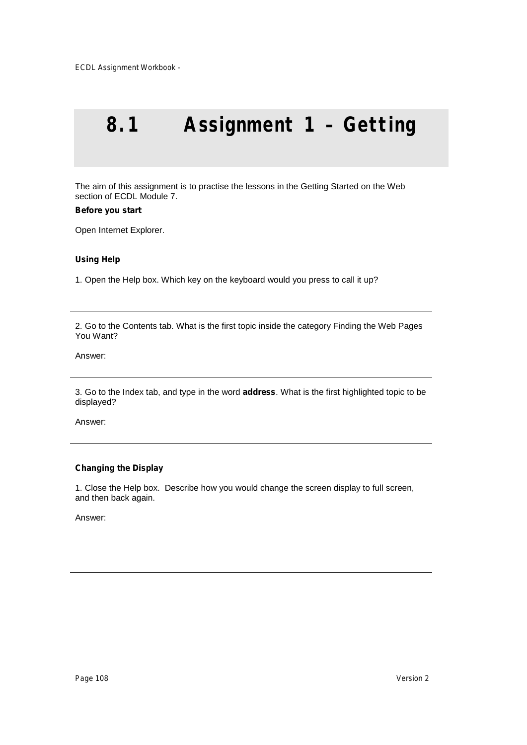# **8.1 Assignment 1 – Getting**

The aim of this assignment is to practise the lessons in the Getting Started on the Web section of ECDL Module 7.

#### **Before you start**

Open Internet Explorer.

### **Using Help**

1. Open the Help box. Which key on the keyboard would you press to call it up?

2. Go to the Contents tab. What is the first topic inside the category Finding the Web Pages You Want?

# Answer:

3. Go to the Index tab, and type in the word **address**. What is the first highlighted topic to be displayed?

Answer:

# **Changing the Display**

1. Close the Help box. Describe how you would change the screen display to full screen, and then back again.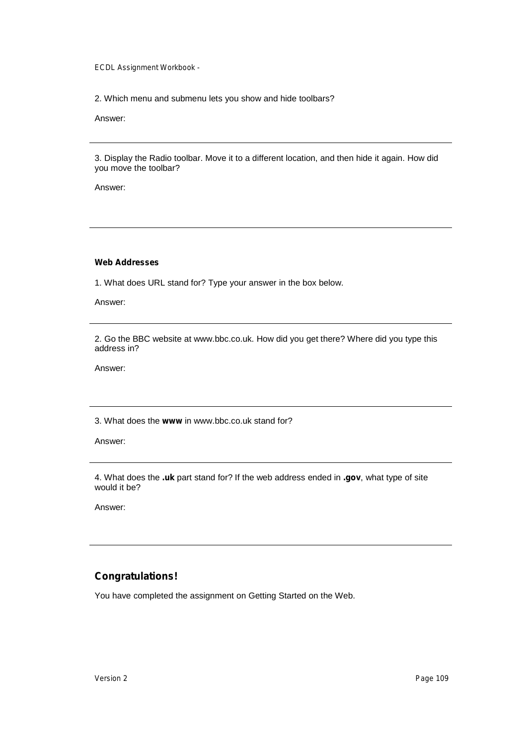2. Which menu and submenu lets you show and hide toolbars?

Answer:

3. Display the Radio toolbar. Move it to a different location, and then hide it again. How did you move the toolbar?

Answer:

**Web Addresses**

1. What does URL stand for? Type your answer in the box below.

Answer:

2. Go the BBC website at [www.bbc.co.uk.](http://www.bbc.co.uk.) How did you get there? Where did you type this address in?

Answer:

3. What does the **www** in [www.bbc.co.uk](http://www.bbc.co.uk) stand for?

Answer:

4. What does the **.uk** part stand for? If the web address ended in **.gov**, what type of site would it be?

Answer:

# **Congratulations!**

You have completed the assignment on Getting Started on the Web.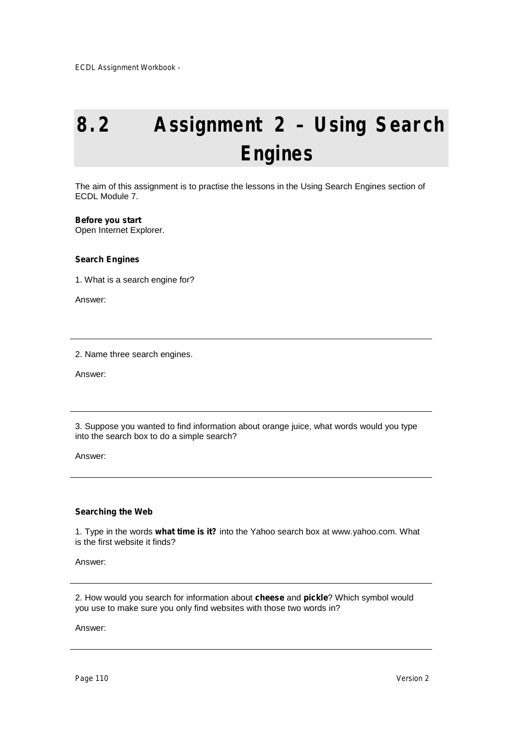# **8.2 Assignment 2 – Using Search Engines**

The aim of this assignment is to practise the lessons in the Using Search Engines section of ECDL Module 7.

## **Before you start**

Open Internet Explorer.

## **Search Engines**

1. What is a search engine for?

Answer:

2. Name three search engines.

Answer:

3. Suppose you wanted to find information about orange juice, what words would you type into the search box to do a simple search?

Answer:

## **Searching the Web**

1. Type in the words **what time is it?** into the Yahoo search box at [www.yahoo.com.](http://www.yahoo.com.) What is the first website it finds?

Answer:

2. How would you search for information about **cheese** and **pickle**? Which symbol would you use to make sure you only find websites with those two words in?

Answer:

*Page 110 Version 2*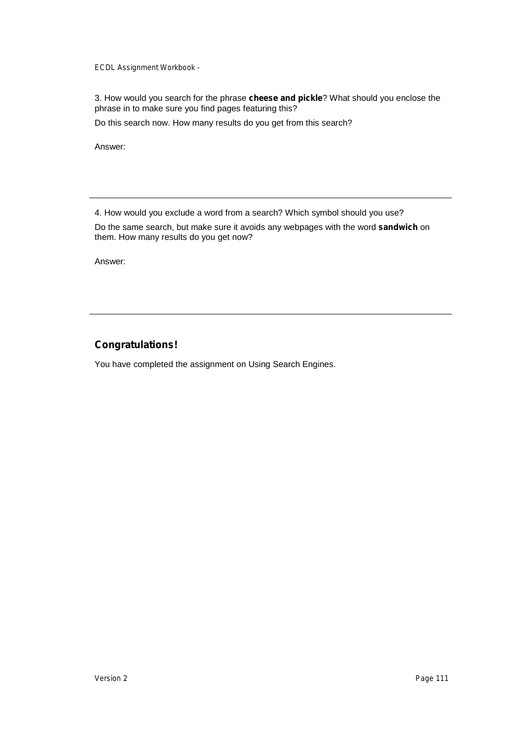3. How would you search for the phrase **cheese and pickle**? What should you enclose the phrase in to make sure you find pages featuring this?

Do this search now. How many results do you get from this search?

Answer:

4. How would you exclude a word from a search? Which symbol should you use?

Do the same search, but make sure it avoids any webpages with the word **sandwich** on them. How many results do you get now?

Answer:

# **Congratulations!**

You have completed the assignment on Using Search Engines.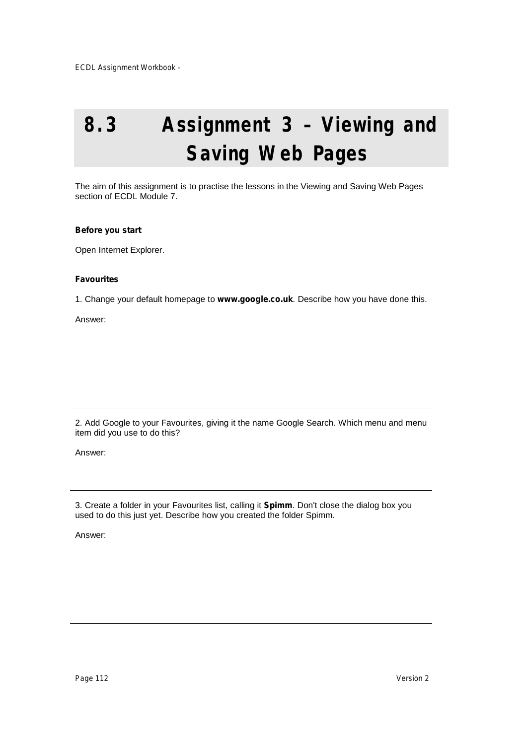# **8.3 Assignment 3 – Viewing and Saving Web Pages**

The aim of this assignment is to practise the lessons in the Viewing and Saving Web Pages section of ECDL Module 7.

## **Before you start**

Open Internet Explorer.

## **Favourites**

1. Change your default homepage to **[www.google.co.uk](http://www.google.co.uk.)**. Describe how you have done this.

Answer:

2. Add Google to your Favourites, giving it the name Google Search. Which menu and menu item did you use to do this?

Answer:

3. Create a folder in your Favourites list, calling it **Spimm**. Don't close the dialog box you used to do this just yet. Describe how you created the folder Spimm.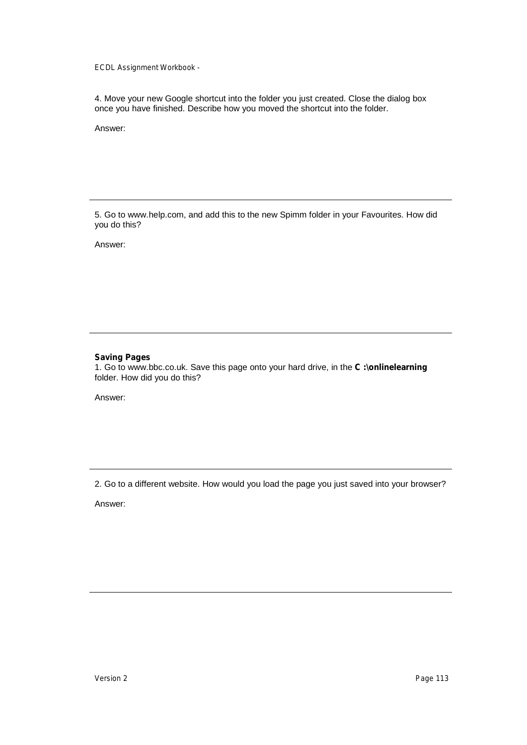4. Move your new Google shortcut into the folder you just created. Close the dialog box once you have finished. Describe how you moved the shortcut into the folder.

Answer:

5. Go to [www.help.com,](http://www.help.com,) and add this to the new Spimm folder in your Favourites. How did you do this?

Answer:

## **Saving Pages**

1. Go to [www.bbc.co.uk.](http://www.bbc.co.uk.) Save this page onto your hard drive, in the **C :\onlinelearning** folder. How did you do this?

Answer:

2. Go to a different website. How would you load the page you just saved into your browser?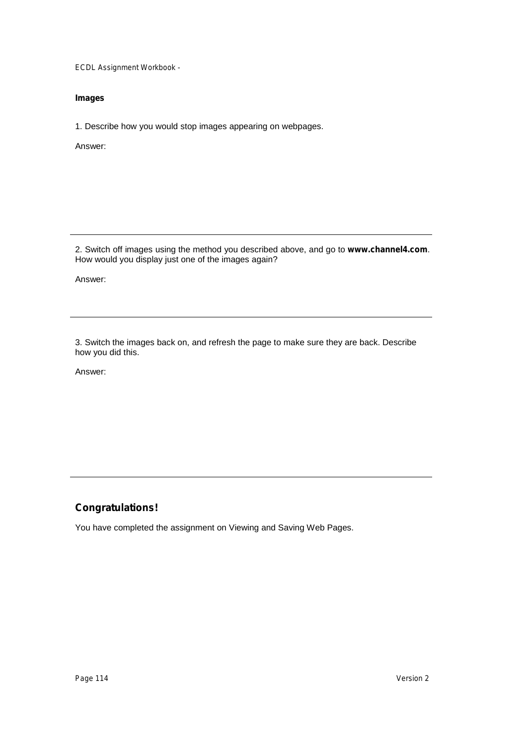## **Images**

1. Describe how you would stop images appearing on webpages.

Answer:

2. Switch off images using the method you described above, and go to **[www.channel4.com](http://www.channel4.com.)**. How would you display just one of the images again?

Answer:

3. Switch the images back on, and refresh the page to make sure they are back. Describe how you did this.

Answer:

# **Congratulations!**

You have completed the assignment on Viewing and Saving Web Pages.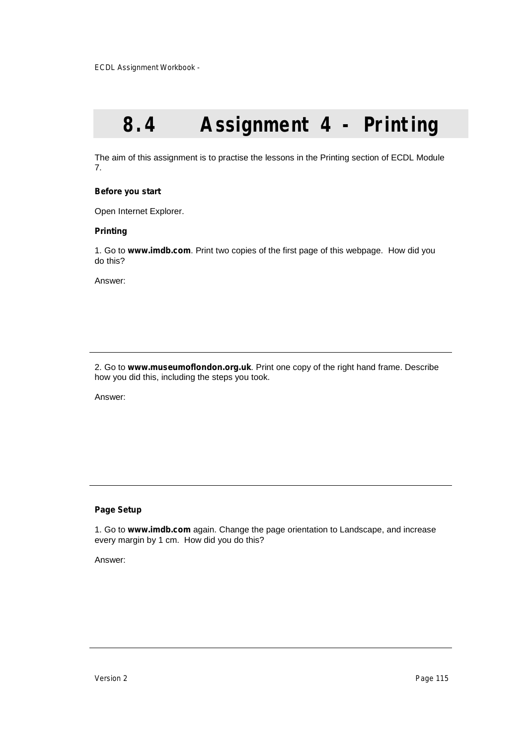# **8.4 Assignment 4 - Printing**

The aim of this assignment is to practise the lessons in the Printing section of ECDL Module 7.

## **Before you start**

Open Internet Explorer.

### **Printing**

1. Go to **[www.imdb.com](http://www.imdb.com.)**. Print two copies of the first page of this webpage. How did you do this?

Answer:

2. Go to **[www.museumoflondon.org.uk](http://www.museumoflondon.org.uk.)**. Print one copy of the right hand frame. Describe how you did this, including the steps you took.

Answer:

## **Page Setup**

1. Go to **[www.imdb.com](http://www.imdb.com)** again. Change the page orientation to Landscape, and increase every margin by 1 cm. How did you do this?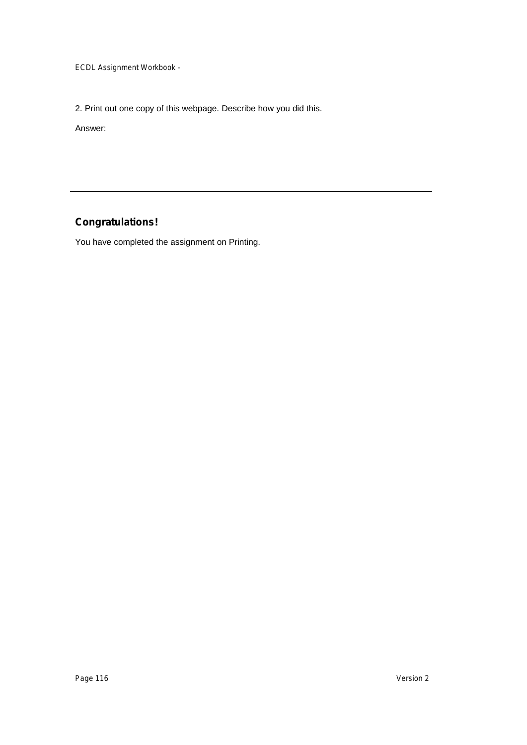2. Print out one copy of this webpage. Describe how you did this.

Answer:

# **Congratulations!**

You have completed the assignment on Printing.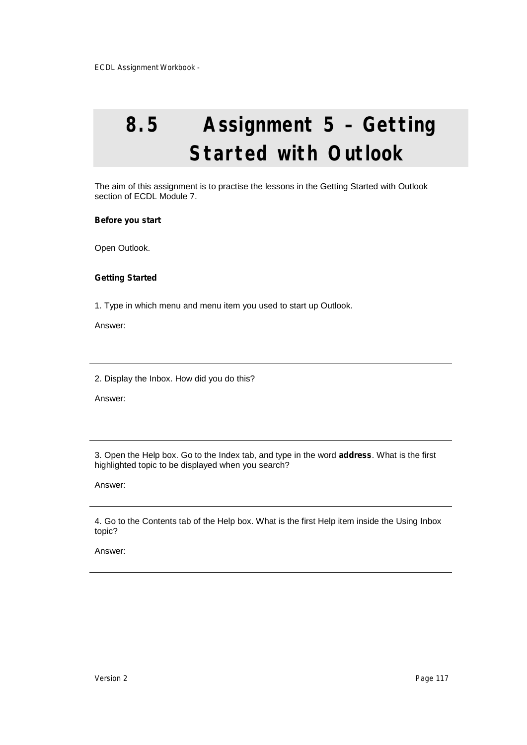# **8.5 Assignment 5 – Getting Started with Outlook**

The aim of this assignment is to practise the lessons in the Getting Started with Outlook section of ECDL Module 7.

### **Before you start**

Open Outlook.

### **Getting Started**

1. Type in which menu and menu item you used to start up Outlook.

Answer:

2. Display the Inbox. How did you do this?

Answer:

3. Open the Help box. Go to the Index tab, and type in the word **address**. What is the first highlighted topic to be displayed when you search?

Answer:

4. Go to the Contents tab of the Help box. What is the first Help item inside the Using Inbox topic?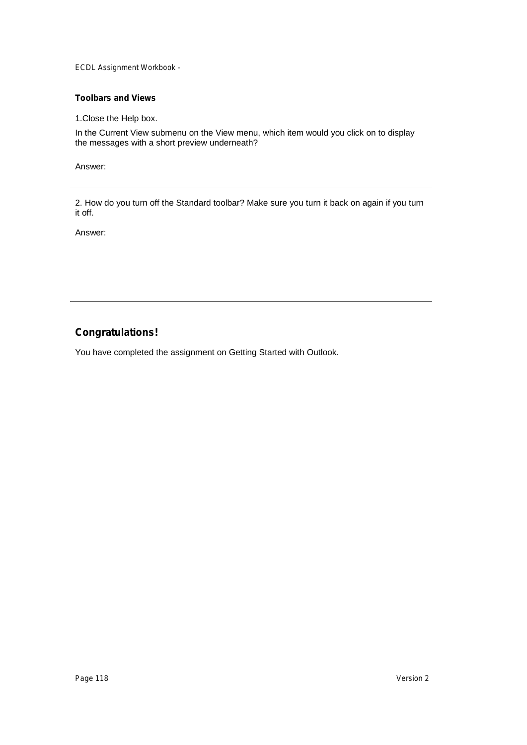## **Toolbars and Views**

1.Close the Help box.

In the Current View submenu on the View menu, which item would you click on to display the messages with a short preview underneath?

Answer:

2. How do you turn off the Standard toolbar? Make sure you turn it back on again if you turn it off.

Answer:

# **Congratulations!**

You have completed the assignment on Getting Started with Outlook.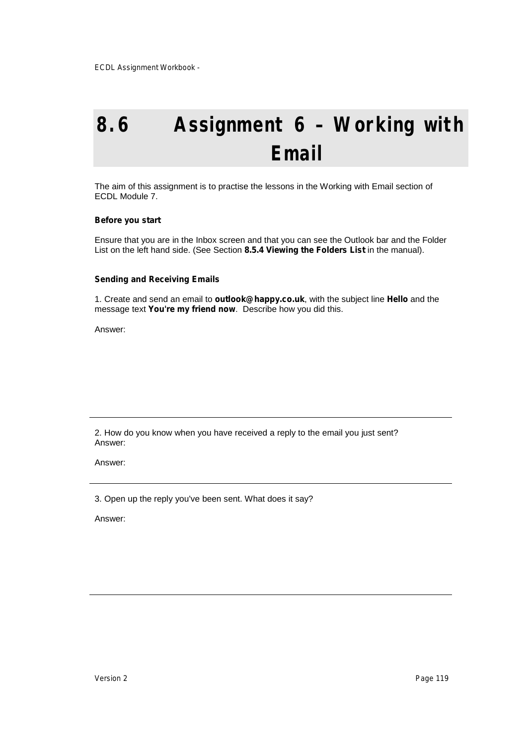# **8.6 Assignment 6 – Working with Email**

The aim of this assignment is to practise the lessons in the Working with Email section of ECDL Module 7.

### **Before you start**

Ensure that you are in the Inbox screen and that you can see the Outlook bar and the Folder List on the left hand side. (See Section **8.5.4 Viewing the Folders List** in the manual).

#### **Sending and Receiving Emails**

1. Create and send an email to **outlook@happy.co.uk**, with the subject line **Hello** and the message text **You're my friend now**. Describe how you did this.

Answer:

2. How do you know when you have received a reply to the email you just sent? Answer:

Answer:

3. Open up the reply you've been sent. What does it say?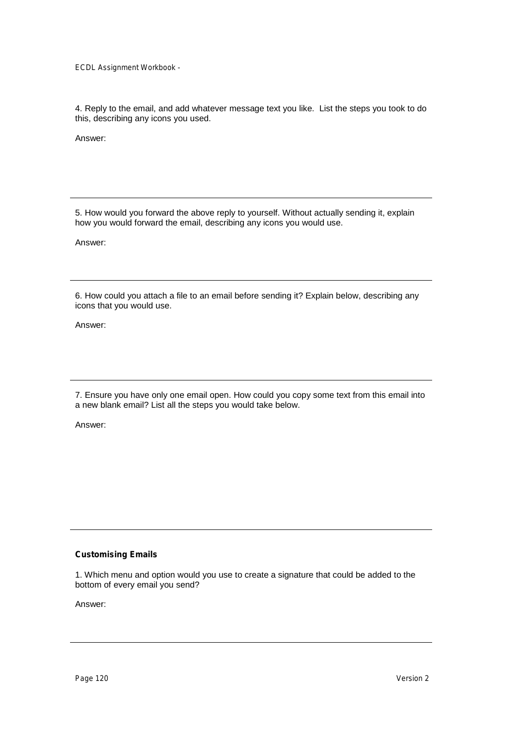4. Reply to the email, and add whatever message text you like. List the steps you took to do this, describing any icons you used.

Answer:

5. How would you forward the above reply to yourself. Without actually sending it, explain how you would forward the email, describing any icons you would use.

Answer:

6. How could you attach a file to an email before sending it? Explain below, describing any icons that you would use.

Answer:

7. Ensure you have only one email open. How could you copy some text from this email into a new blank email? List all the steps you would take below.

Answer:

## **Customising Emails**

1. Which menu and option would you use to create a signature that could be added to the bottom of every email you send?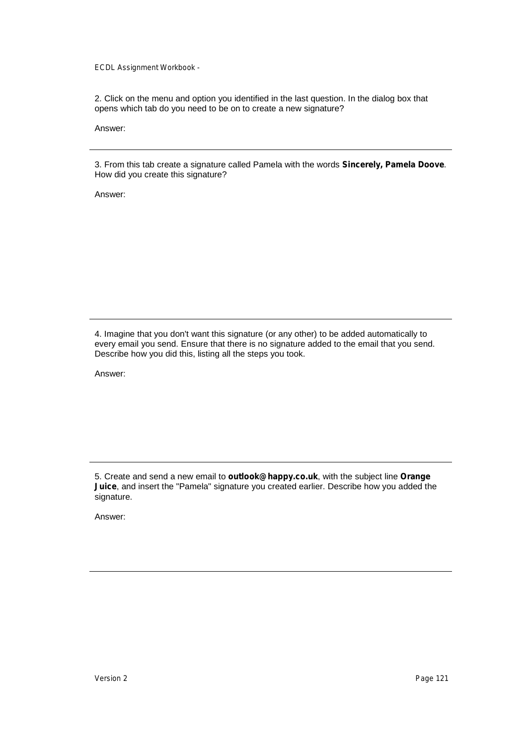2. Click on the menu and option you identified in the last question. In the dialog box that opens which tab do you need to be on to create a new signature?

Answer:

3. From this tab create a signature called Pamela with the words **Sincerely, Pamela Doove**. How did you create this signature?

Answer:

4. Imagine that you don't want this signature (or any other) to be added automatically to every email you send. Ensure that there is no signature added to the email that you send. Describe how you did this, listing all the steps you took.

Answer:

5. Create and send a new email to **outlook@happy.co.uk**, with the subject line **Orange Juice**, and insert the "Pamela" signature you created earlier. Describe how you added the signature.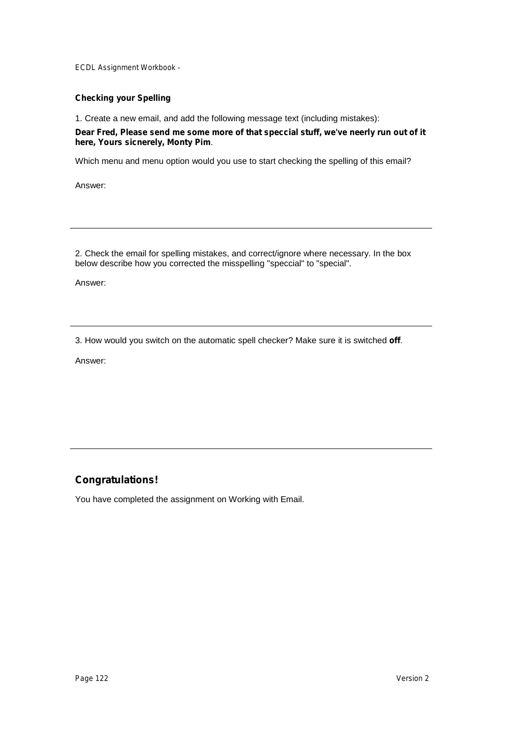## **Checking your Spelling**

1. Create a new email, and add the following message text (including mistakes):

## **Dear Fred, Please send me some more of that speccial stuff, we've neerly run out of it here, Yours sicnerely, Monty Pim**.

Which menu and menu option would you use to start checking the spelling of this email?

Answer:

2. Check the email for spelling mistakes, and correct/ignore where necessary. In the box below describe how you corrected the misspelling "speccial" to "special".

Answer:

3. How would you switch on the automatic spell checker? Make sure it is switched **off**.

Answer:

# **Congratulations!**

You have completed the assignment on Working with Email.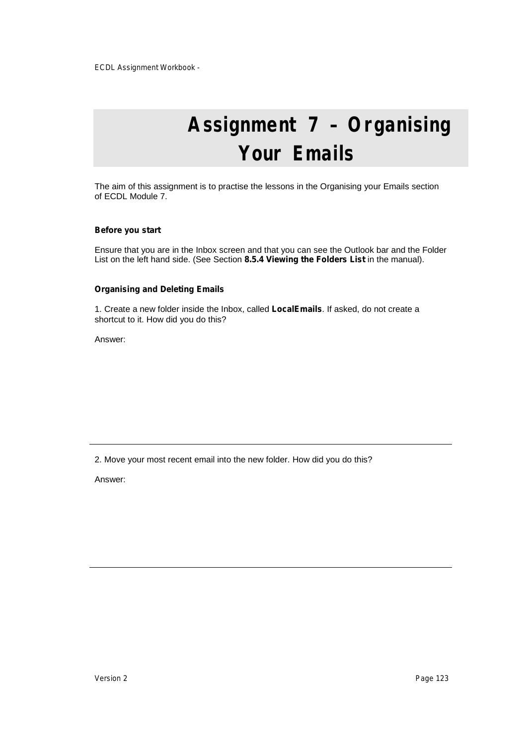# **Assignment 7 – Organising Your Emails**

The aim of this assignment is to practise the lessons in the Organising your Emails section of ECDL Module 7.

#### **Before you start**

Ensure that you are in the Inbox screen and that you can see the Outlook bar and the Folder List on the left hand side. (See Section **8.5.4 Viewing the Folders List** in the manual).

#### **Organising and Deleting Emails**

1. Create a new folder inside the Inbox, called **LocalEmails**. If asked, do not create a shortcut to it. How did you do this?

Answer:

2. Move your most recent email into the new folder. How did you do this?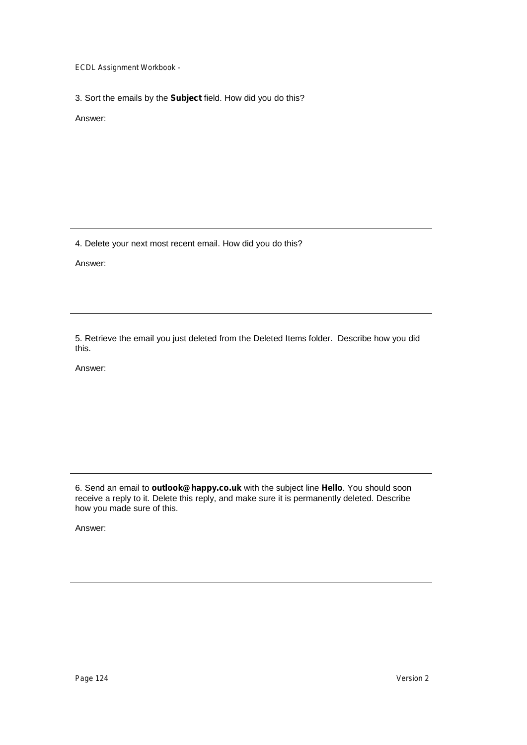3. Sort the emails by the **Subject** field. How did you do this?

Answer:

4. Delete your next most recent email. How did you do this?

Answer:

5. Retrieve the email you just deleted from the Deleted Items folder. Describe how you did this.

Answer:

6. Send an email to **outlook@happy.co.uk** with the subject line **Hello**. You should soon receive a reply to it. Delete this reply, and make sure it is permanently deleted. Describe how you made sure of this.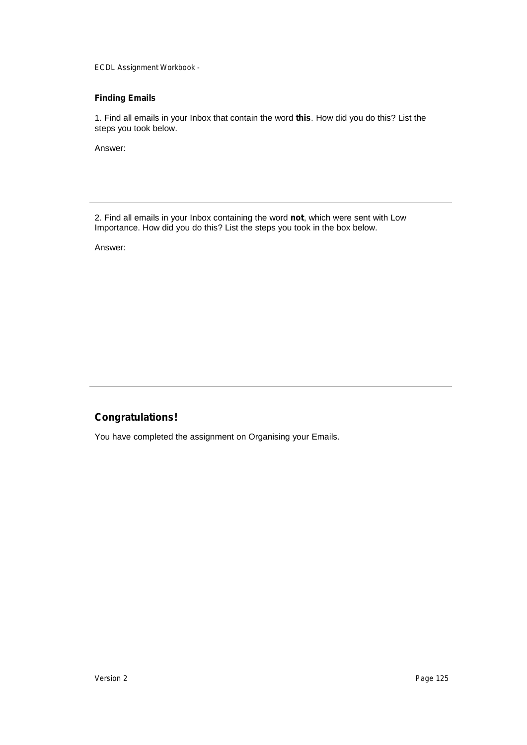## **Finding Emails**

1. Find all emails in your Inbox that contain the word **this**. How did you do this? List the steps you took below.

Answer:

2. Find all emails in your Inbox containing the word **not**, which were sent with Low Importance. How did you do this? List the steps you took in the box below.

Answer:

# **Congratulations!**

You have completed the assignment on Organising your Emails.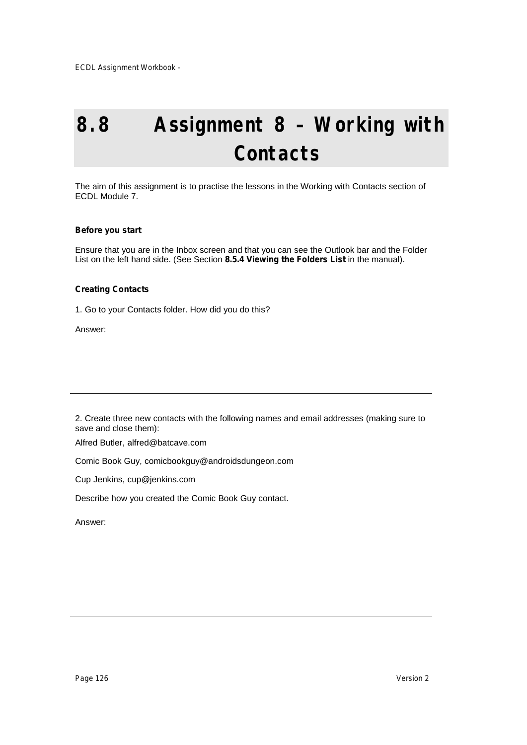# **8.8 Assignment 8 – Working with Contacts**

The aim of this assignment is to practise the lessons in the Working with Contacts section of ECDL Module 7.

### **Before you start**

Ensure that you are in the Inbox screen and that you can see the Outlook bar and the Folder List on the left hand side. (See Section **8.5.4 Viewing the Folders List** in the manual).

### **Creating Contacts**

1. Go to your Contacts folder. How did you do this?

Answer:

2. Create three new contacts with the following names and email addresses (making sure to save and close them):

Alfred Butler, alfred@batcave.com

Comic Book Guy, comicbookguy@androidsdungeon.com

Cup Jenkins, cup@jenkins.com

Describe how you created the Comic Book Guy contact.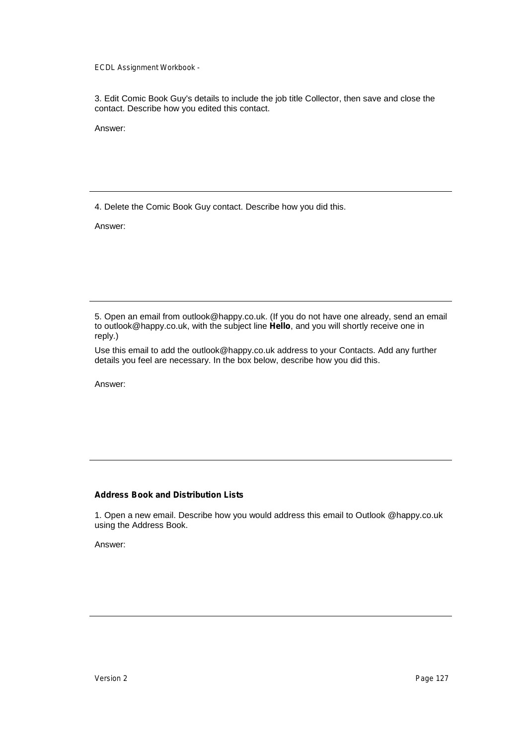3. Edit Comic Book Guy's details to include the job title Collector, then save and close the contact. Describe how you edited this contact.

Answer:

4. Delete the Comic Book Guy contact. Describe how you did this.

Answer:

5. Open an email from outlook@happy.co.uk. (If you do not have one already, send an email to outlook@happy.co.uk, with the subject line **Hello**, and you will shortly receive one in reply.)

Use this email to add the outlook@happy.co.uk address to your Contacts. Add any further details you feel are necessary. In the box below, describe how you did this.

Answer:

## **Address Book and Distribution Lists**

1. Open a new email. Describe how you would address this email to Outlook @happy.co.uk using the Address Book.